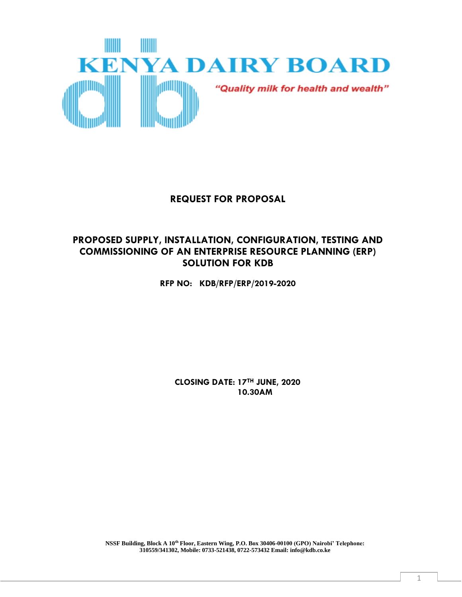

# **REQUEST FOR PROPOSAL**

# **PROPOSED SUPPLY, INSTALLATION, CONFIGURATION, TESTING AND COMMISSIONING OF AN ENTERPRISE RESOURCE PLANNING (ERP) SOLUTION FOR KDB**

**RFP NO: KDB/RFP/ERP/2019-2020**

 **CLOSING DATE: 17TH JUNE, 2020 10.30AM**

**NSSF Building, Block A 10th Floor, Eastern Wing, P.O. Box 30406-00100 (GPO) Nairobi' Telephone: 310559/341302, Mobile: 0733-521438, 0722-573432 Email: info@kdb.co.ke**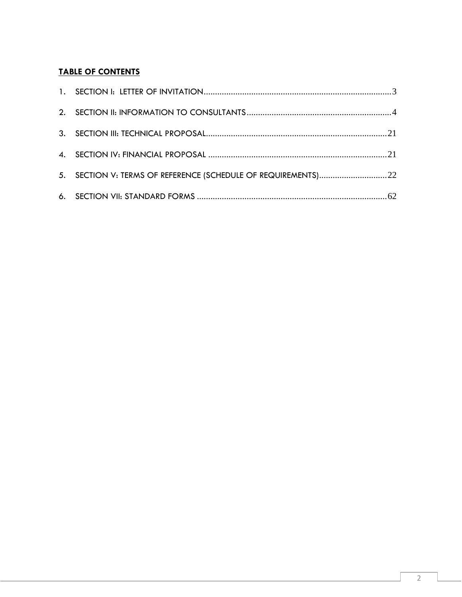# **TABLE OF CONTENTS**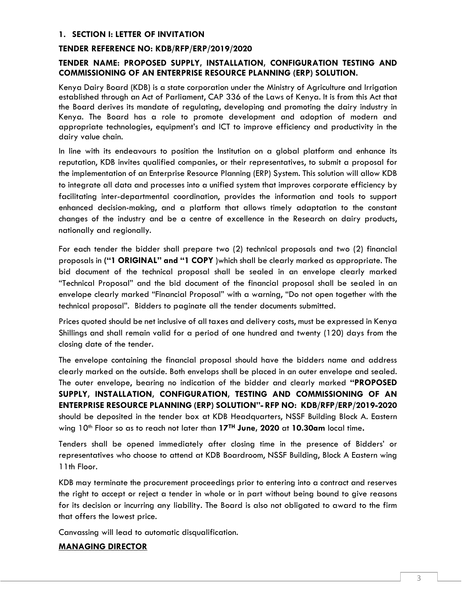### <span id="page-2-0"></span>**1. SECTION I: LETTER OF INVITATION**

#### **TENDER REFERENCE NO: KDB/RFP/ERP/2019/2020**

### **TENDER NAME: PROPOSED SUPPLY, INSTALLATION, CONFIGURATION TESTING AND COMMISSIONING OF AN ENTERPRISE RESOURCE PLANNING (ERP) SOLUTION.**

Kenya Dairy Board (KDB) is a state corporation under the Ministry of Agriculture and Irrigation established through an Act of Parliament, CAP 336 of the Laws of Kenya. It is from this Act that the Board derives its mandate of regulating, developing and promoting the dairy industry in Kenya. The Board has a role to promote development and adoption of modern and appropriate technologies, equipment's and ICT to improve efficiency and productivity in the dairy value chain.

In line with its endeavours to position the Institution on a global platform and enhance its reputation, KDB invites qualified companies, or their representatives, to submit a proposal for the implementation of an Enterprise Resource Planning (ERP) System. This solution will allow KDB to integrate all data and processes into a unified system that improves corporate efficiency by facilitating inter-departmental coordination, provides the information and tools to support enhanced decision-making, and a platform that allows timely adaptation to the constant changes of the industry and be a centre of excellence in the Research on dairy products, nationally and regionally.

For each tender the bidder shall prepare two (2) technical proposals and two (2) financial proposals in **("1 ORIGINAL" and "1 COPY** )which shall be clearly marked as appropriate. The bid document of the technical proposal shall be sealed in an envelope clearly marked "Technical Proposal" and the bid document of the financial proposal shall be sealed in an envelope clearly marked "Financial Proposal" with a warning, "Do not open together with the technical proposal". Bidders to paginate all the tender documents submitted.

Prices quoted should be net inclusive of all taxes and delivery costs, must be expressed in Kenya Shillings and shall remain valid for a period of one hundred and twenty (120) days from the closing date of the tender.

The envelope containing the financial proposal should have the bidders name and address clearly marked on the outside. Both envelops shall be placed in an outer envelope and sealed. The outer envelope, bearing no indication of the bidder and clearly marked **"PROPOSED SUPPLY, INSTALLATION, CONFIGURATION, TESTING AND COMMISSIONING OF AN ENTERPRISE RESOURCE PLANNING (ERP) SOLUTION"- RFP NO: KDB/RFP/ERP/2019-2020** should be deposited in the tender box at KDB Headquarters, NSSF Building Block A. Eastern wing 10th Floor so as to reach not later than **17TH June, 2020** at **10.30am** local time**.** 

Tenders shall be opened immediately after closing time in the presence of Bidders' or representatives who choose to attend at KDB Boardroom, NSSF Building, Block A Eastern wing 11th Floor.

KDB may terminate the procurement proceedings prior to entering into a contract and reserves the right to accept or reject a tender in whole or in part without being bound to give reasons for its decision or incurring any liability. The Board is also not obligated to award to the firm that offers the lowest price.

Canvassing will lead to automatic disqualification.

### **MANAGING DIRECTOR**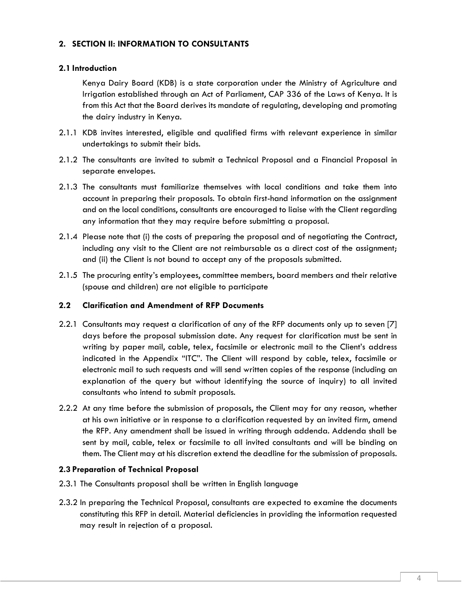### <span id="page-3-0"></span>**2. SECTION II: INFORMATION TO CONSULTANTS**

### **2.1 Introduction**

 Kenya Dairy Board (KDB) is a state corporation under the Ministry of Agriculture and Irrigation established through an Act of Parliament, CAP 336 of the Laws of Kenya. It is from this Act that the Board derives its mandate of regulating, developing and promoting the dairy industry in Kenya.

- 2.1.1 KDB invites interested, eligible and qualified firms with relevant experience in similar undertakings to submit their bids.
- 2.1.2 The consultants are invited to submit a Technical Proposal and a Financial Proposal in separate envelopes.
- 2.1.3 The consultants must familiarize themselves with local conditions and take them into account in preparing their proposals. To obtain first-hand information on the assignment and on the local conditions, consultants are encouraged to liaise with the Client regarding any information that they may require before submitting a proposal.
- 2.1.4 Please note that (i) the costs of preparing the proposal and of negotiating the Contract, including any visit to the Client are not reimbursable as a direct cost of the assignment; and (ii) the Client is not bound to accept any of the proposals submitted.
- 2.1.5 The procuring entity's employees, committee members, board members and their relative (spouse and children) are not eligible to participate

### **2.2 Clarification and Amendment of RFP Documents**

- 2.2.1 Consultants may request a clarification of any of the RFP documents only up to seven [7] days before the proposal submission date. Any request for clarification must be sent in writing by paper mail, cable, telex, facsimile or electronic mail to the Client's address indicated in the Appendix "ITC". The Client will respond by cable, telex, facsimile or electronic mail to such requests and will send written copies of the response (including an explanation of the query but without identifying the source of inquiry) to all invited consultants who intend to submit proposals.
- 2.2.2 At any time before the submission of proposals, the Client may for any reason, whether at his own initiative or in response to a clarification requested by an invited firm, amend the RFP. Any amendment shall be issued in writing through addenda. Addenda shall be sent by mail, cable, telex or facsimile to all invited consultants and will be binding on them. The Client may at his discretion extend the deadline for the submission of proposals.

### **2.3 Preparation of Technical Proposal**

- 2.3.1 The Consultants proposal shall be written in English language
- 2.3.2 In preparing the Technical Proposal, consultants are expected to examine the documents constituting this RFP in detail. Material deficiencies in providing the information requested may result in rejection of a proposal.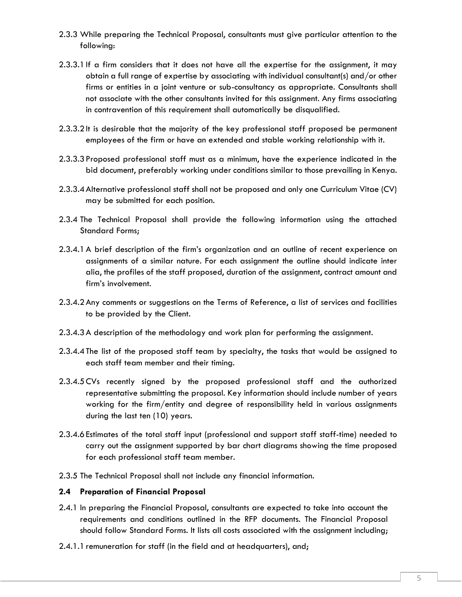- 2.3.3 While preparing the Technical Proposal, consultants must give particular attention to the following:
- 2.3.3.1If a firm considers that it does not have all the expertise for the assignment, it may obtain a full range of expertise by associating with individual consultant(s) and/or other firms or entities in a joint venture or sub-consultancy as appropriate. Consultants shall not associate with the other consultants invited for this assignment. Any firms associating in contravention of this requirement shall automatically be disqualified.
- 2.3.3.2It is desirable that the majority of the key professional staff proposed be permanent employees of the firm or have an extended and stable working relationship with it.
- 2.3.3.3Proposed professional staff must as a minimum, have the experience indicated in the bid document, preferably working under conditions similar to those prevailing in Kenya.
- 2.3.3.4Alternative professional staff shall not be proposed and only one Curriculum Vitae (CV) may be submitted for each position.
- 2.3.4 The Technical Proposal shall provide the following information using the attached Standard Forms;
- 2.3.4.1A brief description of the firm's organization and an outline of recent experience on assignments of a similar nature. For each assignment the outline should indicate inter alia, the profiles of the staff proposed, duration of the assignment, contract amount and firm's involvement.
- 2.3.4.2Any comments or suggestions on the Terms of Reference, a list of services and facilities to be provided by the Client.
- 2.3.4.3A description of the methodology and work plan for performing the assignment.
- 2.3.4.4The list of the proposed staff team by specialty, the tasks that would be assigned to each staff team member and their timing.
- 2.3.4.5CVs recently signed by the proposed professional staff and the authorized representative submitting the proposal. Key information should include number of years working for the firm/entity and degree of responsibility held in various assignments during the last ten (10) years.
- 2.3.4.6Estimates of the total staff input (professional and support staff staff-time) needed to carry out the assignment supported by bar chart diagrams showing the time proposed for each professional staff team member.
- 2.3.5 The Technical Proposal shall not include any financial information.

### **2.4 Preparation of Financial Proposal**

- 2.4.1 In preparing the Financial Proposal, consultants are expected to take into account the requirements and conditions outlined in the RFP documents. The Financial Proposal should follow Standard Forms. It lists all costs associated with the assignment including;
- 2.4.1.1 remuneration for staff (in the field and at headquarters), and;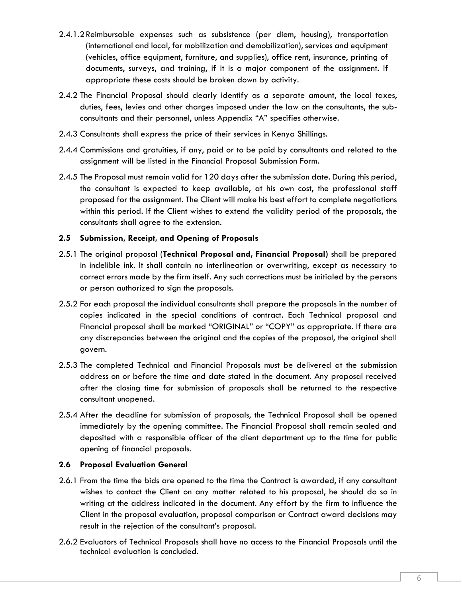- 2.4.1.2Reimbursable expenses such as subsistence (per diem, housing), transportation (international and local, for mobilization and demobilization), services and equipment (vehicles, office equipment, furniture, and supplies), office rent, insurance, printing of documents, surveys, and training, if it is a major component of the assignment. If appropriate these costs should be broken down by activity.
- 2.4.2 The Financial Proposal should clearly identify as a separate amount, the local taxes, duties, fees, levies and other charges imposed under the law on the consultants, the subconsultants and their personnel, unless Appendix "A" specifies otherwise.
- 2.4.3 Consultants shall express the price of their services in Kenya Shillings.
- 2.4.4 Commissions and gratuities, if any, paid or to be paid by consultants and related to the assignment will be listed in the Financial Proposal Submission Form.
- 2.4.5 The Proposal must remain valid for 120 days after the submission date. During this period, the consultant is expected to keep available, at his own cost, the professional staff proposed for the assignment. The Client will make his best effort to complete negotiations within this period. If the Client wishes to extend the validity period of the proposals, the consultants shall agree to the extension.

### **2.5 Submission, Receipt, and Opening of Proposals**

- 2.5.1 The original proposal (**Technical Proposal and, Financial Proposal)** shall be prepared in indelible ink. It shall contain no interlineation or overwriting, except as necessary to correct errors made by the firm itself. Any such corrections must be initialed by the persons or person authorized to sign the proposals.
- 2.5.2 For each proposal the individual consultants shall prepare the proposals in the number of copies indicated in the special conditions of contract. Each Technical proposal and Financial proposal shall be marked "ORIGINAL" or "COPY" as appropriate. If there are any discrepancies between the original and the copies of the proposal, the original shall govern.
- 2.5.3 The completed Technical and Financial Proposals must be delivered at the submission address on or before the time and date stated in the document. Any proposal received after the closing time for submission of proposals shall be returned to the respective consultant unopened.
- 2.5.4 After the deadline for submission of proposals, the Technical Proposal shall be opened immediately by the opening committee. The Financial Proposal shall remain sealed and deposited with a responsible officer of the client department up to the time for public opening of financial proposals.

### **2.6 Proposal Evaluation General**

- 2.6.1 From the time the bids are opened to the time the Contract is awarded, if any consultant wishes to contact the Client on any matter related to his proposal, he should do so in writing at the address indicated in the document. Any effort by the firm to influence the Client in the proposal evaluation, proposal comparison or Contract award decisions may result in the rejection of the consultant's proposal.
- 2.6.2 Evaluators of Technical Proposals shall have no access to the Financial Proposals until the technical evaluation is concluded.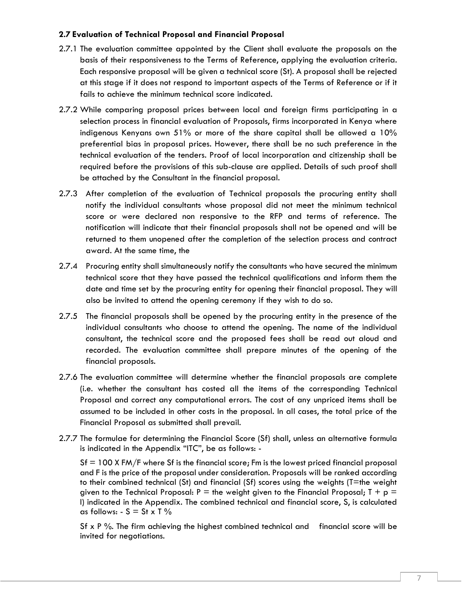### **2.7 Evaluation of Technical Proposal and Financial Proposal**

- 2.7.1 The evaluation committee appointed by the Client shall evaluate the proposals on the basis of their responsiveness to the Terms of Reference, applying the evaluation criteria. Each responsive proposal will be given a technical score (St). A proposal shall be rejected at this stage if it does not respond to important aspects of the Terms of Reference or if it fails to achieve the minimum technical score indicated.
- 2.7.2 While comparing proposal prices between local and foreign firms participating in a selection process in financial evaluation of Proposals, firms incorporated in Kenya where indigenous Kenyans own 51% or more of the share capital shall be allowed a 10% preferential bias in proposal prices. However, there shall be no such preference in the technical evaluation of the tenders. Proof of local incorporation and citizenship shall be required before the provisions of this sub-clause are applied. Details of such proof shall be attached by the Consultant in the financial proposal.
- 2.7.3 After completion of the evaluation of Technical proposals the procuring entity shall notify the individual consultants whose proposal did not meet the minimum technical score or were declared non responsive to the RFP and terms of reference. The notification will indicate that their financial proposals shall not be opened and will be returned to them unopened after the completion of the selection process and contract award. At the same time, the
- 2.7.4 Procuring entity shall simultaneously notify the consultants who have secured the minimum technical score that they have passed the technical qualifications and inform them the date and time set by the procuring entity for opening their financial proposal. They will also be invited to attend the opening ceremony if they wish to do so.
- 2.7.5 The financial proposals shall be opened by the procuring entity in the presence of the individual consultants who choose to attend the opening. The name of the individual consultant, the technical score and the proposed fees shall be read out aloud and recorded. The evaluation committee shall prepare minutes of the opening of the financial proposals.
- 2.7.6 The evaluation committee will determine whether the financial proposals are complete (i.e. whether the consultant has costed all the items of the corresponding Technical Proposal and correct any computational errors. The cost of any unpriced items shall be assumed to be included in other costs in the proposal. In all cases, the total price of the Financial Proposal as submitted shall prevail.
- 2.7.7 The formulae for determining the Financial Score (Sf) shall, unless an alternative formula is indicated in the Appendix "ITC", be as follows: -

 $S_f = 100$  X FM/F where Sf is the financial score; Fm is the lowest priced financial proposal and F is the price of the proposal under consideration. Proposals will be ranked according to their combined technical (St) and financial (Sf) scores using the weights (T=the weight given to the Technical Proposal:  $P =$  the weight given to the Financial Proposal;  $T + p =$ I) indicated in the Appendix. The combined technical and financial score, S, is calculated as follows:  $-S = St \times T$  %

Sf x P %. The firm achieving the highest combined technical and financial score will be invited for negotiations.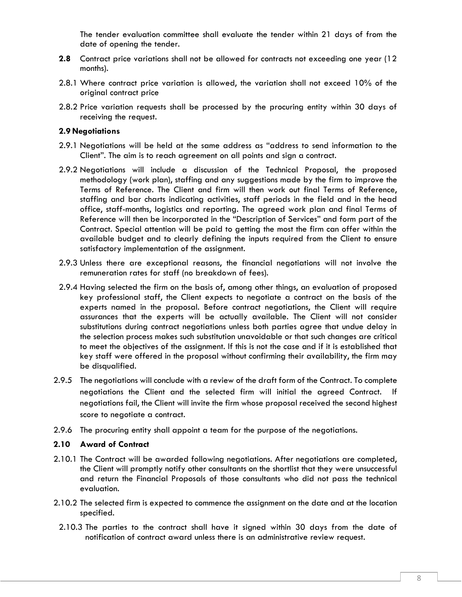The tender evaluation committee shall evaluate the tender within 21 days of from the date of opening the tender.

- **2.8** Contract price variations shall not be allowed for contracts not exceeding one year (12 months).
- 2.8.1 Where contract price variation is allowed, the variation shall not exceed 10% of the original contract price
- 2.8.2 Price variation requests shall be processed by the procuring entity within 30 days of receiving the request.

### **2.9 Negotiations**

- 2.9.1 Negotiations will be held at the same address as "address to send information to the Client". The aim is to reach agreement on all points and sign a contract.
- 2.9.2 Negotiations will include a discussion of the Technical Proposal, the proposed methodology (work plan), staffing and any suggestions made by the firm to improve the Terms of Reference. The Client and firm will then work out final Terms of Reference, staffing and bar charts indicating activities, staff periods in the field and in the head office, staff-months, logistics and reporting. The agreed work plan and final Terms of Reference will then be incorporated in the "Description of Services" and form part of the Contract. Special attention will be paid to getting the most the firm can offer within the available budget and to clearly defining the inputs required from the Client to ensure satisfactory implementation of the assignment.
- 2.9.3 Unless there are exceptional reasons, the financial negotiations will not involve the remuneration rates for staff (no breakdown of fees).
- 2.9.4 Having selected the firm on the basis of, among other things, an evaluation of proposed key professional staff, the Client expects to negotiate a contract on the basis of the experts named in the proposal. Before contract negotiations, the Client will require assurances that the experts will be actually available. The Client will not consider substitutions during contract negotiations unless both parties agree that undue delay in the selection process makes such substitution unavoidable or that such changes are critical to meet the objectives of the assignment. If this is not the case and if it is established that key staff were offered in the proposal without confirming their availability, the firm may be disqualified.
- 2.9.5 The negotiations will conclude with a review of the draft form of the Contract. To complete negotiations the Client and the selected firm will initial the agreed Contract. If negotiations fail, the Client will invite the firm whose proposal received the second highest score to negotiate a contract.
- 2.9.6 The procuring entity shall appoint a team for the purpose of the negotiations.

### **2.10 Award of Contract**

- 2.10.1 The Contract will be awarded following negotiations. After negotiations are completed, the Client will promptly notify other consultants on the shortlist that they were unsuccessful and return the Financial Proposals of those consultants who did not pass the technical evaluation.
- 2.10.2 The selected firm is expected to commence the assignment on the date and at the location specified.
	- 2.10.3 The parties to the contract shall have it signed within 30 days from the date of notification of contract award unless there is an administrative review request.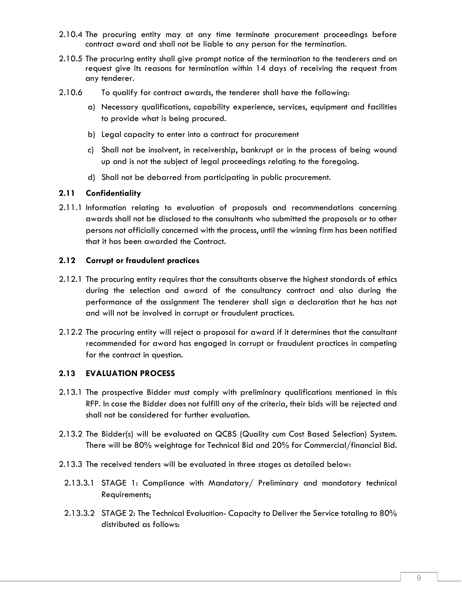- 2.10.4 The procuring entity may at any time terminate procurement proceedings before contract award and shall not be liable to any person for the termination.
- 2.10.5 The procuring entity shall give prompt notice of the termination to the tenderers and on request give its reasons for termination within 14 days of receiving the request from any tenderer.
- 2.10.6 To qualify for contract awards, the tenderer shall have the following:
	- a) Necessary qualifications, capability experience, services, equipment and facilities to provide what is being procured.
	- b) Legal capacity to enter into a contract for procurement
	- c) Shall not be insolvent, in receivership, bankrupt or in the process of being wound up and is not the subject of legal proceedings relating to the foregoing.
	- d) Shall not be debarred from participating in public procurement.

### **2.11 Confidentiality**

2.11.1 Information relating to evaluation of proposals and recommendations concerning awards shall not be disclosed to the consultants who submitted the proposals or to other persons not officially concerned with the process, until the winning firm has been notified that it has been awarded the Contract.

### **2.12 Corrupt or fraudulent practices**

- 2.12.1 The procuring entity requires that the consultants observe the highest standards of ethics during the selection and award of the consultancy contract and also during the performance of the assignment The tenderer shall sign a declaration that he has not and will not be involved in corrupt or fraudulent practices.
- 2.12.2 The procuring entity will reject a proposal for award if it determines that the consultant recommended for award has engaged in corrupt or fraudulent practices in competing for the contract in question.

### **2.13 EVALUATION PROCESS**

- 2.13.1 The prospective Bidder must comply with preliminary qualifications mentioned in this RFP. In case the Bidder does not fulfill any of the criteria, their bids will be rejected and shall not be considered for further evaluation.
- 2.13.2 The Bidder(s) will be evaluated on QCBS (Quality cum Cost Based Selection) System. There will be 80% weightage for Technical Bid and 20% for Commercial/financial Bid.
- 2.13.3 The received tenders will be evaluated in three stages as detailed below:
	- 2.13.3.1 STAGE 1: Compliance with Mandatory/ Preliminary and mandatory technical Requirements;
	- 2.13.3.2 STAGE 2: The Technical Evaluation- Capacity to Deliver the Service totaling to 80% distributed as follows: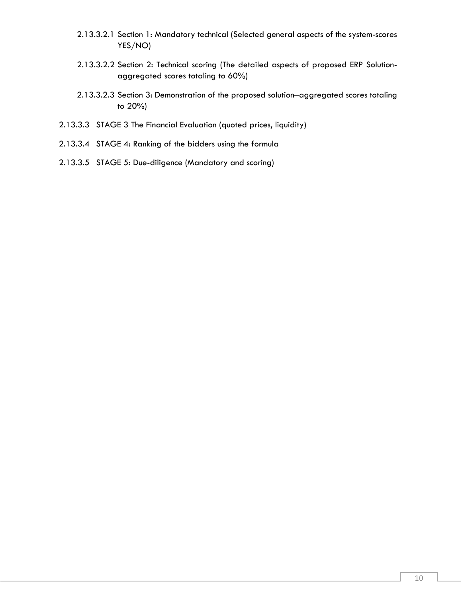- 2.13.3.2.1 Section 1: Mandatory technical (Selected general aspects of the system-scores YES/NO)
- 2.13.3.2.2 Section 2: Technical scoring (The detailed aspects of proposed ERP Solutionaggregated scores totaling to 60%)
- 2.13.3.2.3 Section 3: Demonstration of the proposed solution–aggregated scores totaling to 20%)
- 2.13.3.3 STAGE 3 The Financial Evaluation (quoted prices, liquidity)
- 2.13.3.4 STAGE 4: Ranking of the bidders using the formula
- 2.13.3.5 STAGE 5: Due-diligence (Mandatory and scoring)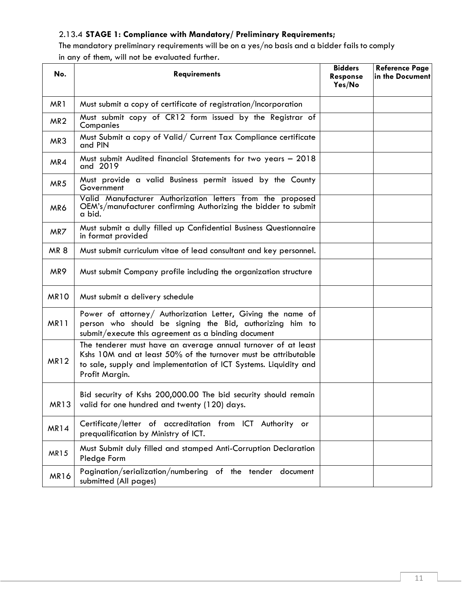# 2.13.4 **STAGE 1: Compliance with Mandatory/ Preliminary Requirements;**

The mandatory preliminary requirements will be on a yes/no basis and a bidder fails to comply in any of them, will not be evaluated further.

| No.             | <b>Requirements</b>                                                                                                                                                                                                   | <b>Bidders</b><br><b>Response</b><br>Yes/No | <b>Reference Page</b><br>in the Document |
|-----------------|-----------------------------------------------------------------------------------------------------------------------------------------------------------------------------------------------------------------------|---------------------------------------------|------------------------------------------|
| MR <sub>1</sub> | Must submit a copy of certificate of registration/Incorporation                                                                                                                                                       |                                             |                                          |
| MR <sub>2</sub> | Must submit copy of CR12 form issued by the Registrar of<br>Companies                                                                                                                                                 |                                             |                                          |
| MR3             | Must Submit a copy of Valid/ Current Tax Compliance certificate<br>and PIN                                                                                                                                            |                                             |                                          |
| MR4             | Must submit Audited financial Statements for two years - 2018<br>and 2019                                                                                                                                             |                                             |                                          |
| MR5             | Must provide a valid Business permit issued by the County<br>Government                                                                                                                                               |                                             |                                          |
| MR6             | Valid Manufacturer Authorization letters from the proposed<br>OEM's/manufacturer confirming Authorizing the bidder to submit<br>a bid.                                                                                |                                             |                                          |
| MR7             | Must submit a dully filled up Confidential Business Questionnaire<br>in format provided                                                                                                                               |                                             |                                          |
| <b>MR8</b>      | Must submit curriculum vitae of lead consultant and key personnel.                                                                                                                                                    |                                             |                                          |
| MR9             | Must submit Company profile including the organization structure                                                                                                                                                      |                                             |                                          |
| <b>MR10</b>     | Must submit a delivery schedule                                                                                                                                                                                       |                                             |                                          |
| <b>MR11</b>     | Power of attorney/ Authorization Letter, Giving the name of<br>person who should be signing the Bid, authorizing him to<br>submit/execute this agreement as a binding document                                        |                                             |                                          |
| <b>MR12</b>     | The tenderer must have an average annual turnover of at least<br>Kshs 10M and at least 50% of the turnover must be attributable<br>to sale, supply and implementation of ICT Systems. Liquidity and<br>Profit Margin. |                                             |                                          |
| MR13            | Bid security of Kshs 200,000.00 The bid security should remain<br>valid for one hundred and twenty (120) days.                                                                                                        |                                             |                                          |
| MR14            | Certificate/letter of accreditation from ICT Authority or<br>prequalification by Ministry of ICT.                                                                                                                     |                                             |                                          |
| MR15            | Must Submit duly filled and stamped Anti-Corruption Declaration<br>Pledge Form                                                                                                                                        |                                             |                                          |
| <b>MR16</b>     | Pagination/serialization/numbering of the tender document<br>submitted (All pages)                                                                                                                                    |                                             |                                          |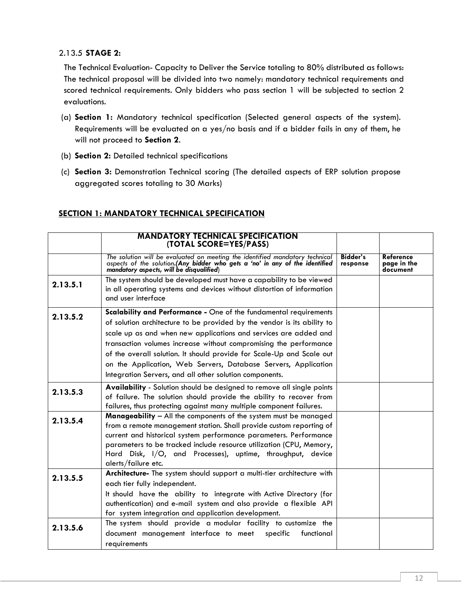### 2.13.5 **STAGE 2:**

The Technical Evaluation- Capacity to Deliver the Service totaling to 80% distributed as follows: The technical proposal will be divided into two namely: mandatory technical requirements and scored technical requirements. Only bidders who pass section 1 will be subjected to section 2 evaluations.

- (a) **Section 1:** Mandatory technical specification (Selected general aspects of the system). Requirements will be evaluated on a yes/no basis and if a bidder fails in any of them, he will not proceed to **Section 2**.
- (b) **Section 2:** Detailed technical specifications
- (c) **Section 3:** Demonstration Technical scoring (The detailed aspects of ERP solution propose aggregated scores totaling to 30 Marks)

#### **MANDATORY TECHNICAL SPECIFICATION (TOTAL SCORE=YES/PASS)** *The solution will be evaluated on meeting the identified mandatory technical aspects of the solution.(Any bidder who gets a 'no' in any of the identified mandatory aspects, will be disqualified*) **Bidder's response Reference page in the document 2.13.5.1** The system should be developed must have a capability to be viewed in all operating systems and devices without distortion of information and user interface **2.13.5.2 Scalability and Performance -** One of the fundamental requirements of solution architecture to be provided by the vendor is its ability to scale up as and when new applications and services are added and transaction volumes increase without compromising the performance of the overall solution. It should provide for Scale-Up and Scale out on the Application, Web Servers, Database Servers, Application Integration Servers, and all other solution components. **2.13.5.3 Availability** - Solution should be designed to remove all single points of failure. The solution should provide the ability to recover from failures, thus protecting against many multiple component failures. **2.13.5.4 Manageability** – All the components of the system must be managed from a remote management station. Shall provide custom reporting of current and historical system performance parameters. Performance parameters to be tracked include resource utilization (CPU, Memory, Hard Disk, I/O, and Processes), uptime, throughput, device alerts/failure etc. **2.13.5.5 Architecture-** The system should support a multi-tier architecture with each tier fully independent. It should have the ability to integrate with Active Directory (for authentication) and e-mail system and also provide a flexible API for system integration and application development. **2.13.5.6** The system should provide a modular facility to customize the document management interface to meet specific functional document management interface to meet requirements

### **SECTION 1: MANDATORY TECHNICAL SPECIFICATION**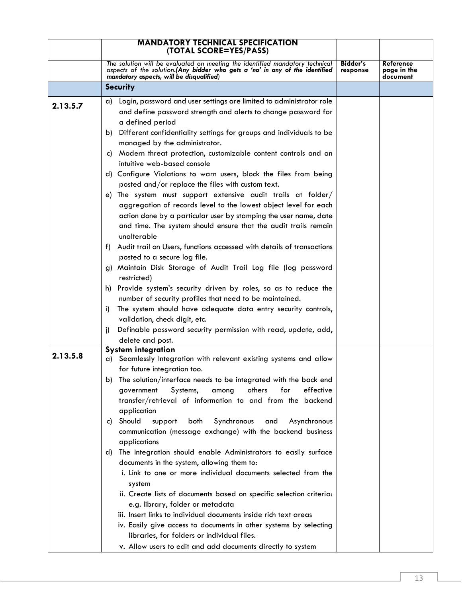|          | <b>MANDATORY TECHNICAL SPECIFICATION</b><br>(TOTAL SCORE=YES/PASS)                                                                                                                                                                                                                                                                                                                                                                                |                      |                                      |
|----------|---------------------------------------------------------------------------------------------------------------------------------------------------------------------------------------------------------------------------------------------------------------------------------------------------------------------------------------------------------------------------------------------------------------------------------------------------|----------------------|--------------------------------------|
|          | The solution will be evaluated on meeting the identified mandatory technical<br>aspects of the solution.(Any bidder who gets a 'no' in any of the identified mandatory aspects, will be disqualified)                                                                                                                                                                                                                                             | Bidder's<br>response | Reference<br>page in the<br>document |
|          | <b>Security</b>                                                                                                                                                                                                                                                                                                                                                                                                                                   |                      |                                      |
| 2.13.5.7 | Login, password and user settings are limited to administrator role<br>a)<br>and define password strength and alerts to change password for<br>a defined period                                                                                                                                                                                                                                                                                   |                      |                                      |
|          | Different confidentiality settings for groups and individuals to be<br>b)<br>managed by the administrator.                                                                                                                                                                                                                                                                                                                                        |                      |                                      |
|          | Modern threat protection, customizable content controls and an<br>C)<br>intuitive web-based console                                                                                                                                                                                                                                                                                                                                               |                      |                                      |
|          | d) Configure Violations to warn users, block the files from being<br>posted and/or replace the files with custom text.                                                                                                                                                                                                                                                                                                                            |                      |                                      |
|          | e) The system must support extensive audit trails at folder/<br>aggregation of records level to the lowest object level for each<br>action done by a particular user by stamping the user name, date<br>and time. The system should ensure that the audit trails remain<br>unalterable                                                                                                                                                            |                      |                                      |
|          | f) Audit trail on Users, functions accessed with details of transactions<br>posted to a secure log file.                                                                                                                                                                                                                                                                                                                                          |                      |                                      |
|          | g) Maintain Disk Storage of Audit Trail Log file (log password<br>restricted)                                                                                                                                                                                                                                                                                                                                                                     |                      |                                      |
|          | h) Provide system's security driven by roles, so as to reduce the<br>number of security profiles that need to be maintained.                                                                                                                                                                                                                                                                                                                      |                      |                                      |
|          | The system should have adequate data entry security controls,<br>i)<br>validation, check digit, etc.                                                                                                                                                                                                                                                                                                                                              |                      |                                      |
|          | Definable password security permission with read, update, add,<br>j)<br>delete and post.                                                                                                                                                                                                                                                                                                                                                          |                      |                                      |
| 2.13.5.8 | <b>System integration</b><br>Seamlessly Integration with relevant existing systems and allow<br>a)                                                                                                                                                                                                                                                                                                                                                |                      |                                      |
|          | for future integration too.<br>b) The solution/interface needs to be integrated with the back end<br>effective<br>others<br>for<br>government<br>Systems,<br>among<br>transfer/retrieval of information to and from the backend                                                                                                                                                                                                                   |                      |                                      |
|          | application<br>Should<br>Synchronous<br>support<br>both<br>Asynchronous<br>and<br>C)<br>communication (message exchange) with the backend business<br>applications                                                                                                                                                                                                                                                                                |                      |                                      |
|          | The integration should enable Administrators to easily surface<br>d)<br>documents in the system, allowing them to:<br>i. Link to one or more individual documents selected from the<br>system<br>ii. Create lists of documents based on specific selection criteria:<br>e.g. library, folder or metadata<br>iii. Insert links to individual documents inside rich text areas<br>iv. Easily give access to documents in other systems by selecting |                      |                                      |
|          | libraries, for folders or individual files.<br>v. Allow users to edit and add documents directly to system                                                                                                                                                                                                                                                                                                                                        |                      |                                      |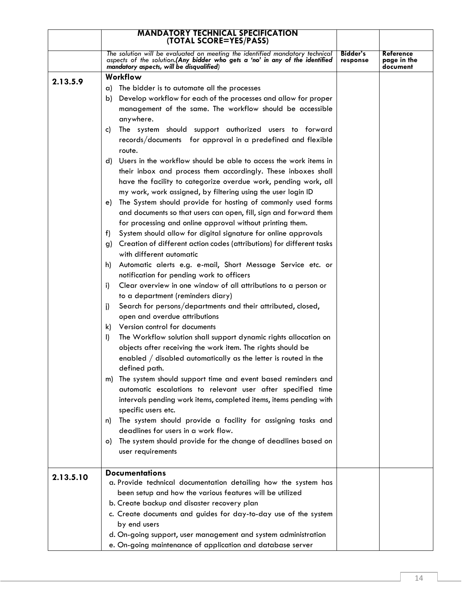|           | <b>MANDATORY TECHNICAL SPECIFICATION</b><br>(TOTAL SCORE=YES/PASS)                                                                                                                                     |                             |                                      |
|-----------|--------------------------------------------------------------------------------------------------------------------------------------------------------------------------------------------------------|-----------------------------|--------------------------------------|
|           |                                                                                                                                                                                                        |                             |                                      |
|           | The solution will be evaluated on meeting the identified mandatory technical<br>aspects of the solution. (Any bidder who gets a 'no' in any of the identified mandatory aspects, will be disqualified) | <b>Bidder's</b><br>response | Reference<br>page in the<br>document |
| 2.13.5.9  | Workflow                                                                                                                                                                                               |                             |                                      |
|           | The bidder is to automate all the processes<br>a)                                                                                                                                                      |                             |                                      |
|           | Develop workflow for each of the processes and allow for proper<br>b)                                                                                                                                  |                             |                                      |
|           | management of the same. The workflow should be accessible                                                                                                                                              |                             |                                      |
|           | anywhere.                                                                                                                                                                                              |                             |                                      |
|           | The system should support authorized users to forward<br>C)                                                                                                                                            |                             |                                      |
|           | records/documents for approval in a predefined and flexible                                                                                                                                            |                             |                                      |
|           | route.                                                                                                                                                                                                 |                             |                                      |
|           | Users in the workflow should be able to access the work items in<br>d)                                                                                                                                 |                             |                                      |
|           | their inbox and process them accordingly. These inboxes shall                                                                                                                                          |                             |                                      |
|           | have the facility to categorize overdue work, pending work, all                                                                                                                                        |                             |                                      |
|           | my work, work assigned, by filtering using the user login ID                                                                                                                                           |                             |                                      |
|           | The System should provide for hosting of commonly used forms<br>e).                                                                                                                                    |                             |                                      |
|           | and documents so that users can open, fill, sign and forward them                                                                                                                                      |                             |                                      |
|           | for processing and online approval without printing them.                                                                                                                                              |                             |                                      |
|           | System should allow for digital signature for online approvals<br>f).                                                                                                                                  |                             |                                      |
|           | Creation of different action codes (attributions) for different tasks<br>g)                                                                                                                            |                             |                                      |
|           | with different automatic                                                                                                                                                                               |                             |                                      |
|           | Automatic alerts e.g. e-mail, Short Message Service etc. or<br>h)                                                                                                                                      |                             |                                      |
|           | notification for pending work to officers                                                                                                                                                              |                             |                                      |
|           | Clear overview in one window of all attributions to a person or<br>i)                                                                                                                                  |                             |                                      |
|           | to a department (reminders diary)                                                                                                                                                                      |                             |                                      |
|           | Search for persons/departments and their attributed, closed,<br>i)                                                                                                                                     |                             |                                      |
|           | open and overdue attributions                                                                                                                                                                          |                             |                                      |
|           | k) Version control for documents                                                                                                                                                                       |                             |                                      |
|           | The Workflow solution shall support dynamic rights allocation on<br>I)                                                                                                                                 |                             |                                      |
|           | objects after receiving the work item. The rights should be<br>enabled $/$ disabled automatically as the letter is routed in the                                                                       |                             |                                      |
|           | defined path.                                                                                                                                                                                          |                             |                                      |
|           | The system should support time and event based reminders and<br>m)                                                                                                                                     |                             |                                      |
|           | automatic escalations to relevant user after specified time                                                                                                                                            |                             |                                      |
|           | intervals pending work items, completed items, items pending with                                                                                                                                      |                             |                                      |
|           | specific users etc.                                                                                                                                                                                    |                             |                                      |
|           | The system should provide a facility for assigning tasks and<br>n)                                                                                                                                     |                             |                                      |
|           | deadlines for users in a work flow.                                                                                                                                                                    |                             |                                      |
|           | The system should provide for the change of deadlines based on<br>O).                                                                                                                                  |                             |                                      |
|           | user requirements                                                                                                                                                                                      |                             |                                      |
|           |                                                                                                                                                                                                        |                             |                                      |
| 2.13.5.10 | <b>Documentations</b>                                                                                                                                                                                  |                             |                                      |
|           | a. Provide technical documentation detailing how the system has                                                                                                                                        |                             |                                      |
|           | been setup and how the various features will be utilized                                                                                                                                               |                             |                                      |
|           | b. Create backup and disaster recovery plan                                                                                                                                                            |                             |                                      |
|           | c. Create documents and guides for day-to-day use of the system                                                                                                                                        |                             |                                      |
|           | by end users                                                                                                                                                                                           |                             |                                      |
|           | d. On-going support, user management and system administration                                                                                                                                         |                             |                                      |
|           | e. On-going maintenance of application and database server                                                                                                                                             |                             |                                      |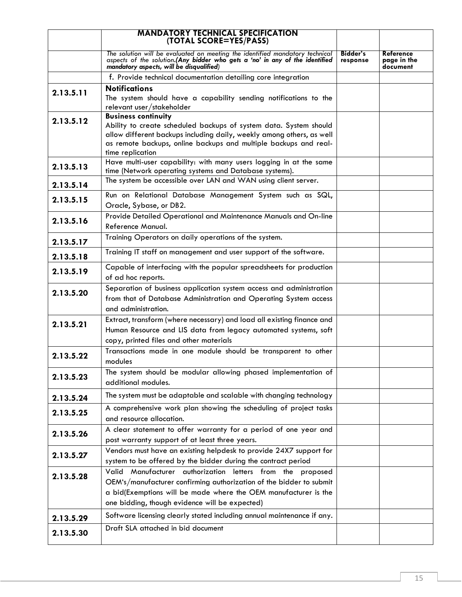|           | <b>MANDATORY TECHNICAL SPECIFICATION</b><br>(TOTAL SCORE=YES/PASS)                                                                                                                                 |                             |                                      |
|-----------|----------------------------------------------------------------------------------------------------------------------------------------------------------------------------------------------------|-----------------------------|--------------------------------------|
|           | The solution will be evaluated on meeting the identified mandatory technical aspects of the solution.(Any bidder who gets a 'no' in any of the identified mandatory aspects, will be disqualified) | <b>Bidder's</b><br>response | Reference<br>page in the<br>document |
|           | f. Provide technical documentation detailing core integration                                                                                                                                      |                             |                                      |
|           | <b>Notifications</b>                                                                                                                                                                               |                             |                                      |
| 2.13.5.11 | The system should have a capability sending notifications to the                                                                                                                                   |                             |                                      |
|           | relevant user/stakeholder                                                                                                                                                                          |                             |                                      |
| 2.13.5.12 | <b>Business continuity</b>                                                                                                                                                                         |                             |                                      |
|           | Ability to create scheduled backups of system data. System should<br>allow different backups including daily, weekly among others, as well                                                         |                             |                                      |
|           | as remote backups, online backups and multiple backups and real-                                                                                                                                   |                             |                                      |
|           | time replication                                                                                                                                                                                   |                             |                                      |
|           | Have multi-user capability: with many users logging in at the same                                                                                                                                 |                             |                                      |
| 2.13.5.13 | time (Network operating systems and Database systems).                                                                                                                                             |                             |                                      |
| 2.13.5.14 | The system be accessible over LAN and WAN using client server.                                                                                                                                     |                             |                                      |
| 2.13.5.15 | Run on Relational Database Management System such as SQL,                                                                                                                                          |                             |                                      |
|           | Oracle, Sybase, or DB2.                                                                                                                                                                            |                             |                                      |
| 2.13.5.16 | Provide Detailed Operational and Maintenance Manuals and On-line                                                                                                                                   |                             |                                      |
|           | Reference Manual.                                                                                                                                                                                  |                             |                                      |
| 2.13.5.17 | Training Operators on daily operations of the system.                                                                                                                                              |                             |                                      |
| 2.13.5.18 | Training IT staff on management and user support of the software.                                                                                                                                  |                             |                                      |
| 2.13.5.19 | Capable of interfacing with the popular spreadsheets for production                                                                                                                                |                             |                                      |
|           | of ad hoc reports.                                                                                                                                                                                 |                             |                                      |
| 2.13.5.20 | Separation of business application system access and administration                                                                                                                                |                             |                                      |
|           | from that of Database Administration and Operating System access                                                                                                                                   |                             |                                      |
|           | and administration.                                                                                                                                                                                |                             |                                      |
| 2.13.5.21 | Extract, transform (where necessary) and load all existing finance and                                                                                                                             |                             |                                      |
|           | Human Resource and LIS data from legacy automated systems, soft                                                                                                                                    |                             |                                      |
|           | copy, printed files and other materials                                                                                                                                                            |                             |                                      |
| 2.13.5.22 | Transactions made in one module should be transparent to other                                                                                                                                     |                             |                                      |
|           | modules                                                                                                                                                                                            |                             |                                      |
| 2.13.5.23 | The system should be modular allowing phased implementation of                                                                                                                                     |                             |                                      |
|           | additional modules.                                                                                                                                                                                |                             |                                      |
| 2.13.5.24 | The system must be adaptable and scalable with changing technology                                                                                                                                 |                             |                                      |
| 2.13.5.25 | A comprehensive work plan showing the scheduling of project tasks                                                                                                                                  |                             |                                      |
|           | and resource allocation.                                                                                                                                                                           |                             |                                      |
| 2.13.5.26 | A clear statement to offer warranty for a period of one year and                                                                                                                                   |                             |                                      |
|           | post warranty support of at least three years.                                                                                                                                                     |                             |                                      |
| 2.13.5.27 | Vendors must have an existing helpdesk to provide 24X7 support for                                                                                                                                 |                             |                                      |
|           | system to be offered by the bidder during the contract period                                                                                                                                      |                             |                                      |
| 2.13.5.28 | Valid Manufacturer authorization letters from the proposed                                                                                                                                         |                             |                                      |
|           | OEM's/manufacturer confirming authorization of the bidder to submit                                                                                                                                |                             |                                      |
|           | a bid(Exemptions will be made where the OEM manufacturer is the                                                                                                                                    |                             |                                      |
|           | one bidding, though evidence will be expected)                                                                                                                                                     |                             |                                      |
| 2.13.5.29 | Software licensing clearly stated including annual maintenance if any.                                                                                                                             |                             |                                      |
| 2.13.5.30 | Draft SLA attached in bid document                                                                                                                                                                 |                             |                                      |
|           |                                                                                                                                                                                                    |                             |                                      |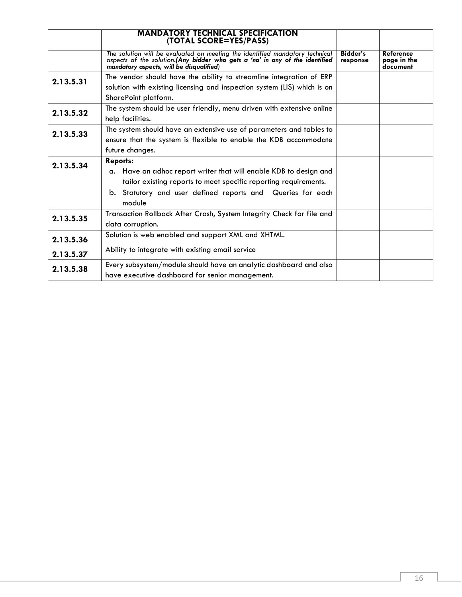|           | <b>MANDATORY TECHNICAL SPECIFICATION</b><br>(TOTAL SCORE=YES/PASS)                                                                                                                                    |                             |                                      |  |
|-----------|-------------------------------------------------------------------------------------------------------------------------------------------------------------------------------------------------------|-----------------------------|--------------------------------------|--|
|           | The solution will be evaluated on meeting the identified mandatory technical<br>aspects of the solution.(Any bidder who gets a 'no' in any of the identified mandatory aspects, will be disqualified) | <b>Bidder's</b><br>response | Reference<br>page in the<br>document |  |
| 2.13.5.31 | The vendor should have the ability to streamline integration of ERP                                                                                                                                   |                             |                                      |  |
|           | solution with existing licensing and inspection system (LIS) which is on<br>SharePoint platform.                                                                                                      |                             |                                      |  |
| 2.13.5.32 | The system should be user friendly, menu driven with extensive online<br>help facilities.                                                                                                             |                             |                                      |  |
| 2.13.5.33 | The system should have an extensive use of parameters and tables to<br>ensure that the system is flexible to enable the KDB accommodate                                                               |                             |                                      |  |
|           | future changes.                                                                                                                                                                                       |                             |                                      |  |
| 2.13.5.34 | <b>Reports:</b><br>a. Have an adhoc report writer that will enable KDB to design and<br>tailor existing reports to meet specific reporting requirements.                                              |                             |                                      |  |
|           | b. Statutory and user defined reports and Queries for each<br>module                                                                                                                                  |                             |                                      |  |
| 2.13.5.35 | Transaction Rollback After Crash, System Integrity Check for file and<br>data corruption.                                                                                                             |                             |                                      |  |
| 2.13.5.36 | Solution is web enabled and support XML and XHTML.                                                                                                                                                    |                             |                                      |  |
| 2.13.5.37 | Ability to integrate with existing email service                                                                                                                                                      |                             |                                      |  |
| 2.13.5.38 | Every subsystem/module should have an analytic dashboard and also<br>have executive dashboard for senior management.                                                                                  |                             |                                      |  |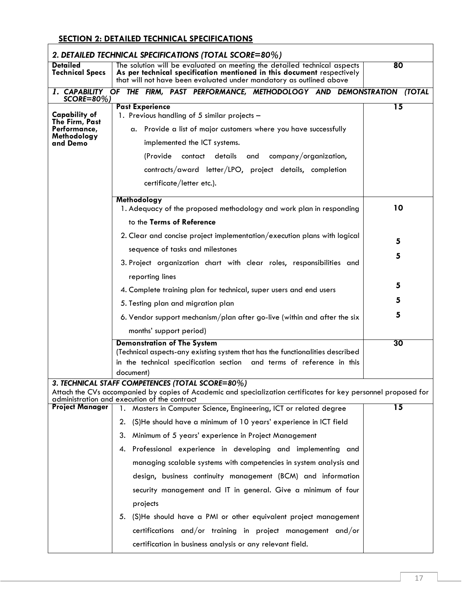# **SECTION 2: DETAILED TECHNICAL SPECIFICATIONS**

|                                                                                                                                                                                                                                                                                                                                                                                  | 2. DETAILED TECHNICAL SPECIFICATIONS (TOTAL SCORE=80%)                                                                                                                                                                    |    |
|----------------------------------------------------------------------------------------------------------------------------------------------------------------------------------------------------------------------------------------------------------------------------------------------------------------------------------------------------------------------------------|---------------------------------------------------------------------------------------------------------------------------------------------------------------------------------------------------------------------------|----|
| <b>Detailed</b><br><b>Technical Specs</b>                                                                                                                                                                                                                                                                                                                                        | The solution will be evaluated on meeting the detailed technical aspects<br>As per technical specification mentioned in this document respectively<br>that will not have been evaluated under mandatory as outlined above | 80 |
| $SCORE = 80\%)$                                                                                                                                                                                                                                                                                                                                                                  | 1. CAPABILITY OF THE FIRM, PAST PERFORMANCE, METHODOLOGY AND DEMONSTRATION (TOTAL                                                                                                                                         |    |
| <b>Past Experience</b><br><b>Capability of</b><br>1. Previous handling of 5 similar projects -<br>The Firm, Past<br>Performance,<br>a. Provide a list of major customers where you have successfully<br>Methodology<br>and Demo<br>implemented the ICT systems.<br>(Provide contact details and company/organization,<br>contracts/award letter/LPO, project details, completion |                                                                                                                                                                                                                           | 15 |
|                                                                                                                                                                                                                                                                                                                                                                                  | certificate/letter etc.).                                                                                                                                                                                                 |    |
|                                                                                                                                                                                                                                                                                                                                                                                  | Methodology<br>1. Adequacy of the proposed methodology and work plan in responding<br>to the Terms of Reference                                                                                                           | 10 |
|                                                                                                                                                                                                                                                                                                                                                                                  | 2. Clear and concise project implementation/execution plans with logical<br>sequence of tasks and milestones                                                                                                              | 5  |
|                                                                                                                                                                                                                                                                                                                                                                                  | 3. Project organization chart with clear roles, responsibilities and                                                                                                                                                      | 5  |
|                                                                                                                                                                                                                                                                                                                                                                                  | reporting lines                                                                                                                                                                                                           | 5  |
|                                                                                                                                                                                                                                                                                                                                                                                  | 4. Complete training plan for technical, super users and end users                                                                                                                                                        | 5  |
|                                                                                                                                                                                                                                                                                                                                                                                  | 5. Testing plan and migration plan<br>6. Vendor support mechanism/plan after go-live (within and after the six                                                                                                            | 5  |
|                                                                                                                                                                                                                                                                                                                                                                                  | months' support period)                                                                                                                                                                                                   |    |
|                                                                                                                                                                                                                                                                                                                                                                                  | <b>Demonstration of The System</b><br>(Technical aspects-any existing system that has the functionalities described<br>in the technical specification section and terms of reference in this<br>document)                 | 30 |
|                                                                                                                                                                                                                                                                                                                                                                                  | 3. TECHNICAL STAFF COMPETENCES (TOTAL SCORE=80%)                                                                                                                                                                          |    |
|                                                                                                                                                                                                                                                                                                                                                                                  | Attach the CVs accompanied by copies of Academic and specialization certificates for key personnel proposed for<br>administration and execution of the contract                                                           |    |
| <b>Project Manager</b>                                                                                                                                                                                                                                                                                                                                                           | Masters in Computer Science, Engineering, ICT or related degree<br>1.                                                                                                                                                     | 15 |
|                                                                                                                                                                                                                                                                                                                                                                                  | (S)He should have a minimum of 10 years' experience in ICT field<br>2.                                                                                                                                                    |    |
|                                                                                                                                                                                                                                                                                                                                                                                  | 3.<br>Minimum of 5 years' experience in Project Management                                                                                                                                                                |    |
|                                                                                                                                                                                                                                                                                                                                                                                  | Professional experience in developing and implementing and<br>4.                                                                                                                                                          |    |
|                                                                                                                                                                                                                                                                                                                                                                                  | managing scalable systems with competencies in system analysis and                                                                                                                                                        |    |
|                                                                                                                                                                                                                                                                                                                                                                                  | design, business continuity management (BCM) and information                                                                                                                                                              |    |
|                                                                                                                                                                                                                                                                                                                                                                                  | security management and IT in general. Give a minimum of four                                                                                                                                                             |    |
|                                                                                                                                                                                                                                                                                                                                                                                  | projects                                                                                                                                                                                                                  |    |
|                                                                                                                                                                                                                                                                                                                                                                                  | 5. (S)He should have a PMI or other equivalent project management                                                                                                                                                         |    |
|                                                                                                                                                                                                                                                                                                                                                                                  | certifications and/or training in project management and/or                                                                                                                                                               |    |
|                                                                                                                                                                                                                                                                                                                                                                                  | certification in business analysis or any relevant field.                                                                                                                                                                 |    |

٦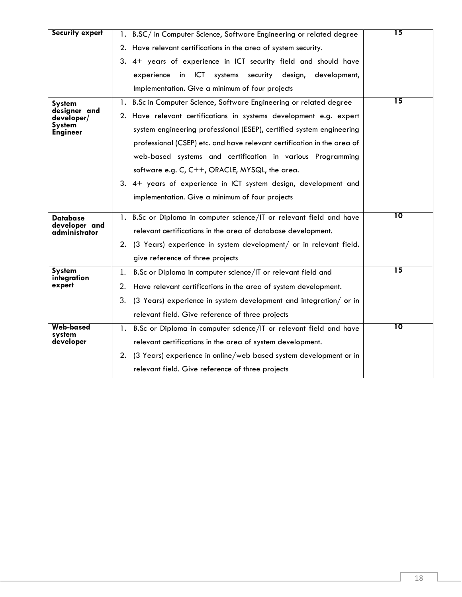| <b>Security expert</b>                                                                                   | 1. B.SC/ in Computer Science, Software Engineering or related degree    |                 |  |
|----------------------------------------------------------------------------------------------------------|-------------------------------------------------------------------------|-----------------|--|
|                                                                                                          | 2. Have relevant certifications in the area of system security.         |                 |  |
|                                                                                                          | 3. 4+ years of experience in ICT security field and should have         |                 |  |
|                                                                                                          | in ICT<br>systems<br>security design,<br>development,<br>experience     |                 |  |
|                                                                                                          | Implementation. Give a minimum of four projects                         |                 |  |
| <b>System</b>                                                                                            | B.Sc in Computer Science, Software Engineering or related degree<br>1.  | 15              |  |
| designer and<br>developer/                                                                               | 2. Have relevant certifications in systems development e.g. expert      |                 |  |
| <b>System</b><br><b>Engineer</b>                                                                         | system engineering professional (ESEP), certified system engineering    |                 |  |
|                                                                                                          | professional (CSEP) etc. and have relevant certification in the area of |                 |  |
|                                                                                                          | web-based systems and certification in various Programming              |                 |  |
|                                                                                                          | software e.g. C, C++, ORACLE, MYSQL, the area.                          |                 |  |
|                                                                                                          | 3. 4+ years of experience in ICT system design, development and         |                 |  |
|                                                                                                          | implementation. Give a minimum of four projects                         |                 |  |
|                                                                                                          |                                                                         | $\overline{10}$ |  |
| 1. B.Sc or Diploma in computer science/IT or relevant field and have<br><b>Database</b><br>developer and |                                                                         |                 |  |
| administrator                                                                                            | relevant certifications in the area of database development.            |                 |  |
|                                                                                                          | 2. (3 Years) experience in system development/ or in relevant field.    |                 |  |
|                                                                                                          | give reference of three projects                                        |                 |  |
| <b>System</b><br>integration                                                                             | B.Sc or Diploma in computer science/IT or relevant field and<br>1.      | 15              |  |
| expert                                                                                                   | Have relevant certifications in the area of system development.<br>2.   |                 |  |
|                                                                                                          | 3.<br>(3 Years) experience in system development and integration/ or in |                 |  |
|                                                                                                          | relevant field. Give reference of three projects                        |                 |  |
| Web-based<br>system                                                                                      | B.Sc or Diploma in computer science/IT or relevant field and have<br>1. | 10              |  |
| developer                                                                                                | relevant certifications in the area of system development.              |                 |  |
|                                                                                                          | 2. (3 Years) experience in online/web based system development or in    |                 |  |
|                                                                                                          | relevant field. Give reference of three projects                        |                 |  |
|                                                                                                          |                                                                         |                 |  |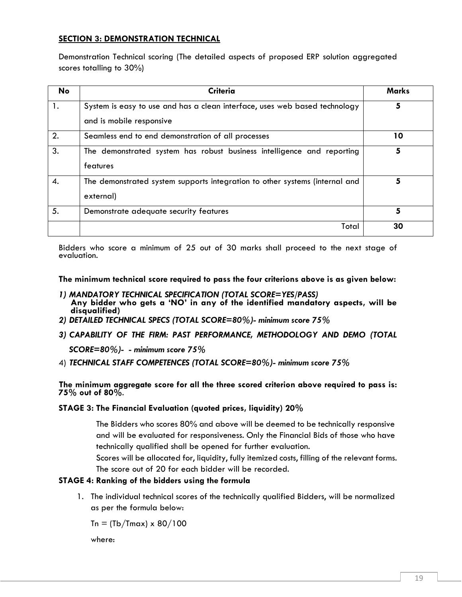### **SECTION 3: DEMONSTRATION TECHNICAL**

Demonstration Technical scoring (The detailed aspects of proposed ERP solution aggregated scores totalling to 30%)

| No | <b>Criteria</b>                                                                                        | Marks |
|----|--------------------------------------------------------------------------------------------------------|-------|
| 1. | System is easy to use and has a clean interface, uses web based technology<br>and is mobile responsive | 5     |
| 2. | Seamless end to end demonstration of all processes                                                     | 10    |
| 3. | The demonstrated system has robust business intelligence and reporting<br>features                     |       |
| 4. | The demonstrated system supports integration to other systems (internal and<br>external)               | 5     |
| 5. | Demonstrate adequate security features                                                                 | 5     |
|    | Total                                                                                                  | 30    |

Bidders who score a minimum of 25 out of 30 marks shall proceed to the next stage of evaluation.

**The minimum technical score required to pass the four criterions above is as given below:**

- *1) MANDATORY TECHNICAL SPECIFICATION (TOTAL SCORE=YES/PASS)* **Any bidder who gets a 'NO' in any of the identified mandatory aspects, will be disqualified)**
- *2) DETAILED TECHNICAL SPECS (TOTAL SCORE=80%)- minimum score 75%*
- *3) CAPABILITY OF THE FIRM: PAST PERFORMANCE, METHODOLOGY AND DEMO (TOTAL*

*SCORE=80%)- - minimum score 75%*

4) *TECHNICAL STAFF COMPETENCES (TOTAL SCORE=80%)- minimum score 75%*

**The minimum aggregate score for all the three scored criterion above required to pass is: 75% out of 80%**.

**STAGE 3: The Financial Evaluation (quoted prices, liquidity) 20%**

The Bidders who scores 80% and above will be deemed to be technically responsive and will be evaluated for responsiveness. Only the Financial Bids of those who have technically qualified shall be opened for further evaluation.

Scores will be allocated for, liquidity, fully itemized costs, filling of the relevant forms. The score out of 20 for each bidder will be recorded.

### **STAGE 4: Ranking of the bidders using the formula**

1. The individual technical scores of the technically qualified Bidders, will be normalized as per the formula below:

 $T_n = (Tb/Tmax) \times 80/100$ 

where: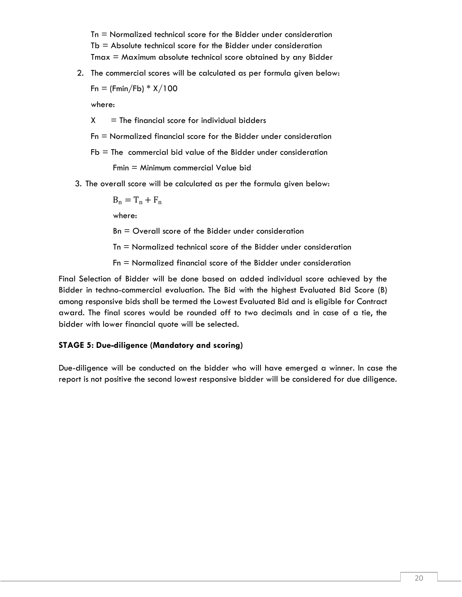Tn = Normalized technical score for the Bidder under consideration  $Tb =$  Absolute technical score for the Bidder under consideration  $T$ max  $=$  Maximum absolute technical score obtained by any Bidder

2. The commercial scores will be calculated as per formula given below:

 $Fn = (Fmin/Fb) * X/100$ 

where:

 $X =$  The financial score for individual bidders

- Fn = Normalized financial score for the Bidder under consideration
- $Fb =$  The commercial bid value of the Bidder under consideration

Fmin = Minimum commercial Value bid

3. The overall score will be calculated as per the formula given below:

$$
B_n=T_n+F_n
$$

where:

Bn = Overall score of the Bidder under consideration

Tn = Normalized technical score of the Bidder under consideration

Fn = Normalized financial score of the Bidder under consideration

Final Selection of Bidder will be done based on added individual score achieved by the Bidder in techno-commercial evaluation. The Bid with the highest Evaluated Bid Score (B) among responsive bids shall be termed the Lowest Evaluated Bid and is eligible for Contract award. The final scores would be rounded off to two decimals and in case of a tie, the bidder with lower financial quote will be selected.

#### **STAGE 5: Due-diligence (Mandatory and scoring)**

Due-diligence will be conducted on the bidder who will have emerged a winner. In case the report is not positive the second lowest responsive bidder will be considered for due diligence.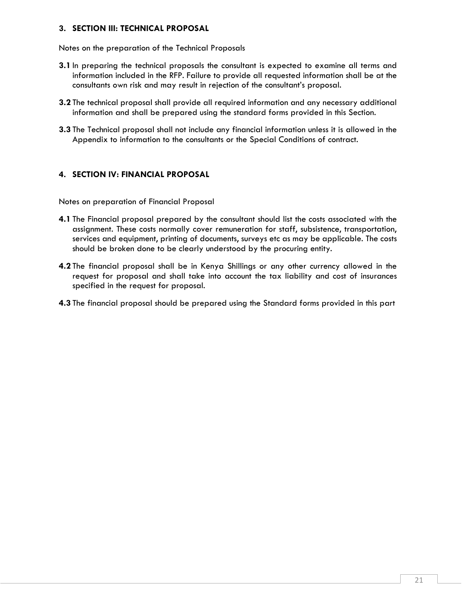### <span id="page-20-0"></span>**3. SECTION III: TECHNICAL PROPOSAL**

Notes on the preparation of the Technical Proposals

- **3.1** In preparing the technical proposals the consultant is expected to examine all terms and information included in the RFP. Failure to provide all requested information shall be at the consultants own risk and may result in rejection of the consultant's proposal.
- **3.2** The technical proposal shall provide all required information and any necessary additional information and shall be prepared using the standard forms provided in this Section.
- **3.3** The Technical proposal shall not include any financial information unless it is allowed in the Appendix to information to the consultants or the Special Conditions of contract.

### <span id="page-20-1"></span>**4. SECTION IV: FINANCIAL PROPOSAL**

Notes on preparation of Financial Proposal

- **4.1** The Financial proposal prepared by the consultant should list the costs associated with the assignment. These costs normally cover remuneration for staff, subsistence, transportation, services and equipment, printing of documents, surveys etc as may be applicable. The costs should be broken done to be clearly understood by the procuring entity.
- **4.2** The financial proposal shall be in Kenya Shillings or any other currency allowed in the request for proposal and shall take into account the tax liability and cost of insurances specified in the request for proposal.
- **4.3** The financial proposal should be prepared using the Standard forms provided in this part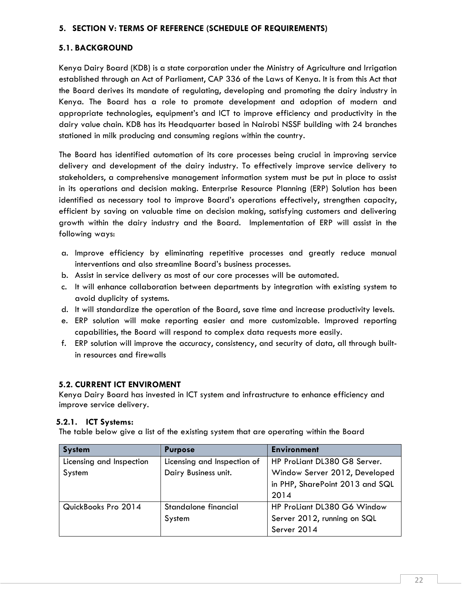### <span id="page-21-0"></span>**5. SECTION V: TERMS OF REFERENCE (SCHEDULE OF REQUIREMENTS)**

### **5.1. BACKGROUND**

Kenya Dairy Board (KDB) is a state corporation under the Ministry of Agriculture and Irrigation established through an Act of Parliament, CAP 336 of the Laws of Kenya. It is from this Act that the Board derives its mandate of regulating, developing and promoting the dairy industry in Kenya. The Board has a role to promote development and adoption of modern and appropriate technologies, equipment's and ICT to improve efficiency and productivity in the dairy value chain. KDB has its Headquarter based in Nairobi NSSF building with 24 branches stationed in milk producing and consuming regions within the country.

The Board has identified automation of its core processes being crucial in improving service delivery and development of the dairy industry. To effectively improve service delivery to stakeholders, a comprehensive management information system must be put in place to assist in its operations and decision making. Enterprise Resource Planning (ERP) Solution has been identified as necessary tool to improve Board's operations effectively, strengthen capacity, efficient by saving on valuable time on decision making, satisfying customers and delivering growth within the dairy industry and the Board. Implementation of ERP will assist in the following ways:

- a. Improve efficiency by eliminating repetitive processes and greatly reduce manual interventions and also streamline Board's business processes.
- b. Assist in service delivery as most of our core processes will be automated.
- c. It will enhance collaboration between departments by integration with existing system to avoid duplicity of systems.
- d. It will standardize the operation of the Board, save time and increase productivity levels.
- e. ERP solution will make reporting easier and more customizable. Improved reporting capabilities, the Board will respond to complex data requests more easily.
- f. ERP solution will improve the accuracy, consistency, and security of data, all through builtin resources and firewalls

### **5.2. CURRENT ICT ENVIROMENT**

Kenya Dairy Board has invested in ICT system and infrastructure to enhance efficiency and improve service delivery.

### **5.2.1. ICT Systems:**

The table below give a list of the existing system that are operating within the Board

| <b>System</b>            | <b>Purpose</b>              | <b>Environment</b>              |
|--------------------------|-----------------------------|---------------------------------|
| Licensing and Inspection | Licensing and Inspection of | HP ProLiant DL380 G8 Server.    |
| System                   | Dairy Business unit.        | Window Server 2012, Developed   |
|                          |                             | in PHP, SharePoint 2013 and SQL |
|                          |                             | 2014                            |
| QuickBooks Pro 2014      | Standalone financial        | HP ProLiant DL380 G6 Window     |
|                          | System                      | Server 2012, running on SQL     |
|                          |                             | Server 2014                     |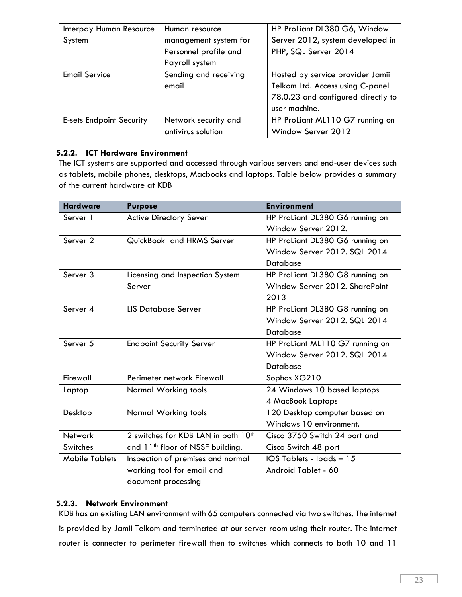| Interpay Human Resource         | Human resource        | HP ProLiant DL380 G6, Window       |
|---------------------------------|-----------------------|------------------------------------|
| System                          | management system for | Server 2012, system developed in   |
|                                 | Personnel profile and | PHP, SQL Server 2014               |
|                                 | Payroll system        |                                    |
| <b>Email Service</b>            | Sending and receiving | Hosted by service provider Jamii   |
|                                 | email                 | Telkom Ltd. Access using C-panel   |
|                                 |                       | 78.0.23 and configured directly to |
|                                 |                       | user machine.                      |
| <b>E-sets Endpoint Security</b> | Network security and  | HP ProLiant ML110 G7 running on    |
|                                 | antivirus solution    | Window Server 2012                 |

### **5.2.2. ICT Hardware Environment**

The ICT systems are supported and accessed through various servers and end-user devices such as tablets, mobile phones, desktops, Macbooks and laptops. Table below provides a summary of the current hardware at KDB

| <b>Hardware</b>       | <b>Purpose</b>                                  | <b>Environment</b>              |
|-----------------------|-------------------------------------------------|---------------------------------|
| Server 1              | <b>Active Directory Sever</b>                   | HP ProLiant DL380 G6 running on |
|                       |                                                 | Window Server 2012.             |
| Server <sub>2</sub>   | QuickBook and HRMS Server                       | HP ProLiant DL380 G6 running on |
|                       |                                                 | Window Server 2012, SQL 2014    |
|                       |                                                 | <b>Database</b>                 |
| Server 3              | Licensing and Inspection System                 | HP ProLiant DL380 G8 running on |
|                       | Server                                          | Window Server 2012, SharePoint  |
|                       |                                                 | 2013                            |
| Server <sub>4</sub>   | <b>LIS Database Server</b>                      | HP ProLiant DL380 G8 running on |
|                       |                                                 | Window Server 2012, SQL 2014    |
|                       |                                                 | Database                        |
| Server <sub>5</sub>   | <b>Endpoint Security Server</b>                 | HP ProLiant ML110 G7 running on |
|                       |                                                 | Window Server 2012, SQL 2014    |
|                       |                                                 | <b>Database</b>                 |
| Firewall              | Perimeter network Firewall                      | Sophos XG210                    |
| Laptop                | Normal Working tools                            | 24 Windows 10 based laptops     |
|                       |                                                 | 4 MacBook Laptops               |
| Desktop               | Normal Working tools                            | 120 Desktop computer based on   |
|                       |                                                 | Windows 10 environment.         |
| <b>Network</b>        | 2 switches for KDB LAN in both 10 <sup>th</sup> | Cisco 3750 Switch 24 port and   |
| Switches              | and 11 <sup>th</sup> floor of NSSF building.    | Cisco Switch 48 port            |
| <b>Mobile Tablets</b> | Inspection of premises and normal               | IOS Tablets - Ipads - 15        |
|                       | working tool for email and                      | Android Tablet - 60             |
|                       | document processing                             |                                 |

### **5.2.3. Network Environment**

KDB has an existing LAN environment with 65 computers connected via two switches. The internet is provided by Jamii Telkom and terminated at our server room using their router. The internet router is connecter to perimeter firewall then to switches which connects to both 10 and 11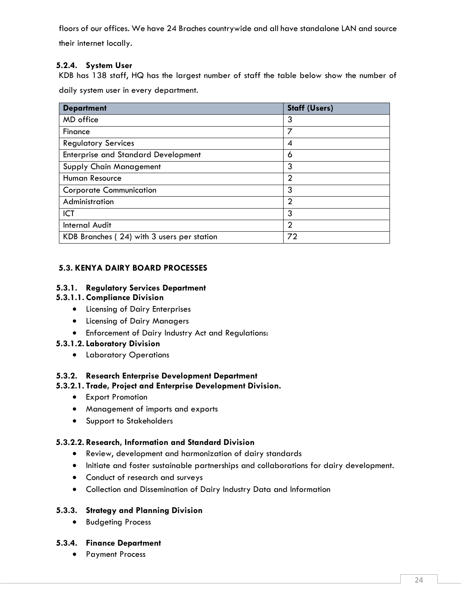floors of our offices. We have 24 Braches countrywide and all have standalone LAN and source their internet locally.

### **5.2.4. System User**

KDB has 138 staff, HQ has the largest number of staff the table below show the number of daily system user in every department.

| <b>Department</b>                          | <b>Staff (Users)</b> |
|--------------------------------------------|----------------------|
| MD office                                  | 3                    |
| Finance                                    | 7                    |
| <b>Regulatory Services</b>                 | 4                    |
| <b>Enterprise and Standard Development</b> | 6                    |
| <b>Supply Chain Management</b>             | 3                    |
| Human Resource                             | $\overline{2}$       |
| <b>Corporate Communication</b>             | 3                    |
| Administration                             | $\mathfrak{D}$       |
| ICT                                        | 3                    |
| <b>Internal Audit</b>                      | $\overline{2}$       |
| KDB Branches (24) with 3 users per station | 72                   |

### **5.3. KENYA DAIRY BOARD PROCESSES**

### **5.3.1. Regulatory Services Department**

### **5.3.1.1. Compliance Division**

- Licensing of Dairy Enterprises
- Licensing of Dairy Managers
- Enforcement of Dairy Industry Act and Regulations:

### **5.3.1.2. Laboratory Division**

• Laboratory Operations

### **5.3.2. Research Enterprise Development Department**

### **5.3.2.1. Trade, Project and Enterprise Development Division.**

- Export Promotion
- Management of imports and exports
- Support to Stakeholders

### **5.3.2.2. Research, Information and Standard Division**

- Review, development and harmonization of dairy standards
- Initiate and foster sustainable partnerships and collaborations for dairy development.
- Conduct of research and surveys
- Collection and Dissemination of Dairy Industry Data and Information

### **5.3.3. Strategy and Planning Division**

• Budgeting Process

### **5.3.4. Finance Department**

• Payment Process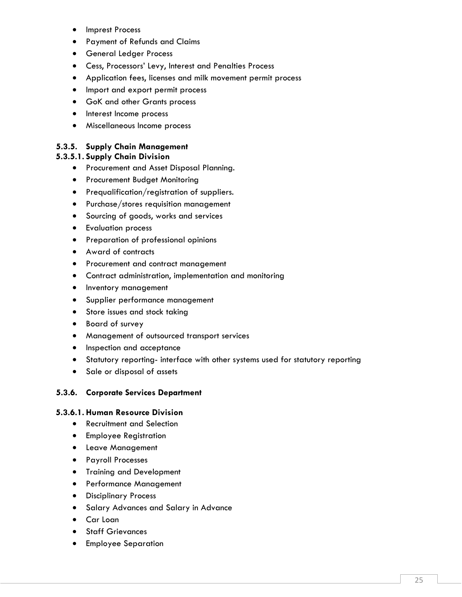- Imprest Process
- Payment of Refunds and Claims
- General Ledger Process
- Cess, Processors' Levy, Interest and Penalties Process
- Application fees, licenses and milk movement permit process
- Import and export permit process
- GoK and other Grants process
- Interest Income process
- Miscellaneous Income process

### **5.3.5. Supply Chain Management**

### **5.3.5.1. Supply Chain Division**

- Procurement and Asset Disposal Planning.
- Procurement Budget Monitoring
- Prequalification/registration of suppliers.
- Purchase/stores requisition management
- Sourcing of goods, works and services
- Evaluation process
- Preparation of professional opinions
- Award of contracts
- Procurement and contract management
- Contract administration, implementation and monitoring
- Inventory management
- Supplier performance management
- Store issues and stock taking
- Board of survey
- Management of outsourced transport services
- Inspection and acceptance
- Statutory reporting- interface with other systems used for statutory reporting
- Sale or disposal of assets

### **5.3.6. Corporate Services Department**

### **5.3.6.1. Human Resource Division**

- Recruitment and Selection
- Employee Registration
- Leave Management
- Payroll Processes
- Training and Development
- Performance Management
- Disciplinary Process
- Salary Advances and Salary in Advance
- Car Loan
- **Staff Grievances**
- Employee Separation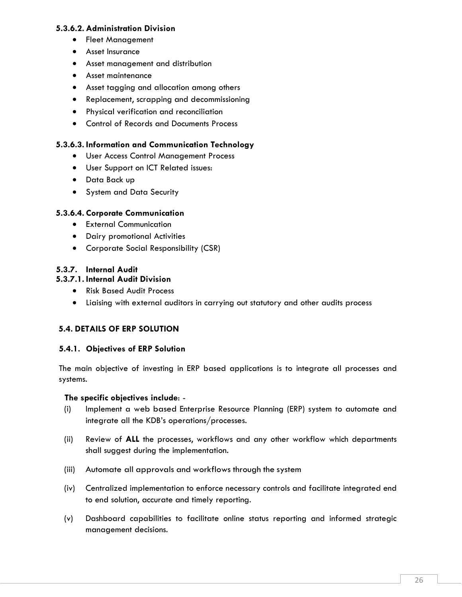### **5.3.6.2. Administration Division**

- Fleet Management
- Asset Insurance
- Asset management and distribution
- Asset maintenance
- Asset tagging and allocation among others
- Replacement, scrapping and decommissioning
- Physical verification and reconciliation
- Control of Records and Documents Process

### **5.3.6.3. Information and Communication Technology**

- User Access Control Management Process
- User Support on ICT Related issues:
- Data Back up
- System and Data Security

### **5.3.6.4. Corporate Communication**

- External Communication
- Dairy promotional Activities
- Corporate Social Responsibility (CSR)

### **5.3.7. Internal Audit**

### **5.3.7.1. Internal Audit Division**

- Risk Based Audit Process
- Liaising with external auditors in carrying out statutory and other audits process

### **5.4. DETAILS OF ERP SOLUTION**

### **5.4.1. Objectives of ERP Solution**

The main objective of investing in ERP based applications is to integrate all processes and systems.

### **The specific objectives include**: -

- (i) Implement a web based Enterprise Resource Planning (ERP) system to automate and integrate all the KDB's operations/processes.
- (ii) Review of **ALL** the processes, workflows and any other workflow which departments shall suggest during the implementation.
- (iii) Automate all approvals and workflows through the system
- (iv) Centralized implementation to enforce necessary controls and facilitate integrated end to end solution, accurate and timely reporting.
- (v) Dashboard capabilities to facilitate online status reporting and informed strategic management decisions.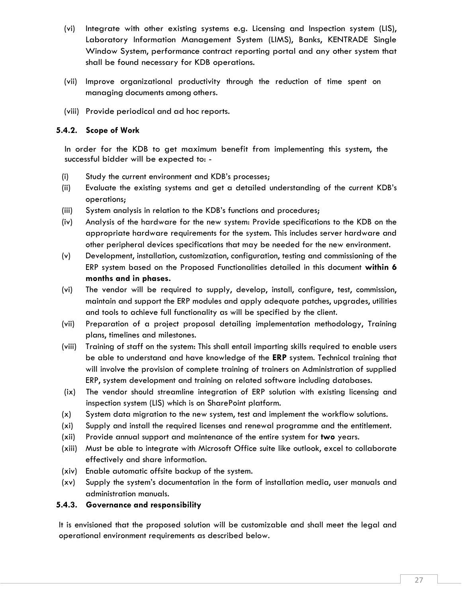- (vi) Integrate with other existing systems e.g. Licensing and Inspection system (LIS), Laboratory Information Management System (LIMS), Banks, KENTRADE Single Window System, performance contract reporting portal and any other system that shall be found necessary for KDB operations.
- (vii) Improve organizational productivity through the reduction of time spent on managing documents among others.
- (viii) Provide periodical and ad hoc reports.

### **5.4.2. Scope of Work**

In order for the KDB to get maximum benefit from implementing this system, the successful bidder will be expected to: -

- (i) Study the current environment and KDB's processes;
- (ii) Evaluate the existing systems and get a detailed understanding of the current KDB's operations;
- (iii) System analysis in relation to the KDB's functions and procedures;
- (iv) Analysis of the hardware for the new system: Provide specifications to the KDB on the appropriate hardware requirements for the system. This includes server hardware and other peripheral devices specifications that may be needed for the new environment.
- (v) Development, installation, customization, configuration, testing and commissioning of the ERP system based on the Proposed Functionalities detailed in this document **within 6 months and in phases.**
- (vi) The vendor will be required to supply, develop, install, configure, test, commission, maintain and support the ERP modules and apply adequate patches, upgrades, utilities and tools to achieve full functionality as will be specified by the client.
- (vii) Preparation of a project proposal detailing implementation methodology, Training plans, timelines and milestones.
- (viii) Training of staff on the system: This shall entail imparting skills required to enable users be able to understand and have knowledge of the **ERP** system. Technical training that will involve the provision of complete training of trainers on Administration of supplied ERP, system development and training on related software including databases.
- (ix) The vendor should streamline integration of ERP solution with existing licensing and inspection system (LIS) which is on SharePoint platform.
- (x) System data migration to the new system, test and implement the workflow solutions.
- (xi) Supply and install the required licenses and renewal programme and the entitlement.
- (xii) Provide annual support and maintenance of the entire system for **two** years.
- (xiii) Must be able to integrate with Microsoft Office suite like outlook, excel to collaborate effectively and share information.
- (xiv) Enable automatic offsite backup of the system.
- (xv) Supply the system's documentation in the form of installation media, user manuals and administration manuals.

### **5.4.3. Governance and responsibility**

It is envisioned that the proposed solution will be customizable and shall meet the legal and operational environment requirements as described below.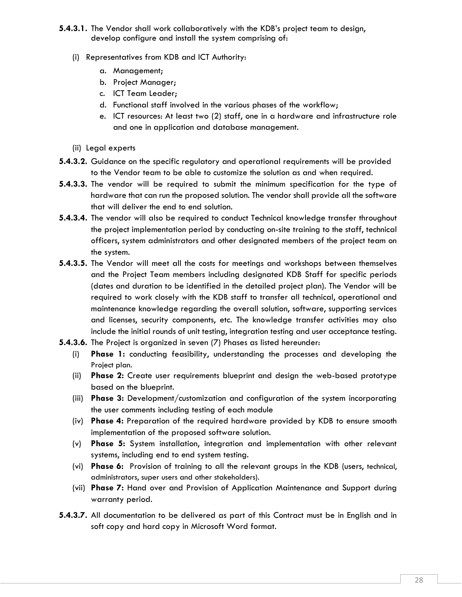- **5.4.3.1.** The Vendor shall work collaboratively with the KDB's project team to design, develop configure and install the system comprising of:
	- (i) Representatives from KDB and ICT Authority:
		- a. Management;
		- b. Project Manager;
		- c. ICT Team Leader;
		- d. Functional staff involved in the various phases of the workflow;
		- e. ICT resources: At least two (2) staff, one in a hardware and infrastructure role and one in application and database management.
	- (ii) Legal experts
- **5.4.3.2.** Guidance on the specific regulatory and operational requirements will be provided to the Vendor team to be able to customize the solution as and when required.
- **5.4.3.3.** The vendor will be required to submit the minimum specification for the type of hardware that can run the proposed solution. The vendor shall provide all the software that will deliver the end to end solution.
- **5.4.3.4.** The vendor will also be required to conduct Technical knowledge transfer throughout the project implementation period by conducting on-site training to the staff, technical officers, system administrators and other designated members of the project team on the system.
- **5.4.3.5.** The Vendor will meet all the costs for meetings and workshops between themselves and the Project Team members including designated KDB Staff for specific periods (dates and duration to be identified in the detailed project plan). The Vendor will be required to work closely with the KDB staff to transfer all technical, operational and maintenance knowledge regarding the overall solution, software, supporting services and licenses, security components, etc. The knowledge transfer activities may also include the initial rounds of unit testing, integration testing and user acceptance testing.
- **5.4.3.6.** The Project is organized in seven (7) Phases as listed hereunder:
	- (i) **Phase 1:** conducting feasibility, understanding the processes and developing the Project plan.
	- (ii) **Phase 2:** Create user requirements blueprint and design the web-based prototype based on the blueprint.
	- (iii) **Phase 3:** Development/customization and configuration of the system incorporating the user comments including testing of each module
	- (iv) **Phase 4:** Preparation of the required hardware provided by KDB to ensure smooth implementation of the proposed software solution.
	- (v) **Phase 5:** System installation, integration and implementation with other relevant systems, including end to end system testing.
	- (vi) **Phase 6:** Provision of training to all the relevant groups in the KDB (users, technical, administrators, super users and other stakeholders).
	- (vii) **Phase 7:** Hand over and Provision of Application Maintenance and Support during warranty period.
- **5.4.3.7.** All documentation to be delivered as part of this Contract must be in English and in soft copy and hard copy in Microsoft Word format.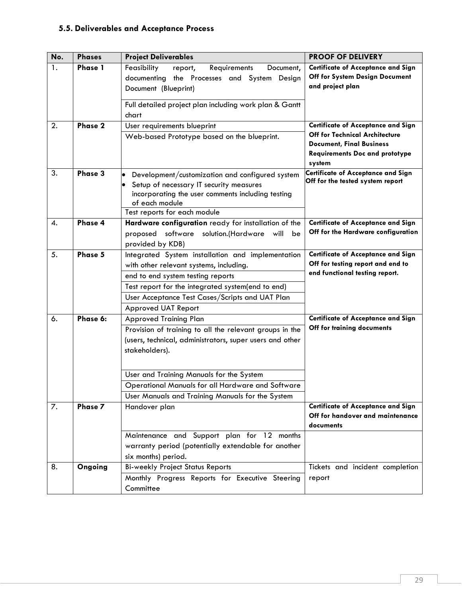### **5.5. Deliverables and Acceptance Process**

| No. | <b>Phases</b>  | <b>Project Deliverables</b>                                                                                                                                                                       | <b>PROOF OF DELIVERY</b>                                                                                                    |
|-----|----------------|---------------------------------------------------------------------------------------------------------------------------------------------------------------------------------------------------|-----------------------------------------------------------------------------------------------------------------------------|
| 1.  | <b>Phase 1</b> | Feasibility<br>report,<br>Requirements<br>Document,                                                                                                                                               | <b>Certificate of Acceptance and Sign</b><br>Off for System Design Document                                                 |
|     |                | documenting the Processes and System<br>Design<br>Document (Blueprint)                                                                                                                            | and project plan                                                                                                            |
|     |                | Full detailed project plan including work plan & Gantt<br>chart                                                                                                                                   |                                                                                                                             |
| 2.  | Phase 2        | User requirements blueprint                                                                                                                                                                       | <b>Certificate of Acceptance and Sign</b>                                                                                   |
|     |                | Web-based Prototype based on the blueprint.                                                                                                                                                       | <b>Off for Technical Architecture</b><br><b>Document, Final Business</b><br><b>Requirements Doc and prototype</b><br>system |
| 3.  | Phase 3        | Development/customization and configured system<br>Setup of necessary IT security measures<br>incorporating the user comments including testing<br>of each module<br>Test reports for each module | Certificate of Acceptance and Sign<br>Off for the tested system report                                                      |
| 4.  | Phase 4        | Hardware configuration ready for installation of the<br>software solution.(Hardware<br>proposed<br>will<br>be<br>provided by KDB)                                                                 | <b>Certificate of Acceptance and Sign</b><br>Off for the Hardware configuration                                             |
| 5.  | Phase 5        | Integrated System installation and implementation                                                                                                                                                 | <b>Certificate of Acceptance and Sign</b>                                                                                   |
|     |                | with other relevant systems, including.                                                                                                                                                           | Off for testing report and end to                                                                                           |
|     |                | end to end system testing reports                                                                                                                                                                 | end functional testing report.                                                                                              |
|     |                | Test report for the integrated system(end to end)                                                                                                                                                 |                                                                                                                             |
|     |                | User Acceptance Test Cases/Scripts and UAT Plan                                                                                                                                                   |                                                                                                                             |
|     |                | Approved UAT Report                                                                                                                                                                               |                                                                                                                             |
| 6.  | Phase 6:       | <b>Approved Training Plan</b>                                                                                                                                                                     | <b>Certificate of Acceptance and Sign</b><br>Off for training documents                                                     |
|     |                | Provision of training to all the relevant groups in the<br>(users, technical, administrators, super users and other<br>stakeholders).                                                             |                                                                                                                             |
|     |                | User and Training Manuals for the System                                                                                                                                                          |                                                                                                                             |
|     |                | Operational Manuals for all Hardware and Software                                                                                                                                                 |                                                                                                                             |
|     |                | User Manuals and Training Manuals for the System                                                                                                                                                  |                                                                                                                             |
| 7.  | Phase 7        | Handover plan                                                                                                                                                                                     | <b>Certificate of Acceptance and Sign</b><br>Off for handover and maintenance<br>documents                                  |
|     |                | Maintenance and Support plan for 12 months<br>warranty period (potentially extendable for another<br>six months) period.                                                                          |                                                                                                                             |
| 8.  | Ongoing        | <b>Bi-weekly Project Status Reports</b>                                                                                                                                                           | Tickets and incident completion                                                                                             |
|     |                | Monthly Progress Reports for Executive Steering<br>Committee                                                                                                                                      | report                                                                                                                      |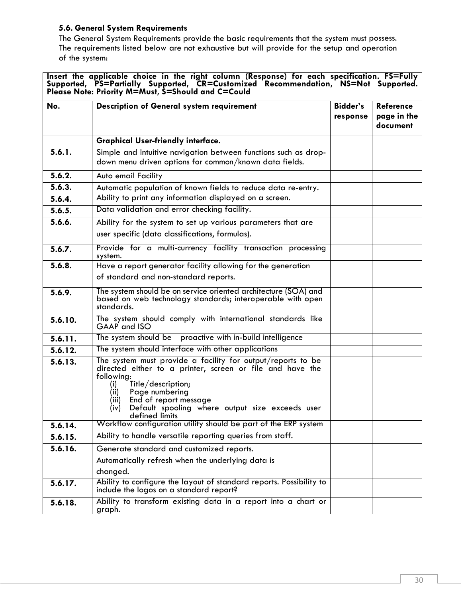### **5.6. General System Requirements**

The General System Requirements provide the basic requirements that the system must possess. The requirements listed below are not exhaustive but will provide for the setup and operation of the system:

**Insert the applicable choice in the right column (Response) for each specification. FS=Fully Supported, PS=Partially Supported, CR=Customized Recommendation, NS=Not Supported. Please Note: Priority M=Must, S=Should and C=Could**

| No.     | Description of General system requirement                                                                                                                                                                                                                                                                    | <b>Bidder's</b><br>response | <b>Reference</b><br>page in the<br>document |
|---------|--------------------------------------------------------------------------------------------------------------------------------------------------------------------------------------------------------------------------------------------------------------------------------------------------------------|-----------------------------|---------------------------------------------|
|         | <b>Graphical User-friendly interface.</b>                                                                                                                                                                                                                                                                    |                             |                                             |
| 5.6.1.  | Simple and Intuitive navigation between functions such as drop-<br>down menu driven options for common/known data fields.                                                                                                                                                                                    |                             |                                             |
| 5.6.2.  | Auto email Facility                                                                                                                                                                                                                                                                                          |                             |                                             |
| 5.6.3.  | Automatic population of known fields to reduce data re-entry.                                                                                                                                                                                                                                                |                             |                                             |
| 5.6.4.  | Ability to print any information displayed on a screen.                                                                                                                                                                                                                                                      |                             |                                             |
| 5.6.5.  | Data validation and error checking facility.                                                                                                                                                                                                                                                                 |                             |                                             |
| 5.6.6.  | Ability for the system to set up various parameters that are<br>user specific (data classifications, formulas).                                                                                                                                                                                              |                             |                                             |
| 5.6.7.  | Provide for a multi-currency facility transaction processing<br>system.                                                                                                                                                                                                                                      |                             |                                             |
| 5.6.8.  | Have a report generator facility allowing for the generation<br>of standard and non-standard reports.                                                                                                                                                                                                        |                             |                                             |
| 5.6.9.  | The system should be on service oriented architecture (SOA) and<br>based on web technology standards; interoperable with open<br>standards.                                                                                                                                                                  |                             |                                             |
| 5.6.10. | The system should comply with international standards like<br>GAAP and ISO                                                                                                                                                                                                                                   |                             |                                             |
| 5.6.11. | The system should be proactive with in-build intelligence                                                                                                                                                                                                                                                    |                             |                                             |
| 5.6.12. | The system should interface with other applications                                                                                                                                                                                                                                                          |                             |                                             |
| 5.6.13. | The system must provide a facility for output/reports to be<br>directed either to a printer, screen or file and have the<br>following:<br>Title/description;<br>(i)<br>(ii)<br>Page numbering<br>End of report message<br>(iii)<br>Default spooling where output size exceeds user<br>(iv)<br>defined limits |                             |                                             |
| 5.6.14. | Workflow configuration utility should be part of the ERP system                                                                                                                                                                                                                                              |                             |                                             |
| 5.6.15. | Ability to handle versatile reporting queries from staff.                                                                                                                                                                                                                                                    |                             |                                             |
| 5.6.16. | Generate standard and customized reports.<br>Automatically refresh when the underlying data is                                                                                                                                                                                                               |                             |                                             |
|         | changed.                                                                                                                                                                                                                                                                                                     |                             |                                             |
| 5.6.17. | Ability to configure the layout of standard reports. Possibility to<br>include the logos on a standard report?                                                                                                                                                                                               |                             |                                             |
| 5.6.18. | Ability to transform existing data in a report into a chart or<br>graph.                                                                                                                                                                                                                                     |                             |                                             |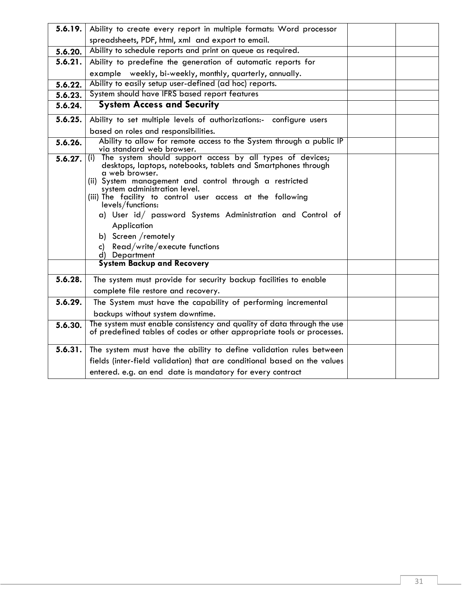| 5.6.19. | Ability to create every report in multiple formats: Word processor                                                                                                                                                                                                                                                             |  |
|---------|--------------------------------------------------------------------------------------------------------------------------------------------------------------------------------------------------------------------------------------------------------------------------------------------------------------------------------|--|
|         | spreadsheets, PDF, html, xml and export to email.                                                                                                                                                                                                                                                                              |  |
| 5.6.20. | Ability to schedule reports and print on queue as required.                                                                                                                                                                                                                                                                    |  |
| 5.6.21. | Ability to predefine the generation of automatic reports for                                                                                                                                                                                                                                                                   |  |
|         | example weekly, bi-weekly, monthly, quarterly, annually.                                                                                                                                                                                                                                                                       |  |
| 5.6.22. | Ability to easily setup user-defined (ad hoc) reports.                                                                                                                                                                                                                                                                         |  |
| 5.6.23. | System should have IFRS based report features                                                                                                                                                                                                                                                                                  |  |
| 5.6.24. | <b>System Access and Security</b>                                                                                                                                                                                                                                                                                              |  |
| 5.6.25. | Ability to set multiple levels of authorizations:- configure users                                                                                                                                                                                                                                                             |  |
|         | based on roles and responsibilities.                                                                                                                                                                                                                                                                                           |  |
| 5.6.26. | Ability to allow for remote access to the System through a public IP<br>via standard web browser.                                                                                                                                                                                                                              |  |
| 5.6.27. | (i) The system should support access by all types of devices;<br>desktops, laptops, notebooks, tablets and Smartphones through<br>a web browser.<br>(ii) System management and control through a restricted<br>system administration level.<br>(iii) The facility to control user access at the following<br>levels/functions: |  |
|         | a) User id/ password Systems Administration and Control of<br>Application<br>b) Screen /remotely                                                                                                                                                                                                                               |  |
|         | Read/write/execute functions<br>C)<br>d) Department                                                                                                                                                                                                                                                                            |  |
|         | <b>System Backup and Recovery</b>                                                                                                                                                                                                                                                                                              |  |
| 5.6.28. | The system must provide for security backup facilities to enable<br>complete file restore and recovery.                                                                                                                                                                                                                        |  |
| 5.6.29. | The System must have the capability of performing incremental                                                                                                                                                                                                                                                                  |  |
|         | backups without system downtime.                                                                                                                                                                                                                                                                                               |  |
| 5.6.30. | The system must enable consistency and quality of data through the use<br>of predefined tables of codes or other appropriate tools or processes.                                                                                                                                                                               |  |
| 5.6.31. | The system must have the ability to define validation rules between                                                                                                                                                                                                                                                            |  |
|         | fields (inter-field validation) that are conditional based on the values                                                                                                                                                                                                                                                       |  |
|         | entered. e.g. an end date is mandatory for every contract                                                                                                                                                                                                                                                                      |  |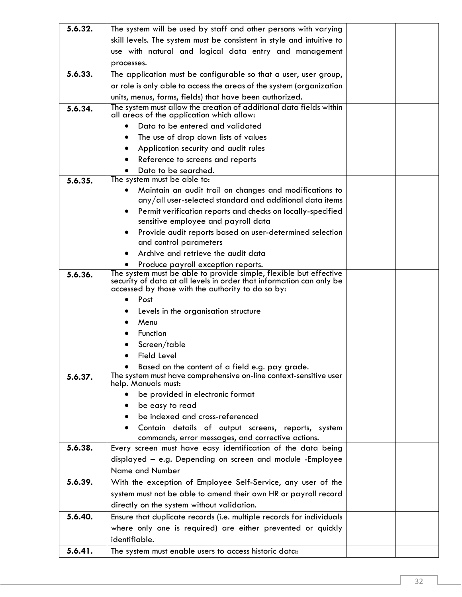| 5.6.32. | The system will be used by staff and other persons with varying                                                      |  |
|---------|----------------------------------------------------------------------------------------------------------------------|--|
|         | skill levels. The system must be consistent in style and intuitive to                                                |  |
|         | use with natural and logical data entry and management                                                               |  |
|         | processes.                                                                                                           |  |
| 5.6.33. | The application must be configurable so that a user, user group,                                                     |  |
|         | or role is only able to access the areas of the system (organization                                                 |  |
|         | units, menus, forms, fields) that have been authorized.                                                              |  |
| 5.6.34. | The system must allow the creation of additional data fields within                                                  |  |
|         | all areas of the application which allow:                                                                            |  |
|         | Data to be entered and validated                                                                                     |  |
|         | The use of drop down lists of values                                                                                 |  |
|         | Application security and audit rules                                                                                 |  |
|         | Reference to screens and reports                                                                                     |  |
|         | Data to be searched.                                                                                                 |  |
| 5.6.35. | The system must be able to:                                                                                          |  |
|         | Maintain an audit trail on changes and modifications to<br>٠                                                         |  |
|         | any/all user-selected standard and additional data items                                                             |  |
|         | Permit verification reports and checks on locally-specified                                                          |  |
|         | sensitive employee and payroll data                                                                                  |  |
|         | Provide audit reports based on user-determined selection<br>and control parameters                                   |  |
|         | Archive and retrieve the audit data                                                                                  |  |
|         | Produce payroll exception reports.                                                                                   |  |
| 5.6.36. | The system must be able to provide simple, flexible but effective                                                    |  |
|         | security of data at all levels in order that information can only be                                                 |  |
|         | accessed by those with the authority to do so by:                                                                    |  |
|         | Post                                                                                                                 |  |
|         | Levels in the organisation structure                                                                                 |  |
|         | Menu                                                                                                                 |  |
|         | Function                                                                                                             |  |
|         | Screen/table                                                                                                         |  |
|         | <b>Field Level</b>                                                                                                   |  |
| 5.6.37. | Based on the content of a field e.g. pay grade.<br>The system must have comprehensive on-line context-sensitive user |  |
|         | help. Manuals must:                                                                                                  |  |
|         | be provided in electronic format                                                                                     |  |
|         | be easy to read                                                                                                      |  |
|         | be indexed and cross-referenced                                                                                      |  |
|         | Contain details of output screens, reports, system                                                                   |  |
|         | commands, error messages, and corrective actions.                                                                    |  |
| 5.6.38. | Every screen must have easy identification of the data being                                                         |  |
|         | displayed - e.g. Depending on screen and module -Employee                                                            |  |
|         | Name and Number                                                                                                      |  |
| 5.6.39. | With the exception of Employee Self-Service, any user of the                                                         |  |
|         | system must not be able to amend their own HR or payroll record                                                      |  |
|         | directly on the system without validation.                                                                           |  |
| 5.6.40. | Ensure that duplicate records (i.e. multiple records for individuals                                                 |  |
|         | where only one is required) are either prevented or quickly                                                          |  |
|         | identifiable.                                                                                                        |  |
| 5.6.41. | The system must enable users to access historic data:                                                                |  |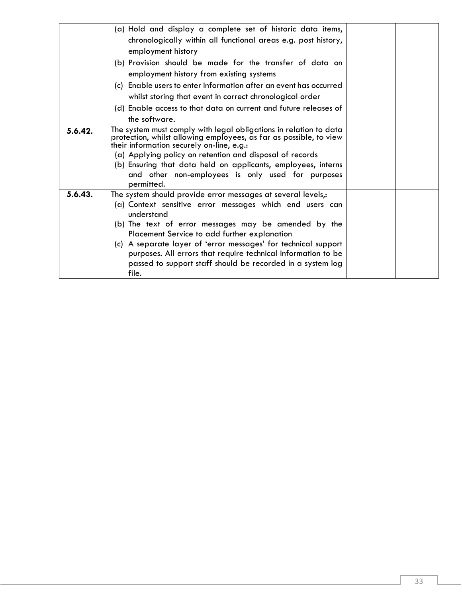|         | (a) Hold and display a complete set of historic data items,<br>chronologically within all functional areas e.g. post history,<br>employment history<br>(b) Provision should be made for the transfer of data on<br>employment history from existing systems<br>Enable users to enter information after an event has occurred<br>(c)<br>whilst storing that event in correct chronological order<br>(d) Enable access to that data on current and future releases of<br>the software. |  |
|---------|--------------------------------------------------------------------------------------------------------------------------------------------------------------------------------------------------------------------------------------------------------------------------------------------------------------------------------------------------------------------------------------------------------------------------------------------------------------------------------------|--|
| 5.6.42. | The system must comply with legal obligations in relation to data<br>protection, whilst allowing employees, as far as possible, to view<br>their information securely on-line, e.g.:<br>(a) Applying policy on retention and disposal of records<br>(b) Ensuring that data held on applicants, employees, interns<br>and other non-employees is only used for purposes<br>permitted.                                                                                                 |  |
| 5.6.43. | The system should provide error messages at several levels,:<br>(a) Context sensitive error messages which end users can<br>understand<br>(b) The text of error messages may be amended by the<br>Placement Service to add further explanation<br>(c) A separate layer of 'error messages' for technical support<br>purposes. All errors that require technical information to be<br>passed to support staff should be recorded in a system log<br>file.                             |  |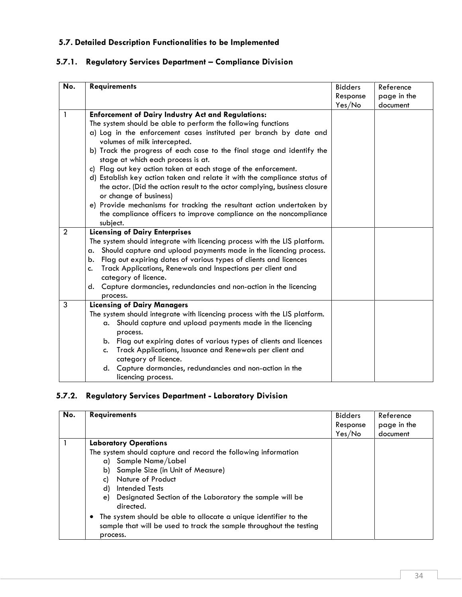## **5.7. Detailed Description Functionalities to be Implemented**

| No.            | <b>Requirements</b>                                                                                  | <b>Bidders</b> | Reference   |
|----------------|------------------------------------------------------------------------------------------------------|----------------|-------------|
|                |                                                                                                      | Response       | page in the |
|                |                                                                                                      | Yes/No         | document    |
| $\mathbf{1}$   | <b>Enforcement of Dairy Industry Act and Regulations:</b>                                            |                |             |
|                | The system should be able to perform the following functions                                         |                |             |
|                | a) Log in the enforcement cases instituted per branch by date and                                    |                |             |
|                | volumes of milk intercepted.                                                                         |                |             |
|                | b) Track the progress of each case to the final stage and identify the                               |                |             |
|                | stage at which each process is at.                                                                   |                |             |
|                | c) Flag out key action taken at each stage of the enforcement.                                       |                |             |
|                | d) Establish key action taken and relate it with the compliance status of                            |                |             |
|                | the actor. (Did the action result to the actor complying, business closure<br>or change of business) |                |             |
|                | e) Provide mechanisms for tracking the resultant action undertaken by                                |                |             |
|                | the compliance officers to improve compliance on the noncompliance                                   |                |             |
|                | subject.                                                                                             |                |             |
| $\overline{2}$ | <b>Licensing of Dairy Enterprises</b>                                                                |                |             |
|                | The system should integrate with licencing process with the LIS platform.                            |                |             |
|                | Should capture and upload payments made in the licencing process.<br>a.                              |                |             |
|                | Flag out expiring dates of various types of clients and licences<br>b.                               |                |             |
|                | Track Applications, Renewals and Inspections per client and<br>c.                                    |                |             |
|                | category of licence.                                                                                 |                |             |
|                | Capture dormancies, redundancies and non-action in the licencing<br>d.                               |                |             |
|                | process.                                                                                             |                |             |
| 3              | <b>Licensing of Dairy Managers</b>                                                                   |                |             |
|                | The system should integrate with licencing process with the LIS platform.                            |                |             |
|                | a. Should capture and upload payments made in the licencing                                          |                |             |
|                | process.                                                                                             |                |             |
|                | b. Flag out expiring dates of various types of clients and licences                                  |                |             |
|                | Track Applications, Issuance and Renewals per client and<br>c.<br>category of licence.               |                |             |
|                | d. Capture dormancies, redundancies and non-action in the                                            |                |             |
|                | licencing process.                                                                                   |                |             |

# **5.7.1. Regulatory Services Department – Compliance Division**

# **5.7.2. Regulatory Services Department - Laboratory Division**

| No. | <b>Requirements</b>                                                                                                                                                                                                                                      | <b>Bidders</b> | Reference   |
|-----|----------------------------------------------------------------------------------------------------------------------------------------------------------------------------------------------------------------------------------------------------------|----------------|-------------|
|     |                                                                                                                                                                                                                                                          | Response       | page in the |
|     |                                                                                                                                                                                                                                                          | Yes/No         | document    |
|     | <b>Laboratory Operations</b>                                                                                                                                                                                                                             |                |             |
|     | The system should capture and record the following information<br>a) Sample Name/Label<br>b) Sample Size (in Unit of Measure)<br>Nature of Product<br>C)<br>d) Intended Tests<br>e) Designated Section of the Laboratory the sample will be<br>directed. |                |             |
|     | The system should be able to allocate a unique identifier to the<br>sample that will be used to track the sample throughout the testing<br>process.                                                                                                      |                |             |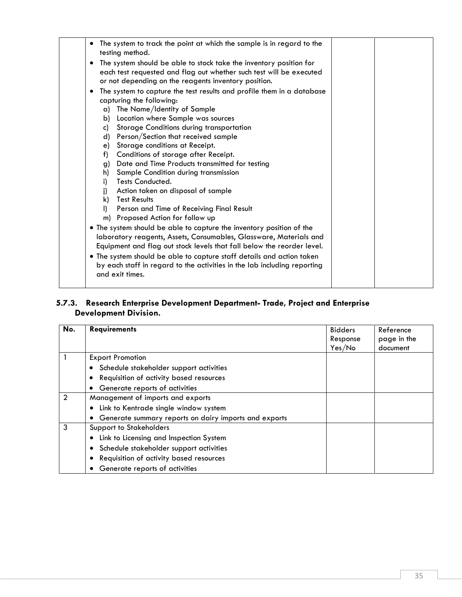| The system to track the point at which the sample is in regard to the<br>testing method.                                                                                                                                                                                                                                                                                                                                                                                                                                                                                                                                                                                                                                                                                                                                                                                                                                                                                                                                                                           |  |
|--------------------------------------------------------------------------------------------------------------------------------------------------------------------------------------------------------------------------------------------------------------------------------------------------------------------------------------------------------------------------------------------------------------------------------------------------------------------------------------------------------------------------------------------------------------------------------------------------------------------------------------------------------------------------------------------------------------------------------------------------------------------------------------------------------------------------------------------------------------------------------------------------------------------------------------------------------------------------------------------------------------------------------------------------------------------|--|
| The system should be able to stock take the inventory position for<br>٠<br>each test requested and flag out whether such test will be executed<br>or not depending on the reagents inventory position.                                                                                                                                                                                                                                                                                                                                                                                                                                                                                                                                                                                                                                                                                                                                                                                                                                                             |  |
| The system to capture the test results and profile them in a database<br>٠<br>capturing the following:<br>a) The Name/Identity of Sample<br>Location where Sample was sources<br>b)<br>Storage Conditions during transportation<br>c)<br>d) Person/Section that received sample<br>Storage conditions at Receipt.<br>e)<br>Conditions of storage after Receipt.<br>f)<br>g) Date and Time Products transmitted for testing<br>Sample Condition during transmission<br>h)<br>Tests Conducted.<br>i)<br>Action taken on disposal of sample<br>i)<br><b>Test Results</b><br>k)<br>Person and Time of Receiving Final Result<br>D.<br>m) Proposed Action for follow up<br>• The system should be able to capture the inventory position of the<br>laboratory reagents, Assets, Consumables, Glassware, Materials and<br>Equipment and flag out stock levels that fall below the reorder level.<br>. The system should be able to capture staff details and action taken<br>by each staff in regard to the activities in the lab including reporting<br>and exit times. |  |
|                                                                                                                                                                                                                                                                                                                                                                                                                                                                                                                                                                                                                                                                                                                                                                                                                                                                                                                                                                                                                                                                    |  |

### **5.7.3. Research Enterprise Development Department- Trade, Project and Enterprise Development Division.**

| No.            | <b>Requirements</b>                                   | <b>Bidders</b> | Reference   |
|----------------|-------------------------------------------------------|----------------|-------------|
|                |                                                       | Response       | page in the |
|                |                                                       | Yes/No         | document    |
|                | <b>Export Promotion</b>                               |                |             |
|                | • Schedule stakeholder support activities             |                |             |
|                | Requisition of activity based resources               |                |             |
|                | Generate reports of activities                        |                |             |
| $\overline{2}$ | Management of imports and exports                     |                |             |
|                | Link to Kentrade single window system                 |                |             |
|                | Generate summary reports on dairy imports and exports |                |             |
| 3              | <b>Support to Stakeholders</b>                        |                |             |
|                | • Link to Licensing and Inspection System             |                |             |
|                | • Schedule stakeholder support activities             |                |             |
|                | Requisition of activity based resources               |                |             |
|                | Generate reports of activities                        |                |             |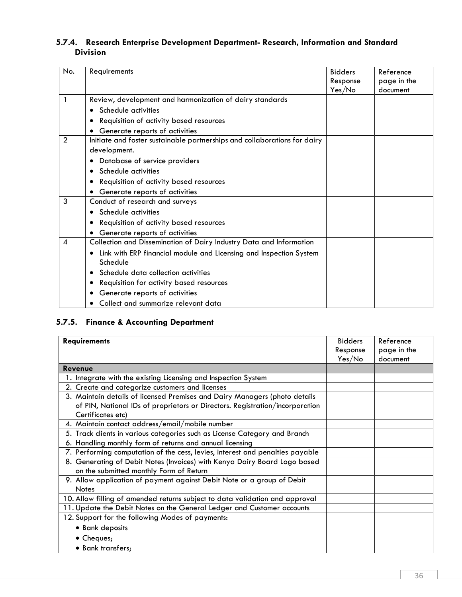### **5.7.4. Research Enterprise Development Department- Research, Information and Standard Division**

| No.            | Requirements                                                                   | <b>Bidders</b> | Reference   |
|----------------|--------------------------------------------------------------------------------|----------------|-------------|
|                |                                                                                | Response       | page in the |
|                |                                                                                | Yes/No         | document    |
| 1              | Review, development and harmonization of dairy standards                       |                |             |
|                | Schedule activities                                                            |                |             |
|                | Requisition of activity based resources                                        |                |             |
|                | Generate reports of activities                                                 |                |             |
| $\overline{2}$ | Initiate and foster sustainable partnerships and collaborations for dairy      |                |             |
|                | development.                                                                   |                |             |
|                | Database of service providers                                                  |                |             |
|                | Schedule activities                                                            |                |             |
|                | Requisition of activity based resources                                        |                |             |
|                | Generate reports of activities                                                 |                |             |
| 3              | Conduct of research and surveys                                                |                |             |
|                | Schedule activities                                                            |                |             |
|                | Requisition of activity based resources                                        |                |             |
|                | Generate reports of activities                                                 |                |             |
| 4              | Collection and Dissemination of Dairy Industry Data and Information            |                |             |
|                | Link with ERP financial module and Licensing and Inspection System<br>Schedule |                |             |
|                | Schedule data collection activities<br>٠                                       |                |             |
|                | Requisition for activity based resources                                       |                |             |
|                | Generate reports of activities                                                 |                |             |
|                | Collect and summarize relevant data                                            |                |             |

### **5.7.5. Finance & Accounting Department**

| <b>Requirements</b>                                                           | <b>Bidders</b> | Reference   |
|-------------------------------------------------------------------------------|----------------|-------------|
|                                                                               | Response       | page in the |
|                                                                               | Yes/No         | document    |
| <b>Revenue</b>                                                                |                |             |
| 1. Integrate with the existing Licensing and Inspection System                |                |             |
| 2. Create and categorize customers and licenses                               |                |             |
| 3. Maintain details of licensed Premises and Dairy Managers (photo details    |                |             |
| of PIN, National IDs of proprietors or Directors. Registration/incorporation  |                |             |
| Certificates etc)                                                             |                |             |
| 4. Maintain contact address/email/mobile number                               |                |             |
| 5. Track clients in various categories such as License Category and Branch    |                |             |
| 6. Handling monthly form of returns and annual licensing                      |                |             |
| 7. Performing computation of the cess, levies, interest and penalties payable |                |             |
| 8. Generating of Debit Notes (Invoices) with Kenya Dairy Board Logo based     |                |             |
| on the submitted monthly Form of Return                                       |                |             |
| 9. Allow application of payment against Debit Note or a group of Debit        |                |             |
| <b>Notes</b>                                                                  |                |             |
| 10. Allow filling of amended returns subject to data validation and approval  |                |             |
| 11. Update the Debit Notes on the General Ledger and Customer accounts        |                |             |
| 12. Support for the following Modes of payments:                              |                |             |
| • Bank deposits                                                               |                |             |
| • Cheques;                                                                    |                |             |
| • Bank transfers;                                                             |                |             |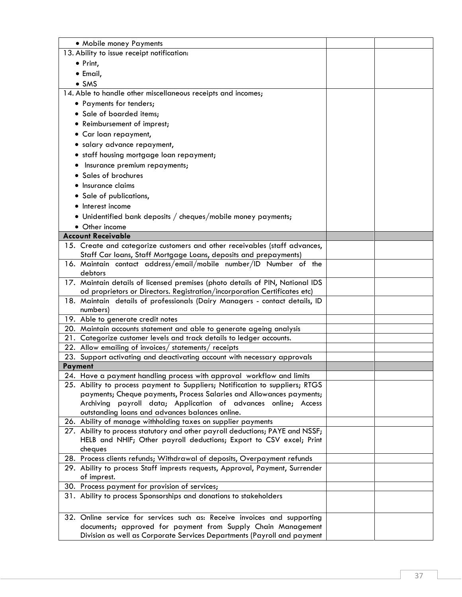| • Mobile money Payments                                                                                                                              |  |
|------------------------------------------------------------------------------------------------------------------------------------------------------|--|
| 13. Ability to issue receipt notification:                                                                                                           |  |
| • Print,                                                                                                                                             |  |
| • Email,                                                                                                                                             |  |
| $\bullet$ SMS                                                                                                                                        |  |
| 14. Able to handle other miscellaneous receipts and incomes;                                                                                         |  |
| • Payments for tenders;                                                                                                                              |  |
| • Sale of boarded items;                                                                                                                             |  |
| • Reimbursement of imprest;                                                                                                                          |  |
| • Car loan repayment,                                                                                                                                |  |
| · salary advance repayment,                                                                                                                          |  |
| • staff housing mortgage loan repayment;                                                                                                             |  |
| Insurance premium repayments;                                                                                                                        |  |
| • Sales of brochures                                                                                                                                 |  |
| Insurance claims                                                                                                                                     |  |
| · Sale of publications,                                                                                                                              |  |
| • Interest income                                                                                                                                    |  |
|                                                                                                                                                      |  |
| • Unidentified bank deposits / cheques/mobile money payments;                                                                                        |  |
| • Other income                                                                                                                                       |  |
| <b>Account Receivable</b>                                                                                                                            |  |
| 15. Create and categorize customers and other receivables (staff advances,<br>Staff Car loans, Staff Mortgage Loans, deposits and prepayments)       |  |
| 16. Maintain contact address/email/mobile number/ID Number of the                                                                                    |  |
| debtors                                                                                                                                              |  |
| 17. Maintain details of licensed premises (photo details of PIN, National IDS                                                                        |  |
| od proprietors or Directors. Registration/incorporation Certificates etc)                                                                            |  |
| 18. Maintain details of professionals (Dairy Managers - contact details, ID                                                                          |  |
| numbers)                                                                                                                                             |  |
| 19. Able to generate credit notes                                                                                                                    |  |
| 20. Maintain accounts statement and able to generate ageing analysis                                                                                 |  |
| 21. Categorize customer levels and track details to ledger accounts.                                                                                 |  |
| 22. Allow emailing of invoices/ statements/ receipts                                                                                                 |  |
| 23. Support activating and deactivating account with necessary approvals                                                                             |  |
| <b>Payment</b>                                                                                                                                       |  |
| 24. Have a payment handling process with approval workflow and limits                                                                                |  |
| 25. Ability to process payment to Suppliers; Notification to suppliers; RTGS<br>payments; Cheque payments, Process Salaries and Allowances payments; |  |
| Archiving payroll data; Application of advances online; Access                                                                                       |  |
| outstanding loans and advances balances online.                                                                                                      |  |
| 26. Ability of manage withholding taxes on supplier payments                                                                                         |  |
| 27. Ability to process statutory and other payroll deductions; PAYE and NSSF;                                                                        |  |
| HELB and NHIF; Other payroll deductions; Export to CSV excel; Print                                                                                  |  |
| cheques                                                                                                                                              |  |
| 28. Process clients refunds; Withdrawal of deposits, Overpayment refunds                                                                             |  |
| 29. Ability to process Staff imprests requests, Approval, Payment, Surrender                                                                         |  |
| of imprest.                                                                                                                                          |  |
| 30. Process payment for provision of services;                                                                                                       |  |
| 31. Ability to process Sponsorships and donations to stakeholders                                                                                    |  |
|                                                                                                                                                      |  |
| 32. Online service for services such as: Receive invoices and supporting                                                                             |  |
| documents; approved for payment from Supply Chain Management                                                                                         |  |
| Division as well as Corporate Services Departments (Payroll and payment                                                                              |  |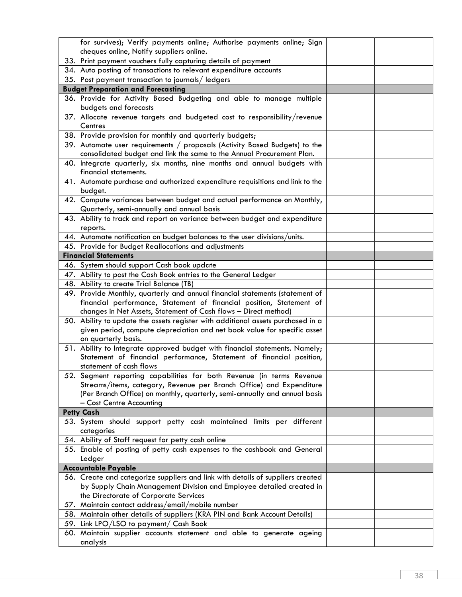| for survives); Verify payments online; Authorise payments online; Sign              |  |
|-------------------------------------------------------------------------------------|--|
| cheques online, Notify suppliers online.                                            |  |
| 33. Print payment vouchers fully capturing details of payment                       |  |
| 34. Auto posting of transactions to relevant expenditure accounts                   |  |
| 35. Post payment transaction to journals/ledgers                                    |  |
| <b>Budget Preparation and Forecasting</b>                                           |  |
| 36. Provide for Activity Based Budgeting and able to manage multiple                |  |
| budgets and forecasts                                                               |  |
| 37. Allocate revenue targets and budgeted cost to responsibility/revenue<br>Centres |  |
| 38. Provide provision for monthly and quarterly budgets;                            |  |
| 39. Automate user requirements / proposals (Activity Based Budgets) to the          |  |
| consolidated budget and link the same to the Annual Procurement Plan.               |  |
| 40. Integrate quarterly, six months, nine months and annual budgets with            |  |
| financial statements.                                                               |  |
| 41. Automate purchase and authorized expenditure requisitions and link to the       |  |
| budget.                                                                             |  |
| 42. Compute variances between budget and actual performance on Monthly,             |  |
| Quarterly, semi-annually and annual basis                                           |  |
| 43. Ability to track and report on variance between budget and expenditure          |  |
| reports.                                                                            |  |
| 44. Automate notification on budget balances to the user divisions/units.           |  |
| 45. Provide for Budget Reallocations and adjustments                                |  |
| <b>Financial Statements</b>                                                         |  |
| 46. System should support Cash book update                                          |  |
| 47. Ability to post the Cash Book entries to the General Ledger                     |  |
| 48. Ability to create Trial Balance (TB)                                            |  |
| 49. Provide Monthly, quarterly and annual financial statements (statement of        |  |
|                                                                                     |  |
| financial performance, Statement of financial position, Statement of                |  |
| changes in Net Assets, Statement of Cash flows - Direct method)                     |  |
| 50. Ability to update the assets register with additional assets purchased in a     |  |
| given period, compute depreciation and net book value for specific asset            |  |
| on quarterly basis.                                                                 |  |
| 51. Ability to Integrate approved budget with financial statements. Namely;         |  |
| Statement of financial performance, Statement of financial position,                |  |
| statement of cash flows                                                             |  |
| 52. Segment reporting capabilities for both Revenue (in terms Revenue               |  |
| Streams/items, category, Revenue per Branch Office) and Expenditure                 |  |
| (Per Branch Office) on monthly, quarterly, semi-annually and annual basis           |  |
| - Cost Centre Accounting                                                            |  |
| <b>Petty Cash</b>                                                                   |  |
| 53. System should support petty cash maintained limits per different                |  |
| categories                                                                          |  |
| 54. Ability of Staff request for petty cash online                                  |  |
| 55. Enable of posting of petty cash expenses to the cashbook and General            |  |
| Ledger                                                                              |  |
| <b>Accountable Payable</b>                                                          |  |
| 56. Create and categorize suppliers and link with details of suppliers created      |  |
| by Supply Chain Management Division and Employee detailed created in                |  |
| the Directorate of Corporate Services                                               |  |
| 57. Maintain contact address/email/mobile number                                    |  |
| 58. Maintain other details of suppliers (KRA PIN and Bank Account Details)          |  |
| 59. Link LPO/LSO to payment/ Cash Book                                              |  |
| 60. Maintain supplier accounts statement and able to generate ageing<br>analysis    |  |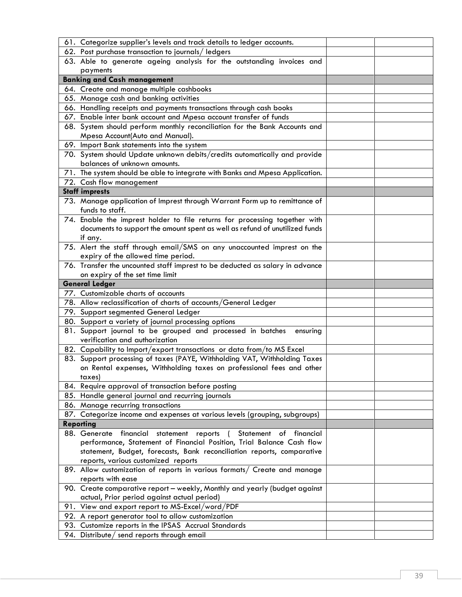| 61. Categorize supplier's levels and track details to ledger accounts.                             |  |
|----------------------------------------------------------------------------------------------------|--|
| 62. Post purchase transaction to journals/ledgers                                                  |  |
| 63. Able to generate ageing analysis for the outstanding invoices and                              |  |
| payments                                                                                           |  |
| <b>Banking and Cash management</b>                                                                 |  |
| 64. Create and manage multiple cashbooks                                                           |  |
| 65. Manage cash and banking activities                                                             |  |
| 66. Handling receipts and payments transactions through cash books                                 |  |
| 67. Enable inter bank account and Mpesa account transfer of funds                                  |  |
| 68. System should perform monthly reconciliation for the Bank Accounts and                         |  |
| Mpesa Account(Auto and Manual).                                                                    |  |
| 69. Import Bank statements into the system                                                         |  |
| 70. System should Update unknown debits/credits automatically and provide                          |  |
| balances of unknown amounts.                                                                       |  |
| 71. The system should be able to integrate with Banks and Mpesa Application.                       |  |
| 72. Cash flow management                                                                           |  |
| <b>Staff imprests</b>                                                                              |  |
| 73. Manage application of Imprest through Warrant Form up to remittance of                         |  |
| funds to staff.                                                                                    |  |
| 74. Enable the imprest holder to file returns for processing together with                         |  |
| documents to support the amount spent as well as refund of unutilized funds                        |  |
| if any.                                                                                            |  |
| 75. Alert the staff through email/SMS on any unaccounted imprest on the                            |  |
| expiry of the allowed time period.                                                                 |  |
| 76. Transfer the uncounted staff imprest to be deducted as salary in advance                       |  |
| on expiry of the set time limit                                                                    |  |
| <b>General Ledger</b>                                                                              |  |
|                                                                                                    |  |
| 77. Customizable charts of accounts                                                                |  |
| 78. Allow reclassification of charts of accounts/General Ledger                                    |  |
| 79. Support segmented General Ledger                                                               |  |
| 80. Support a variety of journal processing options                                                |  |
| 81. Support journal to be grouped and processed in batches<br>ensuring                             |  |
| verification and authorization                                                                     |  |
| 82. Capability to Import/export transactions or data from/to MS Excel                              |  |
| 83. Support processing of taxes (PAYE, Withholding VAT, Withholding Taxes                          |  |
| on Rental expenses, Withholding taxes on professional fees and other                               |  |
| taxes)                                                                                             |  |
| 84. Require approval of transaction before posting                                                 |  |
| 85. Handle general journal and recurring journals                                                  |  |
| 86. Manage recurring transactions                                                                  |  |
| 87. Categorize income and expenses at various levels (grouping, subgroups)                         |  |
| <b>Reporting</b>                                                                                   |  |
| 88. Generate<br>financial<br>statement reports<br>Statement of financial<br>$\sqrt{2}$             |  |
| performance, Statement of Financial Position, Trial Balance Cash flow                              |  |
| statement, Budget, forecasts, Bank reconciliation reports, comparative                             |  |
| reports, various customized reports                                                                |  |
| 89. Allow customization of reports in various formats/ Create and manage                           |  |
| reports with ease                                                                                  |  |
| 90. Create comparative report - weekly, Monthly and yearly (budget against                         |  |
| actual, Prior period against actual period)                                                        |  |
| 91. View and export report to MS-Excel/word/PDF                                                    |  |
| 92. A report generator tool to allow customization                                                 |  |
| 93. Customize reports in the IPSAS Accrual Standards<br>94. Distribute/ send reports through email |  |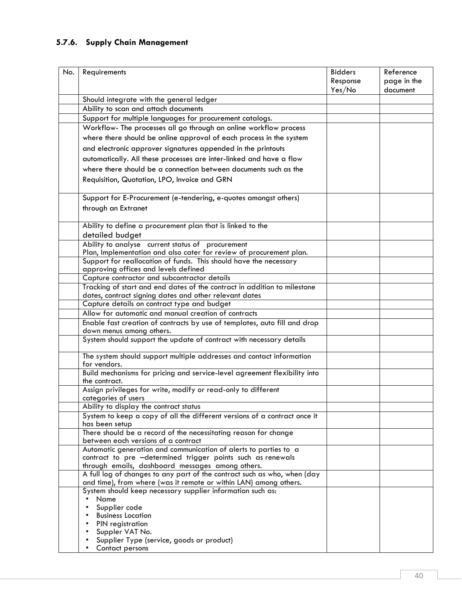# **5.7.6. Supply Chain Management**

| No. | Requirements                                                                                                                 | <b>Bidders</b> | Reference   |
|-----|------------------------------------------------------------------------------------------------------------------------------|----------------|-------------|
|     |                                                                                                                              | Response       | page in the |
|     |                                                                                                                              | Yes/No         | document    |
|     | Should integrate with the general ledger                                                                                     |                |             |
|     | Ability to scan and attach documents                                                                                         |                |             |
|     | Support for multiple languages for procurement catalogs.                                                                     |                |             |
|     | Workflow- The processes all go through an online workflow process                                                            |                |             |
|     | where there should be online approval of each process in the system                                                          |                |             |
|     |                                                                                                                              |                |             |
|     | and electronic approver signatures appended in the printouts                                                                 |                |             |
|     | automatically. All these processes are inter-linked and have a flow                                                          |                |             |
|     | where there should be a connection between documents such as the                                                             |                |             |
|     | Requisition, Quotation, LPO, Invoice and GRN                                                                                 |                |             |
|     | Support for E-Procurement (e-tendering, e-quotes amongst others)                                                             |                |             |
|     | through an Extranet                                                                                                          |                |             |
|     | Ability to define a procurement plan that is linked to the                                                                   |                |             |
|     | detailed budget                                                                                                              |                |             |
|     | Ability to analyse current status of procurement                                                                             |                |             |
|     | Plan, Implementation and also cater for review of procurement plan.                                                          |                |             |
|     | Support for reallocation of funds. This should have the necessary                                                            |                |             |
|     | approving offices and levels defined                                                                                         |                |             |
|     | Capture contractor and subcontractor details                                                                                 |                |             |
|     | Tracking of start and end dates of the contract in addition to milestone                                                     |                |             |
|     | dates, contract signing dates and other relevant dates                                                                       |                |             |
|     | Capture details on contract type and budget                                                                                  |                |             |
|     | Allow for automatic and manual creation of contracts                                                                         |                |             |
|     | Enable fast creation of contracts by use of templates, auto fill and drop                                                    |                |             |
|     | down menus among others.                                                                                                     |                |             |
|     | System should support the update of contract with necessary details                                                          |                |             |
|     | The system should support multiple addresses and contact information                                                         |                |             |
|     | for vendors.                                                                                                                 |                |             |
|     | Build mechanisms for pricing and service-level agreement flexibility into<br>the contract.                                   |                |             |
|     | Assign privileges for write, modify or read-only to different                                                                |                |             |
|     | categories of users                                                                                                          |                |             |
|     | Ability to display the contract status                                                                                       |                |             |
|     | System to keep a copy of all the different versions of a contract once it                                                    |                |             |
|     | has been setup                                                                                                               |                |             |
|     | There should be a record of the necessitating reason for change                                                              |                |             |
|     | between each versions of a contract                                                                                          |                |             |
|     | Automatic generation and communication of alerts to parties to a                                                             |                |             |
|     | contract to pre -determined trigger points such as renewals                                                                  |                |             |
|     | through emails, dashboard messages among others.<br>A full log of changes to any part of the contract such as who, when (day |                |             |
|     | and time), from where (was it remote or within LAN) among others.                                                            |                |             |
|     | System should keep necessary supplier information such as:                                                                   |                |             |
|     | Name<br>$\bullet$                                                                                                            |                |             |
|     | Supplier code                                                                                                                |                |             |
|     | <b>Business Location</b><br>PIN registration<br>$\bullet$                                                                    |                |             |
|     | Suppler VAT No.<br>$\bullet$                                                                                                 |                |             |
|     | Supplier Type (service, goods or product)                                                                                    |                |             |
|     | Contact persons                                                                                                              |                |             |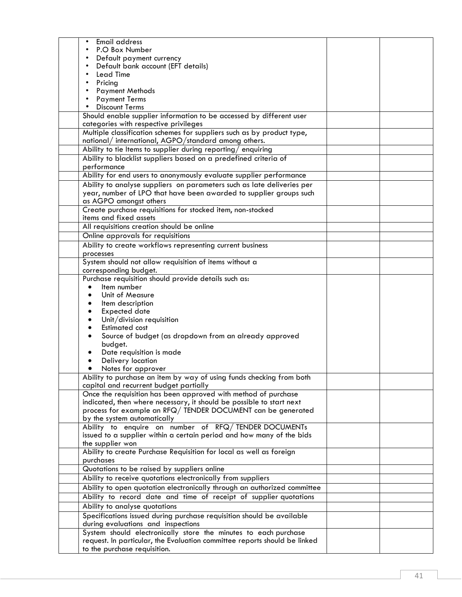| Email address                                                                                                                                |  |
|----------------------------------------------------------------------------------------------------------------------------------------------|--|
| P.O Box Number                                                                                                                               |  |
| Default payment currency                                                                                                                     |  |
| Default bank account (EFT details)                                                                                                           |  |
| <b>Lead Time</b><br>$\bullet$                                                                                                                |  |
| Pricing<br>$\bullet$                                                                                                                         |  |
| <b>Payment Methods</b><br>$\bullet$                                                                                                          |  |
| <b>Payment Terms</b>                                                                                                                         |  |
| <b>Discount Terms</b>                                                                                                                        |  |
| Should enable supplier information to be accessed by different user                                                                          |  |
| categories with respective privileges                                                                                                        |  |
| Multiple classification schemes for suppliers such as by product type,                                                                       |  |
| national/ international, AGPO/standard among others.                                                                                         |  |
| Ability to tie Items to supplier during reporting/enquiring                                                                                  |  |
| Ability to blacklist suppliers based on a predefined criteria of                                                                             |  |
| performance                                                                                                                                  |  |
| Ability for end users to anonymously evaluate supplier performance<br>Ability to analyse suppliers on parameters such as late deliveries per |  |
| year, number of LPO that have been awarded to supplier groups such                                                                           |  |
| as AGPO amongst others                                                                                                                       |  |
|                                                                                                                                              |  |
| Create purchase requisitions for stocked item, non-stocked<br>items and fixed assets                                                         |  |
| All requisitions creation should be online                                                                                                   |  |
| Online approvals for requisitions                                                                                                            |  |
| Ability to create workflows representing current business                                                                                    |  |
| processes                                                                                                                                    |  |
| System should not allow requisition of items without a                                                                                       |  |
| corresponding budget.                                                                                                                        |  |
| Purchase requisition should provide details such as:                                                                                         |  |
| Item number                                                                                                                                  |  |
| Unit of Measure                                                                                                                              |  |
| Item description                                                                                                                             |  |
| <b>Expected date</b>                                                                                                                         |  |
| Unit/division requisition                                                                                                                    |  |
| <b>Estimated cost</b>                                                                                                                        |  |
| Source of budget (as dropdown from an already approved                                                                                       |  |
| budget.                                                                                                                                      |  |
| Date requisition is made                                                                                                                     |  |
| Delivery location                                                                                                                            |  |
| Notes for approver                                                                                                                           |  |
| Ability to purchase an item by way of using funds checking from both                                                                         |  |
| capital and recurrent budget partially                                                                                                       |  |
| Once the requisition has been approved with method of purchase                                                                               |  |
| indicated, then where necessary, it should be possible to start next                                                                         |  |
| process for example an RFQ/ TENDER DOCUMENT can be generated                                                                                 |  |
| by the system automatically                                                                                                                  |  |
| Ability to enquire on number of RFQ/TENDER DOCUMENTs                                                                                         |  |
| issued to a supplier within a certain period and how many of the bids                                                                        |  |
| the supplier won<br>Ability to create Purchase Requisition for local as well as foreign                                                      |  |
| purchases                                                                                                                                    |  |
| Quotations to be raised by suppliers online                                                                                                  |  |
| Ability to receive quotations electronically from suppliers                                                                                  |  |
| Ability to open quotation electronically through an authorized committee                                                                     |  |
| Ability to record date and time of receipt of supplier quotations                                                                            |  |
| Ability to analyse quotations                                                                                                                |  |
| Specifications issued during purchase requisition should be available                                                                        |  |
| during evaluations and inspections                                                                                                           |  |
| System should electronically store the minutes to each purchase                                                                              |  |
| request. In particular, the Evaluation committee reports should be linked                                                                    |  |
| to the purchase requisition.                                                                                                                 |  |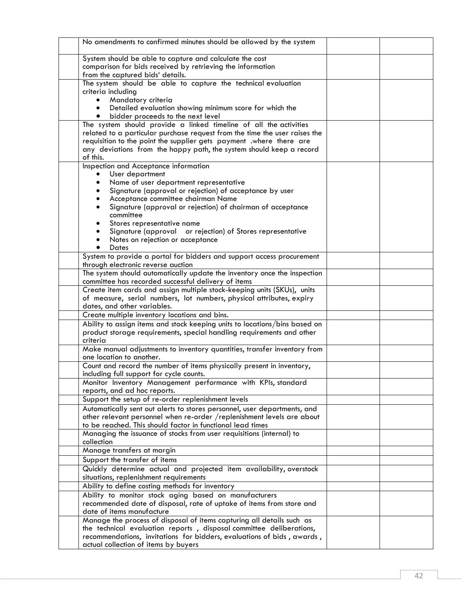| No amendments to confirmed minutes should be allowed by the system                                                              |  |
|---------------------------------------------------------------------------------------------------------------------------------|--|
| System should be able to capture and calculate the cost                                                                         |  |
| comparison for bids received by retrieving the information                                                                      |  |
| from the captured bids' details.                                                                                                |  |
| The system should be able to capture the technical evaluation                                                                   |  |
| criteria including<br>Mandatory criteria                                                                                        |  |
| Detailed evaluation showing minimum score for which the<br>$\bullet$                                                            |  |
| bidder proceeds to the next level                                                                                               |  |
| The system should provide a linked timeline of all the activities                                                               |  |
| related to a particular purchase request from the time the user raises the                                                      |  |
| requisition to the point the supplier gets payment .where there are                                                             |  |
| any deviations from the happy path, the system should keep a record<br>of this.                                                 |  |
| Inspection and Acceptance information                                                                                           |  |
| User department                                                                                                                 |  |
| Name of user department representative                                                                                          |  |
| Signature (approval or rejection) of acceptance by user                                                                         |  |
| Acceptance committee chairman Name<br>٠                                                                                         |  |
| Signature (approval or rejection) of chairman of acceptance                                                                     |  |
| committee<br>Stores representative name                                                                                         |  |
| Signature (approval or rejection) of Stores representative                                                                      |  |
| Notes on rejection or acceptance                                                                                                |  |
| Dates                                                                                                                           |  |
| System to provide a portal for bidders and support access procurement                                                           |  |
| through electronic reverse auction                                                                                              |  |
| The system should automatically update the inventory once the inspection<br>committee has recorded successful delivery of items |  |
| Create item cards and assign multiple stock-keeping units (SKUs), units                                                         |  |
| of measure, serial numbers, lot numbers, physical attributes, expiry                                                            |  |
| dates, and other variables.                                                                                                     |  |
| Create multiple inventory locations and bins.                                                                                   |  |
| Ability to assign items and stock keeping units to locations/bins based on                                                      |  |
| product storage requirements, special handling requirements and other<br>criteria                                               |  |
| Make manual adjustments to inventory quantities, transfer inventory from                                                        |  |
| one location to another.                                                                                                        |  |
| Count and record the number of items physically present in inventory,                                                           |  |
| including full support for cycle counts.                                                                                        |  |
| Monitor Inventory Management performance with KPIs, standard                                                                    |  |
| reports, and ad hoc reports.<br>Support the setup of re-order replenishment levels                                              |  |
| Automatically sent out alerts to stores personnel, user departments, and                                                        |  |
| other relevant personnel when re-order /replenishment levels are about                                                          |  |
| to be reached. This should factor in functional lead times                                                                      |  |
| Managing the issuance of stocks from user requisitions (internal) to                                                            |  |
| collection                                                                                                                      |  |
| Manage transfers at margin                                                                                                      |  |
| Support the transfer of items                                                                                                   |  |
| Quickly determine actual and projected item availability, overstock<br>situations, replenishment requirements                   |  |
| Ability to define costing methods for inventory                                                                                 |  |
| Ability to monitor stock aging based on manufacturers                                                                           |  |
| recommended date of disposal, rate of uptake of items from store and                                                            |  |
| date of items manufacture                                                                                                       |  |
| Manage the process of disposal of items capturing all details such as                                                           |  |
| the technical evaluation reports, disposal committee deliberations,                                                             |  |
| recommendations, invitations for bidders, evaluations of bids, awards,<br>actual collection of items by buyers                  |  |
|                                                                                                                                 |  |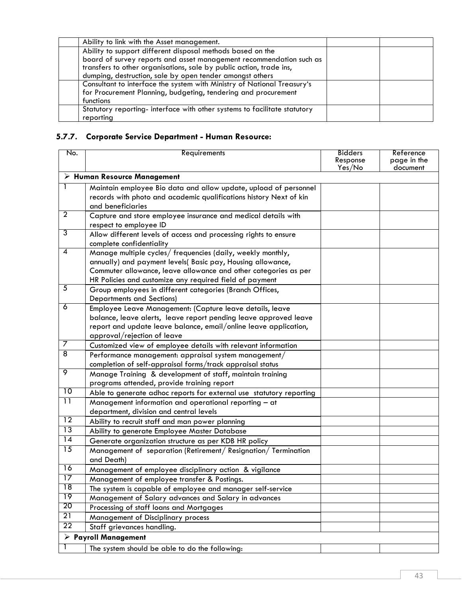| Ability to link with the Asset management.                                |  |
|---------------------------------------------------------------------------|--|
| Ability to support different disposal methods based on the                |  |
| board of survey reports and asset management recommendation such as       |  |
| transfers to other organisations, sale by public action, trade ins,       |  |
| dumping, destruction, sale by open tender amongst others                  |  |
| Consultant to interface the system with Ministry of National Treasury's   |  |
| for Procurement Planning, budgeting, tendering and procurement            |  |
| functions                                                                 |  |
| Statutory reporting- interface with other systems to facilitate statutory |  |
| reporting                                                                 |  |

# **5.7.7. Corporate Service Department - Human Resource:**

| No.             | Requirements                                                                                                                   | <b>Bidders</b>     | Reference               |  |  |
|-----------------|--------------------------------------------------------------------------------------------------------------------------------|--------------------|-------------------------|--|--|
|                 |                                                                                                                                | Response<br>Yes/No | page in the<br>document |  |  |
|                 | $\triangleright$ Human Resource Management                                                                                     |                    |                         |  |  |
| 1               | Maintain employee Bio data and allow update, upload of personnel                                                               |                    |                         |  |  |
|                 | records with photo and academic qualifications history Next of kin                                                             |                    |                         |  |  |
|                 | and beneficiaries                                                                                                              |                    |                         |  |  |
| $\overline{2}$  | Capture and store employee insurance and medical details with                                                                  |                    |                         |  |  |
|                 | respect to employee ID                                                                                                         |                    |                         |  |  |
| 3               | Allow different levels of access and processing rights to ensure                                                               |                    |                         |  |  |
| $\overline{4}$  | complete confidentiality                                                                                                       |                    |                         |  |  |
|                 | Manage multiple cycles/ frequencies (daily, weekly monthly,                                                                    |                    |                         |  |  |
|                 | annually) and payment levels( Basic pay, Housing allowance,<br>Commuter allowance, leave allowance and other categories as per |                    |                         |  |  |
|                 | HR Policies and customize any required field of payment                                                                        |                    |                         |  |  |
| $\overline{5}$  | Group employees in different categories (Branch Offices,                                                                       |                    |                         |  |  |
|                 | <b>Departments and Sections)</b>                                                                                               |                    |                         |  |  |
| 6               | Employee Leave Management: (Capture leave details, leave                                                                       |                    |                         |  |  |
|                 | balance, leave alerts, leave report pending leave approved leave                                                               |                    |                         |  |  |
|                 | report and update leave balance, email/online leave application,                                                               |                    |                         |  |  |
|                 | approval/rejection of leave                                                                                                    |                    |                         |  |  |
| 7               | Customized view of employee details with relevant information                                                                  |                    |                         |  |  |
| $\overline{8}$  | Performance management: appraisal system management/                                                                           |                    |                         |  |  |
|                 | completion of self-appraisal forms/track appraisal status                                                                      |                    |                         |  |  |
| 9               | Manage Training & development of staff, maintain training                                                                      |                    |                         |  |  |
| 10              | programs attended, provide training report                                                                                     |                    |                         |  |  |
| $\overline{11}$ | Able to generate adhoc reports for external use statutory reporting                                                            |                    |                         |  |  |
|                 | Management information and operational reporting - at                                                                          |                    |                         |  |  |
| $\overline{12}$ | department, division and central levels                                                                                        |                    |                         |  |  |
| 13              | Ability to recruit staff and man power planning                                                                                |                    |                         |  |  |
| $\overline{14}$ | Ability to generate Employee Master Database                                                                                   |                    |                         |  |  |
| $\overline{15}$ | Generate organization structure as per KDB HR policy                                                                           |                    |                         |  |  |
|                 | Management of separation (Retirement/Resignation/Termination<br>and Death)                                                     |                    |                         |  |  |
| 16              |                                                                                                                                |                    |                         |  |  |
| $\overline{17}$ | Management of employee disciplinary action & vigilance<br>Management of employee transfer & Postings.                          |                    |                         |  |  |
| 18              | The system is capable of employee and manager self-service                                                                     |                    |                         |  |  |
| 19              | Management of Salary advances and Salary in advances                                                                           |                    |                         |  |  |
| 20              | Processing of staff loans and Mortgages                                                                                        |                    |                         |  |  |
| 21              | Management of Disciplinary process                                                                                             |                    |                         |  |  |
| $\overline{22}$ | Staff grievances handling.                                                                                                     |                    |                         |  |  |
|                 | $\triangleright$ Payroll Management                                                                                            |                    |                         |  |  |
|                 | The system should be able to do the following:                                                                                 |                    |                         |  |  |
|                 |                                                                                                                                |                    |                         |  |  |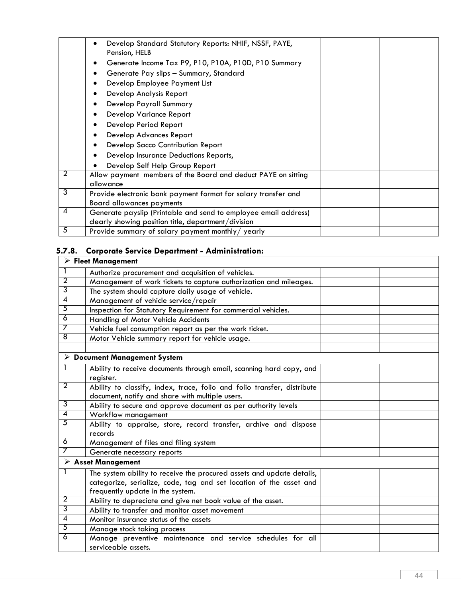|   | Develop Standard Statutory Reports: NHIF, NSSF, PAYE,<br>Pension, HELB |
|---|------------------------------------------------------------------------|
|   | Generate Income Tax P9, P10, P10A, P10D, P10 Summary                   |
|   | Generate Pay slips - Summary, Standard<br>٠                            |
|   | Develop Employee Payment List<br>٠                                     |
|   | Develop Analysis Report<br>٠                                           |
|   | Develop Payroll Summary<br>٠                                           |
|   | Develop Variance Report<br>٠                                           |
|   | Develop Period Report<br>٠                                             |
|   | Develop Advances Report<br>٠                                           |
|   | Develop Sacco Contribution Report<br>٠                                 |
|   | Develop Insurance Deductions Reports,                                  |
|   | Develop Self Help Group Report                                         |
| 2 | Allow payment members of the Board and deduct PAYE on sitting          |
|   | allowance                                                              |
| 3 | Provide electronic bank payment format for salary transfer and         |
|   | <b>Board allowances payments</b>                                       |
| 4 | Generate payslip (Printable and send to employee email address)        |
|   | clearly showing position title, department/division                    |
| 5 | Provide summary of salary payment monthly/ yearly                      |

# **5.7.8. Corporate Service Department - Administration:**

|                | $\triangleright$ Fleet Management                                           |  |
|----------------|-----------------------------------------------------------------------------|--|
| $\mathbf{1}$   | Authorize procurement and acquisition of vehicles.                          |  |
| $\overline{2}$ | Management of work tickets to capture authorization and mileages.           |  |
| $\overline{3}$ | The system should capture daily usage of vehicle.                           |  |
| $\overline{4}$ | Management of vehicle service/repair                                        |  |
| $\overline{5}$ | Inspection for Statutory Requirement for commercial vehicles.               |  |
| $\overline{6}$ | Handling of Motor Vehicle Accidents                                         |  |
| 7              | Vehicle fuel consumption report as per the work ticket.                     |  |
| $\overline{8}$ | Motor Vehicle summary report for vehicle usage.                             |  |
|                |                                                                             |  |
|                | $\triangleright$ Document Management System                                 |  |
| 1              | Ability to receive documents through email, scanning hard copy, and         |  |
|                | register.                                                                   |  |
| $\overline{2}$ | Ability to classify, index, trace, folio and folio transfer, distribute     |  |
| 3              | document, notify and share with multiple users.                             |  |
| $\overline{4}$ | Ability to secure and approve document as per authority levels              |  |
| $\overline{5}$ | Workflow management                                                         |  |
|                | Ability to appraise, store, record transfer, archive and dispose<br>records |  |
| 6              | Management of files and filing system                                       |  |
| 7              | Generate necessary reports                                                  |  |
|                | $\triangleright$ Asset Management                                           |  |
| 1              | The system ability to receive the procured assets and update details,       |  |
|                | categorize, serialize, code, tag and set location of the asset and          |  |
|                | frequently update in the system.                                            |  |
| 2              | Ability to depreciate and give net book value of the asset.                 |  |
| $\overline{3}$ | Ability to transfer and monitor asset movement                              |  |
| 4              | Monitor insurance status of the assets                                      |  |
| $\overline{5}$ | Manage stock taking process                                                 |  |
| 6              | Manage preventive maintenance and service schedules for all                 |  |
|                | serviceable assets.                                                         |  |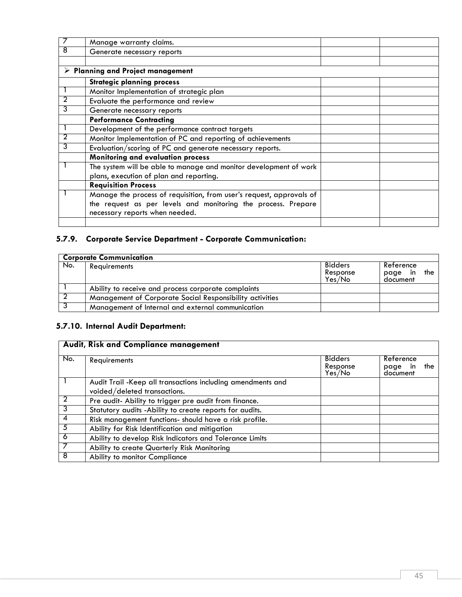|                | Manage warranty claims.                                              |  |
|----------------|----------------------------------------------------------------------|--|
| 8              | Generate necessary reports                                           |  |
|                |                                                                      |  |
|                | $\triangleright$ Planning and Project management                     |  |
|                | <b>Strategic planning process</b>                                    |  |
|                | Monitor Implementation of strategic plan                             |  |
| 2              | Evaluate the performance and review                                  |  |
| 3              | Generate necessary reports                                           |  |
|                | <b>Performance Contracting</b>                                       |  |
|                | Development of the performance contract targets                      |  |
| $\overline{2}$ | Monitor Implementation of PC and reporting of achievements           |  |
| 3              | Evaluation/scoring of PC and generate necessary reports.             |  |
|                | Monitoring and evaluation process                                    |  |
|                | The system will be able to manage and monitor development of work    |  |
|                | plans, execution of plan and reporting.                              |  |
|                | <b>Requisition Process</b>                                           |  |
|                | Manage the process of requisition, from user's request, approvals of |  |
|                | the request as per levels and monitoring the process. Prepare        |  |
|                | necessary reports when needed.                                       |  |
|                |                                                                      |  |

# **5.7.9. Corporate Service Department - Corporate Communication:**

|     | <b>Corporate Communication</b>                           |                                      |                                         |  |  |
|-----|----------------------------------------------------------|--------------------------------------|-----------------------------------------|--|--|
| No. | Requirements                                             | <b>Bidders</b><br>Response<br>Yes/No | Reference<br>the<br>page in<br>document |  |  |
|     | Ability to receive and process corporate complaints      |                                      |                                         |  |  |
|     | Management of Corporate Social Responsibility activities |                                      |                                         |  |  |
|     | Management of Internal and external communication        |                                      |                                         |  |  |

# **5.7.10. Internal Audit Department:**

## **Audit, Risk and Compliance management**

| No. | Requirements                                                                                | <b>Bidders</b><br>Response<br>Yes / No | Reference<br>the<br>page in<br>document |
|-----|---------------------------------------------------------------------------------------------|----------------------------------------|-----------------------------------------|
|     | Audit Trail -Keep all transactions including amendments and<br>voided/deleted transactions. |                                        |                                         |
|     | Pre audit- Ability to trigger pre audit from finance.                                       |                                        |                                         |
|     | Statutory audits - Ability to create reports for audits.                                    |                                        |                                         |
|     | Risk management functions- should have a risk profile.                                      |                                        |                                         |
| .5  | Ability for Risk Identification and mitigation                                              |                                        |                                         |
| 6   | Ability to develop Risk Indicators and Tolerance Limits                                     |                                        |                                         |
|     | Ability to create Quarterly Risk Monitoring                                                 |                                        |                                         |
| 8   | Ability to monitor Compliance                                                               |                                        |                                         |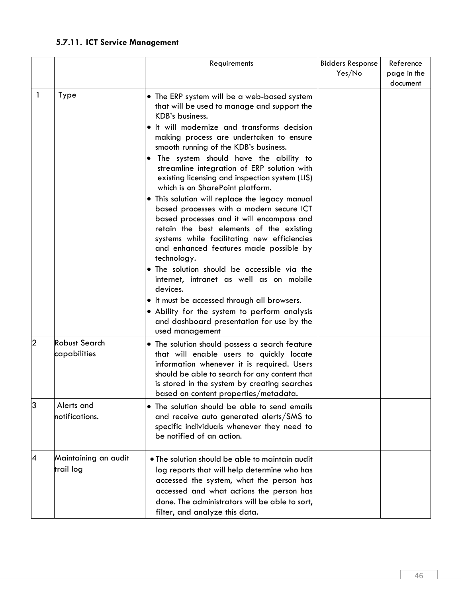# **5.7.11. ICT Service Management**

|                |                                      | Requirements                                                                                                                                                                                                                                                                                                                                                                                                                                                                                                                                                                                                                                                                                                                                                                                                                                                                                                                                                                                         | <b>Bidders Response</b><br>Yes/No | Reference<br>page in the<br>document |
|----------------|--------------------------------------|------------------------------------------------------------------------------------------------------------------------------------------------------------------------------------------------------------------------------------------------------------------------------------------------------------------------------------------------------------------------------------------------------------------------------------------------------------------------------------------------------------------------------------------------------------------------------------------------------------------------------------------------------------------------------------------------------------------------------------------------------------------------------------------------------------------------------------------------------------------------------------------------------------------------------------------------------------------------------------------------------|-----------------------------------|--------------------------------------|
| -1             | Type                                 | • The ERP system will be a web-based system<br>that will be used to manage and support the<br>KDB's business.<br>· It will modernize and transforms decision<br>making process are undertaken to ensure<br>smooth running of the KDB's business.<br>. The system should have the ability to<br>streamline integration of ERP solution with<br>existing licensing and inspection system (LIS)<br>which is on SharePoint platform.<br>. This solution will replace the legacy manual<br>based processes with a modern secure ICT<br>based processes and it will encompass and<br>retain the best elements of the existing<br>systems while facilitating new efficiencies<br>and enhanced features made possible by<br>technology.<br>• The solution should be accessible via the<br>internet, intranet as well as on mobile<br>devices.<br>• It must be accessed through all browsers.<br>• Ability for the system to perform analysis<br>and dashboard presentation for use by the<br>used management |                                   |                                      |
| $\overline{2}$ | <b>Robust Search</b><br>capabilities | • The solution should possess a search feature<br>that will enable users to quickly locate<br>information whenever it is required. Users<br>should be able to search for any content that<br>is stored in the system by creating searches<br>based on content properties/metadata.                                                                                                                                                                                                                                                                                                                                                                                                                                                                                                                                                                                                                                                                                                                   |                                   |                                      |
| lЗ             | Alerts and<br>notifications.         | • The solution should be able to send emails<br>and receive auto generated alerts/SMS to<br>specific individuals whenever they need to<br>be notified of an action.                                                                                                                                                                                                                                                                                                                                                                                                                                                                                                                                                                                                                                                                                                                                                                                                                                  |                                   |                                      |
| 4              | Maintaining an audit<br>trail log    | • The solution should be able to maintain audit<br>log reports that will help determine who has<br>accessed the system, what the person has<br>accessed and what actions the person has<br>done. The administrators will be able to sort,<br>filter, and analyze this data.                                                                                                                                                                                                                                                                                                                                                                                                                                                                                                                                                                                                                                                                                                                          |                                   |                                      |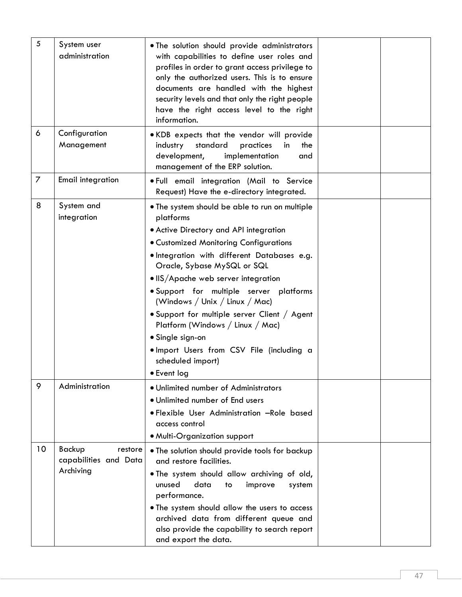| 5              | System user<br>administration                           | . The solution should provide administrators<br>with capabilities to define user roles and<br>profiles in order to grant access privilege to<br>only the authorized users. This is to ensure<br>documents are handled with the highest<br>security levels and that only the right people<br>have the right access level to the right<br>information.                                                                                                                                                                                                      |  |
|----------------|---------------------------------------------------------|-----------------------------------------------------------------------------------------------------------------------------------------------------------------------------------------------------------------------------------------------------------------------------------------------------------------------------------------------------------------------------------------------------------------------------------------------------------------------------------------------------------------------------------------------------------|--|
| 6              | Configuration<br>Management                             | . KDB expects that the vendor will provide<br>industry<br>standard<br>practices<br>in<br>the<br>development,<br>implementation<br>and<br>management of the ERP solution.                                                                                                                                                                                                                                                                                                                                                                                  |  |
| $\overline{7}$ | <b>Email integration</b>                                | . Full email integration (Mail to Service<br>Request) Have the e-directory integrated.                                                                                                                                                                                                                                                                                                                                                                                                                                                                    |  |
| 8              | System and<br>integration                               | . The system should be able to run on multiple<br>platforms<br>• Active Directory and API integration<br><b>• Customized Monitoring Configurations</b><br>· Integration with different Databases e.g.<br>Oracle, Sybase MySQL or SQL<br>• IIS/Apache web server integration<br>· Support for multiple server platforms<br>(Windows / Unix / Linux / Mac)<br>. Support for multiple server Client / Agent<br>Platform (Windows / Linux / Mac)<br>• Single sign-on<br>. Import Users from CSV File (including a<br>scheduled import)<br>$\bullet$ Event log |  |
| 9              | Administration                                          | · Unlimited number of Administrators<br>. Unlimited number of End users<br>· Flexible User Administration -Role based<br>access control<br>• Multi-Organization support                                                                                                                                                                                                                                                                                                                                                                                   |  |
| 10             | Backup<br>restore<br>capabilities and Data<br>Archiving | . The solution should provide tools for backup<br>and restore facilities.<br>. The system should allow archiving of old,<br>unused<br>data<br>improve<br>to<br>system<br>performance.<br>. The system should allow the users to access<br>archived data from different queue and<br>also provide the capability to search report<br>and export the data.                                                                                                                                                                                                  |  |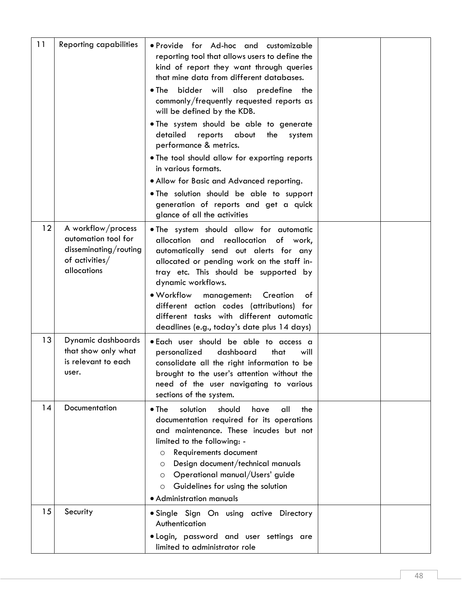| 11                | <b>Reporting capabilities</b>                                                                       | · Provide for Ad-hoc and customizable<br>reporting tool that allows users to define the<br>kind of report they want through queries<br>that mine data from different databases.<br>bidder will also predefine the<br>$\bullet$ The                                                                                                                                    |  |
|-------------------|-----------------------------------------------------------------------------------------------------|-----------------------------------------------------------------------------------------------------------------------------------------------------------------------------------------------------------------------------------------------------------------------------------------------------------------------------------------------------------------------|--|
|                   |                                                                                                     | commonly/frequently requested reports as<br>will be defined by the KDB.                                                                                                                                                                                                                                                                                               |  |
|                   |                                                                                                     | . The system should be able to generate<br>detailed<br>reports about the<br>system<br>performance & metrics.                                                                                                                                                                                                                                                          |  |
|                   |                                                                                                     | . The tool should allow for exporting reports<br>in various formats.                                                                                                                                                                                                                                                                                                  |  |
|                   |                                                                                                     | . Allow for Basic and Advanced reporting.                                                                                                                                                                                                                                                                                                                             |  |
|                   |                                                                                                     | . The solution should be able to support<br>generation of reports and get a quick<br>glance of all the activities                                                                                                                                                                                                                                                     |  |
| $12 \overline{ }$ | A workflow/process<br>automation tool for<br>disseminating/routing<br>of activities/<br>allocations | . The system should allow for automatic<br>allocation and reallocation of work,<br>automatically send out alerts for any<br>allocated or pending work on the staff in-<br>tray etc. This should be supported by<br>dynamic workflows.                                                                                                                                 |  |
|                   |                                                                                                     | • Workflow<br>management:<br>Creation<br>of<br>different action codes (attributions) for<br>different tasks with different automatic<br>deadlines (e.g., today's date plus 14 days)                                                                                                                                                                                   |  |
| 13                | Dynamic dashboards<br>that show only what<br>is relevant to each<br>user.                           | . Each user should be able to access a<br>personalized<br>dashboard<br>that<br>will<br>consolidate all the right information to be<br>brought to the user's attention without the<br>need of the user navigating to various<br>sections of the system.                                                                                                                |  |
| 14                | Documentation                                                                                       | $\bullet$ The<br>solution<br>should<br>all<br>have<br>the<br>documentation required for its operations<br>and maintenance. These incudes but not<br>limited to the following: -<br>Requirements document<br>O<br>Design document/technical manuals<br>O<br>Operational manual/Users' guide<br>O<br>Guidelines for using the solution<br>O<br>• Administration manuals |  |
| 15                | Security                                                                                            | · Single Sign On using active Directory<br>Authentication                                                                                                                                                                                                                                                                                                             |  |
|                   |                                                                                                     | · Login, password and user settings are<br>limited to administrator role                                                                                                                                                                                                                                                                                              |  |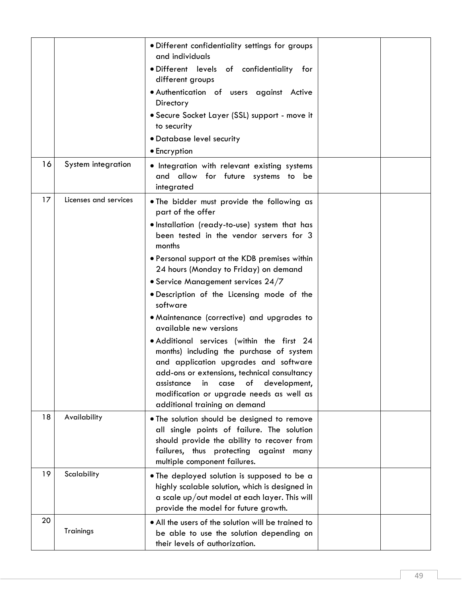| 16 | System integration    | . Different confidentiality settings for groups<br>and individuals<br>· Different levels of confidentiality for<br>different groups<br>· Authentication of users against Active<br>Directory<br>• Secure Socket Layer (SSL) support - move it<br>to security<br>• Database level security<br>• Encryption                                                                                                                                                                                                                                                                                                                                                                                                                                        |  |
|----|-----------------------|--------------------------------------------------------------------------------------------------------------------------------------------------------------------------------------------------------------------------------------------------------------------------------------------------------------------------------------------------------------------------------------------------------------------------------------------------------------------------------------------------------------------------------------------------------------------------------------------------------------------------------------------------------------------------------------------------------------------------------------------------|--|
|    |                       | · Integration with relevant existing systems<br>and allow for future systems to be<br>integrated                                                                                                                                                                                                                                                                                                                                                                                                                                                                                                                                                                                                                                                 |  |
| 17 | Licenses and services | . The bidder must provide the following as<br>part of the offer<br>· Installation (ready-to-use) system that has<br>been tested in the vendor servers for 3<br>months<br>. Personal support at the KDB premises within<br>24 hours (Monday to Friday) on demand<br>• Service Management services 24/7<br>· Description of the Licensing mode of the<br>software<br>· Maintenance (corrective) and upgrades to<br>available new versions<br>• Additional services (within the first 24<br>months) including the purchase of system<br>and application upgrades and software<br>add-ons or extensions, technical consultancy<br>in case of development,<br>assistance<br>modification or upgrade needs as well as<br>additional training on demand |  |
| 18 | Availability          | . The solution should be designed to remove<br>all single points of failure. The solution<br>should provide the ability to recover from<br>failures, thus protecting against many<br>multiple component failures.                                                                                                                                                                                                                                                                                                                                                                                                                                                                                                                                |  |
| 19 | Scalability           | • The deployed solution is supposed to be a<br>highly scalable solution, which is designed in<br>a scale up/out model at each layer. This will<br>provide the model for future growth.                                                                                                                                                                                                                                                                                                                                                                                                                                                                                                                                                           |  |
| 20 | Trainings             | • All the users of the solution will be trained to<br>be able to use the solution depending on<br>their levels of authorization.                                                                                                                                                                                                                                                                                                                                                                                                                                                                                                                                                                                                                 |  |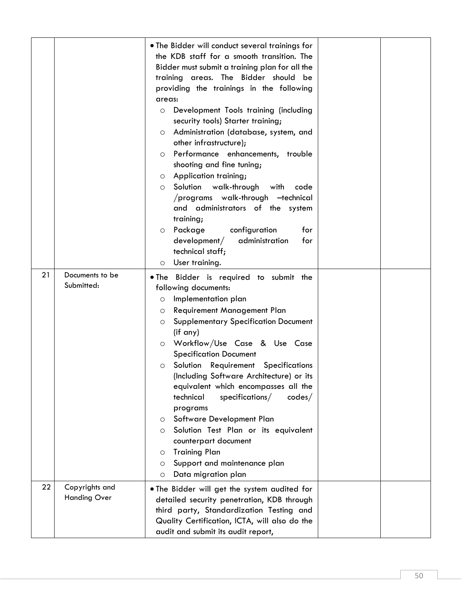|    |                                       | . The Bidder will conduct several trainings for<br>the KDB staff for a smooth transition. The<br>Bidder must submit a training plan for all the<br>training areas. The Bidder should be<br>providing the trainings in the following<br>areas:<br>Development Tools training (including<br>O<br>security tools) Starter training;<br>Administration (database, system, and<br>$\circ$<br>other infrastructure);<br>Performance enhancements, trouble<br>$\circ$<br>shooting and fine tuning;<br>Application training;<br>$\circ$<br>Solution walk-through<br>with<br>code<br>$\circ$<br>/programs walk-through -technical<br>and administrators of the system<br>training;<br>configuration<br>Package<br>for<br>$\circ$<br>$d$ evelopment $/$<br>administration<br>for<br>technical staff;<br>User training.<br>$\circ$ |  |
|----|---------------------------------------|-------------------------------------------------------------------------------------------------------------------------------------------------------------------------------------------------------------------------------------------------------------------------------------------------------------------------------------------------------------------------------------------------------------------------------------------------------------------------------------------------------------------------------------------------------------------------------------------------------------------------------------------------------------------------------------------------------------------------------------------------------------------------------------------------------------------------|--|
| 21 | Documents to be<br>Submitted:         | . The Bidder is required to submit the<br>following documents:<br>Implementation plan<br>O<br>Requirement Management Plan<br>O<br><b>Supplementary Specification Document</b><br>$\circ$<br>(if any)<br>Workflow/Use Case & Use Case<br>$\circ$<br><b>Specification Document</b><br>Solution Requirement Specifications<br>$\circ$<br>(Including Software Architecture) or its<br>equivalent which encompasses all the<br>technical<br>specifications/<br>codes/<br>programs<br>Software Development Plan<br>O<br>Solution Test Plan or its equivalent<br>$\circ$<br>counterpart document<br><b>Training Plan</b><br>$\circ$<br>Support and maintenance plan<br>O<br>Data migration plan<br>$\circ$                                                                                                                     |  |
| 22 | Copyrights and<br><b>Handing Over</b> | . The Bidder will get the system audited for<br>detailed security penetration, KDB through<br>third party, Standardization Testing and<br>Quality Certification, ICTA, will also do the<br>audit and submit its audit report,                                                                                                                                                                                                                                                                                                                                                                                                                                                                                                                                                                                           |  |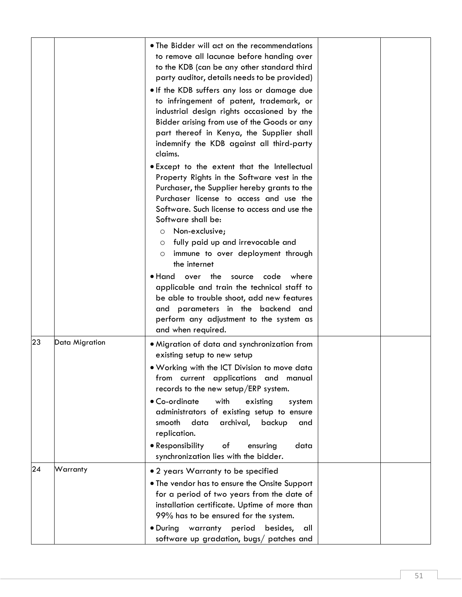|    |                | • The Bidder will act on the recommendations<br>to remove all lacunae before handing over<br>to the KDB (can be any other standard third<br>party auditor, details needs to be provided)<br>. If the KDB suffers any loss or damage due<br>to infringement of patent, trademark, or<br>industrial design rights occasioned by the<br>Bidder arising from use of the Goods or any<br>part thereof in Kenya, the Supplier shall<br>indemnify the KDB against all third-party<br>claims.<br>. Except to the extent that the Intellectual |  |
|----|----------------|---------------------------------------------------------------------------------------------------------------------------------------------------------------------------------------------------------------------------------------------------------------------------------------------------------------------------------------------------------------------------------------------------------------------------------------------------------------------------------------------------------------------------------------|--|
|    |                | Property Rights in the Software vest in the<br>Purchaser, the Supplier hereby grants to the<br>Purchaser license to access and use the<br>Software. Such license to access and use the<br>Software shall be:<br>Non-exclusive;<br>$\circ$<br>fully paid up and irrevocable and<br>O<br>immune to over deployment through<br>$\circ$<br>the internet                                                                                                                                                                                   |  |
|    |                | $\bullet$ Hand over the<br>where<br>source<br>code<br>applicable and train the technical staff to<br>be able to trouble shoot, add new features<br>and parameters in the backend and<br>perform any adjustment to the system as<br>and when required.                                                                                                                                                                                                                                                                                 |  |
| 23 | Data Migration | • Migration of data and synchronization from<br>existing setup to new setup<br>. Working with the ICT Division to move data<br>from current applications and manual<br>records to the new setup/ERP system.<br>• Co-ordinate<br>with<br>existing<br>system<br>administrators of existing setup to ensure<br>smooth<br>data<br>archival,<br>backup<br>and<br>replication.<br>• Responsibility<br>оf<br>ensuring<br>data<br>synchronization lies with the bidder.                                                                       |  |
| 24 | Warranty       | • 2 years Warranty to be specified<br>• The vendor has to ensure the Onsite Support<br>for a period of two years from the date of<br>installation certificate. Uptime of more than<br>99% has to be ensured for the system.<br>. During warranty period<br>besides, all<br>software up gradation, bugs/ patches and                                                                                                                                                                                                                   |  |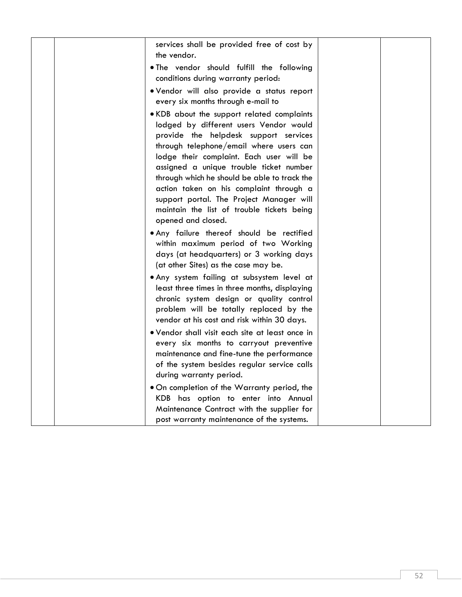| services shall be provided free of cost by<br>the vendor.                                                                                                                                                                                                                                                                                                                                                                                                                  |  |
|----------------------------------------------------------------------------------------------------------------------------------------------------------------------------------------------------------------------------------------------------------------------------------------------------------------------------------------------------------------------------------------------------------------------------------------------------------------------------|--|
| . The vendor should fulfill the following<br>conditions during warranty period:                                                                                                                                                                                                                                                                                                                                                                                            |  |
| · Vendor will also provide a status report<br>every six months through e-mail to                                                                                                                                                                                                                                                                                                                                                                                           |  |
| . KDB about the support related complaints<br>lodged by different users Vendor would<br>provide the helpdesk support services<br>through telephone/email where users can<br>lodge their complaint. Each user will be<br>assigned a unique trouble ticket number<br>through which he should be able to track the<br>action taken on his complaint through a<br>support portal. The Project Manager will<br>maintain the list of trouble tickets being<br>opened and closed. |  |
| . Any failure thereof should be rectified<br>within maximum period of two Working<br>days (at headquarters) or 3 working days<br>(at other Sites) as the case may be.                                                                                                                                                                                                                                                                                                      |  |
| . Any system failing at subsystem level at<br>least three times in three months, displaying<br>chronic system design or quality control<br>problem will be totally replaced by the<br>vendor at his cost and risk within 30 days.                                                                                                                                                                                                                                          |  |
| . Vendor shall visit each site at least once in<br>every six months to carryout preventive<br>maintenance and fine-tune the performance<br>of the system besides regular service calls<br>during warranty period.                                                                                                                                                                                                                                                          |  |
| . On completion of the Warranty period, the<br>KDB has option to enter into Annual<br>Maintenance Contract with the supplier for<br>post warranty maintenance of the systems.                                                                                                                                                                                                                                                                                              |  |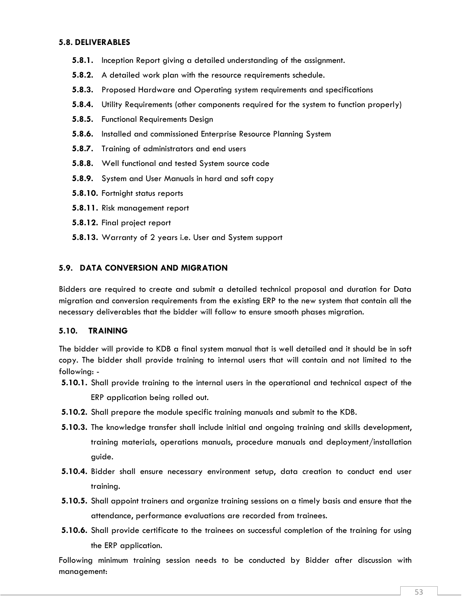#### **5.8. DELIVERABLES**

- **5.8.1.** Inception Report giving a detailed understanding of the assignment.
- **5.8.2.** A detailed work plan with the resource requirements schedule.
- **5.8.3.** Proposed Hardware and Operating system requirements and specifications
- **5.8.4.** Utility Requirements (other components required for the system to function properly)
- **5.8.5.** Functional Requirements Design
- **5.8.6.** Installed and commissioned Enterprise Resource Planning System
- **5.8.7.** Training of administrators and end users
- **5.8.8.** Well functional and tested System source code
- **5.8.9.** System and User Manuals in hard and soft copy
- **5.8.10.** Fortnight status reports
- **5.8.11.** Risk management report
- **5.8.12.** Final project report
- **5.8.13.** Warranty of 2 years i.e. User and System support

#### **5.9. DATA CONVERSION AND MIGRATION**

Bidders are required to create and submit a detailed technical proposal and duration for Data migration and conversion requirements from the existing ERP to the new system that contain all the necessary deliverables that the bidder will follow to ensure smooth phases migration.

#### **5.10. TRAINING**

The bidder will provide to KDB a final system manual that is well detailed and it should be in soft copy. The bidder shall provide training to internal users that will contain and not limited to the following: -

- **5.10.1.** Shall provide training to the internal users in the operational and technical aspect of the ERP application being rolled out.
- **5.10.2.** Shall prepare the module specific training manuals and submit to the KDB.
- **5.10.3.** The knowledge transfer shall include initial and ongoing training and skills development, training materials, operations manuals, procedure manuals and deployment/installation guide.
- **5.10.4.** Bidder shall ensure necessary environment setup, data creation to conduct end user training.
- **5.10.5.** Shall appoint trainers and organize training sessions on a timely basis and ensure that the attendance, performance evaluations are recorded from trainees.
- **5.10.6.** Shall provide certificate to the trainees on successful completion of the training for using the ERP application.

Following minimum training session needs to be conducted by Bidder after discussion with management: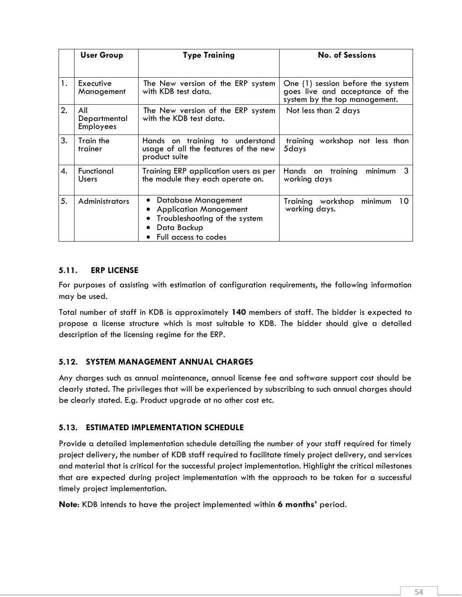|    | <b>User Group</b>                | <b>Type Training</b>                                                                                                         | <b>No. of Sessions</b>                                                                                |
|----|----------------------------------|------------------------------------------------------------------------------------------------------------------------------|-------------------------------------------------------------------------------------------------------|
| 1. | Executive<br>Management          | The New version of the ERP system<br>with KDB test data.                                                                     | One (1) session before the system<br>goes live and acceptance of the<br>system by the top management. |
| 2. | All<br>Departmental<br>Employees | The New version of the ERP system<br>with the KDB test data.                                                                 | Not less than 2 days                                                                                  |
| 3. | Train the<br>trainer             | Hands on training to understand<br>usage of all the features of the new<br>product suite                                     | training workshop not less than<br>5days                                                              |
| 4. | Functional<br>Users              | Training ERP application users as per<br>the module they each operate on.                                                    | -3<br>Hands on<br>minimum<br>training<br>working days                                                 |
| 5. | Administrators                   | Database Management<br><b>Application Management</b><br>Troubleshooting of the system<br>Data Backup<br>Full access to codes | Training workshop<br>minimum<br>10<br>working days.                                                   |

### **5.11. ERP LICENSE**

For purposes of assisting with estimation of configuration requirements, the following information may be used.

Total number of staff in KDB is approximately **140** members of staff. The bidder is expected to propose a license structure which is most suitable to KDB. The bidder should give a detailed description of the licensing regime for the ERP.

## **5.12. SYSTEM MANAGEMENT ANNUAL CHARGES**

Any charges such as annual maintenance, annual license fee and software support cost should be clearly stated. The privileges that will be experienced by subscribing to such annual charges should be clearly stated. E.g. Product upgrade at no other cost etc.

## **5.13. ESTIMATED IMPLEMENTATION SCHEDULE**

Provide a detailed implementation schedule detailing the number of your staff required for timely project delivery, the number of KDB staff required to facilitate timely project delivery, and services and material that is critical for the successful project implementation. Highlight the critical milestones that are expected during project implementation with the approach to be taken for a successful timely project implementation.

**Note**: KDB intends to have the project implemented within **6 months'** period.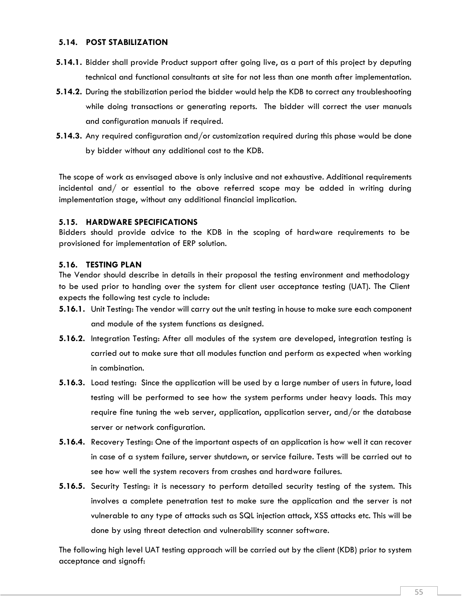#### **5.14. POST STABILIZATION**

- **5.14.1.** Bidder shall provide Product support after going live, as a part of this project by deputing technical and functional consultants at site for not less than one month after implementation.
- **5.14.2.** During the stabilization period the bidder would help the KDB to correct any troubleshooting while doing transactions or generating reports. The bidder will correct the user manuals and configuration manuals if required.
- **5.14.3.** Any required configuration and/or customization required during this phase would be done by bidder without any additional cost to the KDB.

The scope of work as envisaged above is only inclusive and not exhaustive. Additional requirements incidental and/ or essential to the above referred scope may be added in writing during implementation stage, without any additional financial implication.

### **5.15. HARDWARE SPECIFICATIONS**

Bidders should provide advice to the KDB in the scoping of hardware requirements to be provisioned for implementation of ERP solution.

### **5.16. TESTING PLAN**

The Vendor should describe in details in their proposal the testing environment and methodology to be used prior to handing over the system for client user acceptance testing (UAT). The Client expects the following test cycle to include:

- **5.16.1.** Unit Testing: The vendor will carry out the unit testing in house to make sure each component and module of the system functions as designed.
- **5.16.2.** Integration Testing: After all modules of the system are developed, integration testing is carried out to make sure that all modules function and perform as expected when working in combination.
- **5.16.3.** Load testing: Since the application will be used by a large number of users in future, load testing will be performed to see how the system performs under heavy loads. This may require fine tuning the web server, application, application server, and/or the database server or network configuration.
- **5.16.4.** Recovery Testing: One of the important aspects of an application is how well it can recover in case of a system failure, server shutdown, or service failure. Tests will be carried out to see how well the system recovers from crashes and hardware failures.
- **5.16.5.** Security Testing: it is necessary to perform detailed security testing of the system. This involves a complete penetration test to make sure the application and the server is not vulnerable to any type of attacks such as SQL injection attack, XSS attacks etc. This will be done by using threat detection and vulnerability scanner software.

The following high level UAT testing approach will be carried out by the client (KDB) prior to system acceptance and signoff: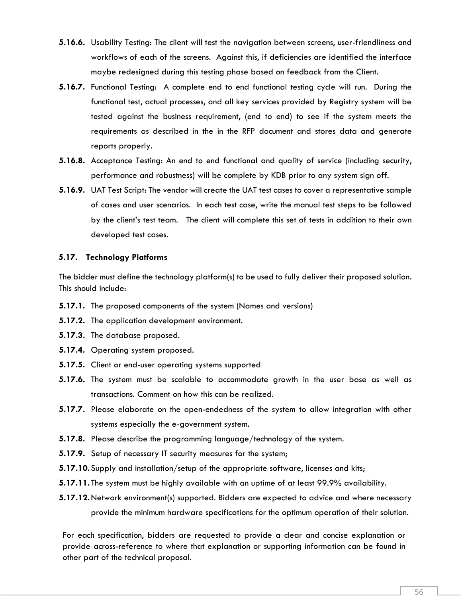- **5.16.6.** Usability Testing: The client will test the navigation between screens, user-friendliness and workflows of each of the screens. Against this, if deficiencies are identified the interface maybe redesigned during this testing phase based on feedback from the Client.
- **5.16.7.** Functional Testing: A complete end to end functional testing cycle will run. During the functional test, actual processes, and all key services provided by Registry system will be tested against the business requirement, (end to end) to see if the system meets the requirements as described in the in the RFP document and stores data and generate reports properly.
- **5.16.8.** Acceptance Testing: An end to end functional and quality of service (including security, performance and robustness) will be complete by KDB prior to any system sign off.
- **5.16.9.** UAT Test Script: The vendor will create the UAT test cases to cover a representative sample of cases and user scenarios. In each test case, write the manual test steps to be followed by the client's test team. The client will complete this set of tests in addition to their own developed test cases.

#### **5.17. Technology Platforms**

The bidder must define the technology platform(s) to be used to fully deliver their proposed solution. This should include:

- **5.17.1.** The proposed components of the system (Names and versions)
- **5.17.2.** The application development environment.
- **5.17.3.** The database proposed.
- **5.17.4.** Operating system proposed.
- **5.17.5.** Client or end-user operating systems supported
- **5.17.6.** The system must be scalable to accommodate growth in the user base as well as transactions. Comment on how this can be realized.
- **5.17.7.** Please elaborate on the open-endedness of the system to allow integration with other systems especially the e-government system.
- **5.17.8.** Please describe the programming language/technology of the system.
- **5.17.9.** Setup of necessary IT security measures for the system;
- **5.17.10.**Supply and installation/setup of the appropriate software, licenses and kits;
- **5.17.11.** The system must be highly available with an uptime of at least 99.9% availability.
- **5.17.12.**Network environment(s) supported. Bidders are expected to advice and where necessary provide the minimum hardware specifications for the optimum operation of their solution.

For each specification, bidders are requested to provide a clear and concise explanation or provide across-reference to where that explanation or supporting information can be found in other part of the technical proposal.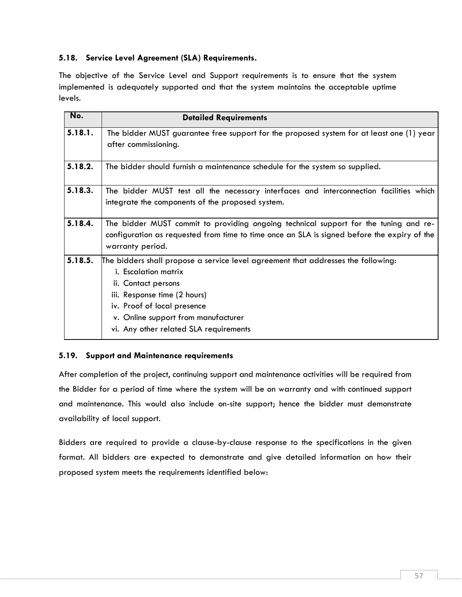## **5.18. Service Level Agreement (SLA) Requirements.**

The objective of the Service Level and Support requirements is to ensure that the system implemented is adequately supported and that the system maintains the acceptable uptime levels.

| No.     | <b>Detailed Requirements</b>                                                                                    |  |  |  |  |
|---------|-----------------------------------------------------------------------------------------------------------------|--|--|--|--|
| 5.18.1. | The bidder MUST guarantee free support for the proposed system for at least one (1) year                        |  |  |  |  |
|         | after commissioning.                                                                                            |  |  |  |  |
| 5.18.2. | The bidder should furnish a maintenance schedule for the system so supplied.                                    |  |  |  |  |
| 5.18.3. | The bidder MUST test all the necessary interfaces and interconnection facilities which                          |  |  |  |  |
|         | integrate the components of the proposed system.                                                                |  |  |  |  |
| 5.18.4. | The bidder MUST commit to providing ongoing technical support for the tuning and re-                            |  |  |  |  |
|         | configuration as requested from time to time once an SLA is signed before the expiry of the<br>warranty period. |  |  |  |  |
| 5.18.5. | The bidders shall propose a service level agreement that addresses the following:                               |  |  |  |  |
|         | <i>i.</i> Escalation matrix                                                                                     |  |  |  |  |
|         | ii. Contact persons                                                                                             |  |  |  |  |
|         | iii. Response time (2 hours)                                                                                    |  |  |  |  |
|         | iv. Proof of local presence                                                                                     |  |  |  |  |
|         | v. Online support from manufacturer                                                                             |  |  |  |  |
|         | vi. Any other related SLA requirements                                                                          |  |  |  |  |

### **5.19. Support and Maintenance requirements**

After completion of the project, continuing support and maintenance activities will be required from the Bidder for a period of time where the system will be on warranty and with continued support and maintenance. This would also include on-site support; hence the bidder must demonstrate availability of local support.

Bidders are required to provide a clause-by-clause response to the specifications in the given format. All bidders are expected to demonstrate and give detailed information on how their proposed system meets the requirements identified below: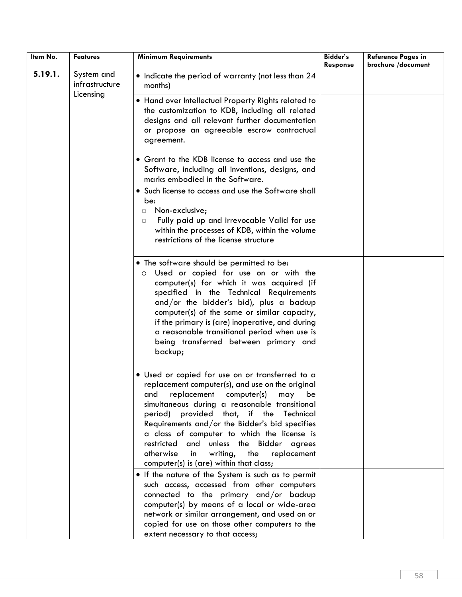| Item No. | <b>Features</b>                           | <b>Minimum Requirements</b>                                                                                                                                                                                                                                                                                                                                                                                                                                                                         | <b>Bidder's</b><br>Response | <b>Reference Pages in</b><br>brochure /document |
|----------|-------------------------------------------|-----------------------------------------------------------------------------------------------------------------------------------------------------------------------------------------------------------------------------------------------------------------------------------------------------------------------------------------------------------------------------------------------------------------------------------------------------------------------------------------------------|-----------------------------|-------------------------------------------------|
| 5.19.1.  | System and<br>infrastructure<br>Licensing | • Indicate the period of warranty (not less than 24<br>months)                                                                                                                                                                                                                                                                                                                                                                                                                                      |                             |                                                 |
|          |                                           | . Hand over Intellectual Property Rights related to<br>the customization to KDB, including all related<br>designs and all relevant further documentation<br>or propose an agreeable escrow contractual<br>agreement.                                                                                                                                                                                                                                                                                |                             |                                                 |
|          |                                           | • Grant to the KDB license to access and use the<br>Software, including all inventions, designs, and<br>marks embodied in the Software.                                                                                                                                                                                                                                                                                                                                                             |                             |                                                 |
|          |                                           | • Such license to access and use the Software shall<br>be:<br>Non-exclusive;<br>$\circ$<br>Fully paid up and irrevocable Valid for use<br>$\circ$<br>within the processes of KDB, within the volume<br>restrictions of the license structure                                                                                                                                                                                                                                                        |                             |                                                 |
|          |                                           | • The software should be permitted to be:<br>Used or copied for use on or with the<br>$\circ$<br>computer(s) for which it was acquired (if<br>specified in the Technical Requirements<br>and/or the bidder's bid), plus a backup<br>computer(s) of the same or similar capacity,<br>if the primary is (are) inoperative, and during<br>a reasonable transitional period when use is<br>being transferred between primary and<br>backup;                                                             |                             |                                                 |
|          |                                           | • Used or copied for use on or transferred to a<br>replacement computer(s), and use on the original<br>replacement computer(s)<br>may<br>be<br>and<br>simultaneous during a reasonable transitional<br>period)<br>provided that, if the Technical<br>Requirements and/or the Bidder's bid specifies<br>a class of computer to which the license is<br>and<br>unless the Bidder agrees<br>restricted<br>otherwise<br>writing,<br>the<br>replacement<br>in<br>computer(s) is (are) within that class; |                             |                                                 |
|          |                                           | . If the nature of the System is such as to permit<br>such access, accessed from other computers<br>connected to the primary and/or backup<br>computer(s) by means of a local or wide-area<br>network or similar arrangement, and used on or<br>copied for use on those other computers to the<br>extent necessary to that access;                                                                                                                                                                  |                             |                                                 |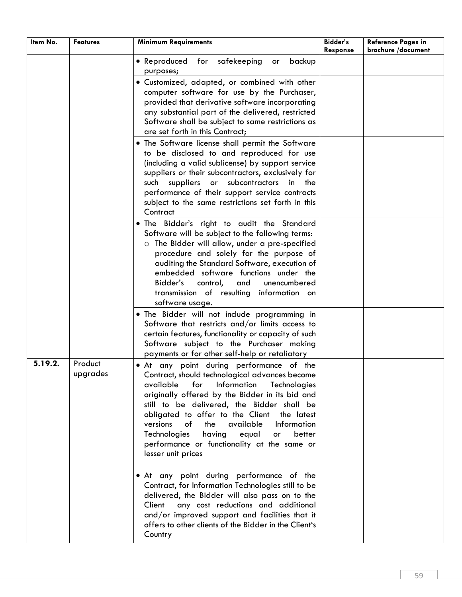| Item No. | <b>Features</b>     | <b>Minimum Requirements</b>                                                                                                                                                                                                                                                                                                                                                                                                                                                | <b>Bidder's</b><br>Response | <b>Reference Pages in</b><br>brochure /document |
|----------|---------------------|----------------------------------------------------------------------------------------------------------------------------------------------------------------------------------------------------------------------------------------------------------------------------------------------------------------------------------------------------------------------------------------------------------------------------------------------------------------------------|-----------------------------|-------------------------------------------------|
|          |                     | • Reproduced for safekeeping<br>backup<br>or<br>purposes;                                                                                                                                                                                                                                                                                                                                                                                                                  |                             |                                                 |
|          |                     | · Customized, adapted, or combined with other<br>computer software for use by the Purchaser,<br>provided that derivative software incorporating<br>any substantial part of the delivered, restricted<br>Software shall be subject to same restrictions as<br>are set forth in this Contract;                                                                                                                                                                               |                             |                                                 |
|          |                     | . The Software license shall permit the Software<br>to be disclosed to and reproduced for use<br>(including a valid sublicense) by support service<br>suppliers or their subcontractors, exclusively for<br>suppliers<br>subcontractors<br>such<br>$\mathsf{or}$<br>in<br>the<br>performance of their support service contracts<br>subject to the same restrictions set forth in this<br>Contract                                                                          |                             |                                                 |
|          |                     | . The Bidder's right to audit the Standard<br>Software will be subject to the following terms:<br>o The Bidder will allow, under a pre-specified<br>procedure and solely for the purpose of<br>auditing the Standard Software, execution of<br>embedded software functions under the<br>Bidder's<br>unencumbered<br>control,<br>and<br>transmission of resulting information on<br>software usage.                                                                         |                             |                                                 |
|          |                     | . The Bidder will not include programming in<br>Software that restricts and/or limits access to<br>certain features, functionality or capacity of such<br>Software subject to the Purchaser making<br>payments or for other self-help or retaliatory                                                                                                                                                                                                                       |                             |                                                 |
| 5.19.2.  | Product<br>upgrades | • At any point during performance of the<br>Contract, should technological advances become<br>available<br>for<br>Information<br>Technologies<br>originally offered by the Bidder in its bid and<br>still to be delivered, the Bidder shall be<br>obligated to offer to the Client the latest<br>available<br>versions<br>the<br>of<br>Information<br>Technologies<br>having<br>equal<br>better<br>or<br>performance or functionality at the same or<br>lesser unit prices |                             |                                                 |
|          |                     | • At any point during performance of the<br>Contract, for Information Technologies still to be<br>delivered, the Bidder will also pass on to the<br>any cost reductions and additional<br>Client<br>and/or improved support and facilities that it<br>offers to other clients of the Bidder in the Client's<br>Country                                                                                                                                                     |                             |                                                 |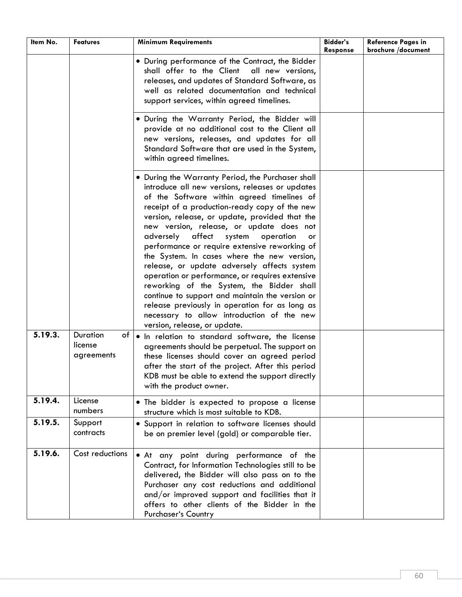| Item No. | <b>Features</b>                         | <b>Minimum Requirements</b>                                                                                                                                                                                                                                                                                                                                                                                                                                                                                                                                                                                                                                                                                                                                                             | <b>Bidder's</b><br>Response | <b>Reference Pages in</b><br>brochure /document |
|----------|-----------------------------------------|-----------------------------------------------------------------------------------------------------------------------------------------------------------------------------------------------------------------------------------------------------------------------------------------------------------------------------------------------------------------------------------------------------------------------------------------------------------------------------------------------------------------------------------------------------------------------------------------------------------------------------------------------------------------------------------------------------------------------------------------------------------------------------------------|-----------------------------|-------------------------------------------------|
|          |                                         | • During performance of the Contract, the Bidder<br>shall offer to the Client all new versions,<br>releases, and updates of Standard Software, as<br>well as related documentation and technical<br>support services, within agreed timelines.                                                                                                                                                                                                                                                                                                                                                                                                                                                                                                                                          |                             |                                                 |
|          |                                         | . During the Warranty Period, the Bidder will<br>provide at no additional cost to the Client all<br>new versions, releases, and updates for all<br>Standard Software that are used in the System,<br>within agreed timelines.                                                                                                                                                                                                                                                                                                                                                                                                                                                                                                                                                           |                             |                                                 |
|          |                                         | • During the Warranty Period, the Purchaser shall<br>introduce all new versions, releases or updates<br>of the Software within agreed timelines of<br>receipt of a production-ready copy of the new<br>version, release, or update, provided that the<br>new version, release, or update does not<br>adversely<br>affect<br>system<br>operation<br>or<br>performance or require extensive reworking of<br>the System. In cases where the new version,<br>release, or update adversely affects system<br>operation or performance, or requires extensive<br>reworking of the System, the Bidder shall<br>continue to support and maintain the version or<br>release previously in operation for as long as<br>necessary to allow introduction of the new<br>version, release, or update. |                             |                                                 |
| 5.19.3.  | Duration<br>of<br>license<br>agreements | . In relation to standard software, the license<br>agreements should be perpetual. The support on<br>these licenses should cover an agreed period<br>after the start of the project. After this period<br>KDB must be able to extend the support directly<br>with the product owner.                                                                                                                                                                                                                                                                                                                                                                                                                                                                                                    |                             |                                                 |
| 5.19.4.  | License<br>numbers                      | • The bidder is expected to propose a license<br>structure which is most suitable to KDB.                                                                                                                                                                                                                                                                                                                                                                                                                                                                                                                                                                                                                                                                                               |                             |                                                 |
| 5.19.5.  | Support<br>contracts                    | . Support in relation to software licenses should<br>be on premier level (gold) or comparable tier.                                                                                                                                                                                                                                                                                                                                                                                                                                                                                                                                                                                                                                                                                     |                             |                                                 |
| 5.19.6.  | Cost reductions                         | . At any point during performance of the<br>Contract, for Information Technologies still to be<br>delivered, the Bidder will also pass on to the<br>Purchaser any cost reductions and additional<br>and/or improved support and facilities that it<br>offers to other clients of the Bidder in the<br>Purchaser's Country                                                                                                                                                                                                                                                                                                                                                                                                                                                               |                             |                                                 |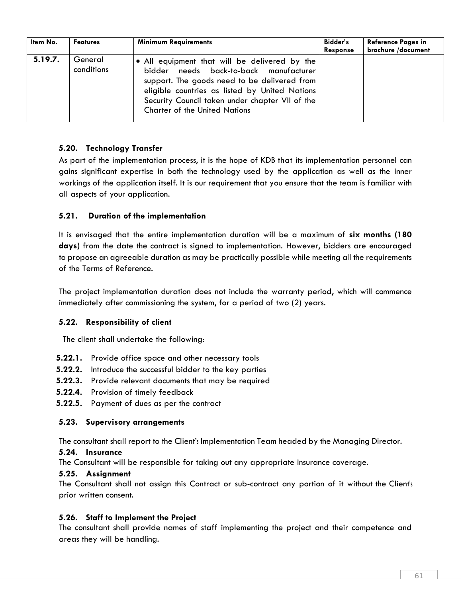| Item No. | <b>Features</b>       | <b>Minimum Requirements</b>                                                                                                                                                                                                                                                          | Bidder's<br><b>Response</b> | <b>Reference Pages in</b><br>brochure /document |
|----------|-----------------------|--------------------------------------------------------------------------------------------------------------------------------------------------------------------------------------------------------------------------------------------------------------------------------------|-----------------------------|-------------------------------------------------|
| 5.19.7.  | General<br>conditions | • All equipment that will be delivered by the<br>bidder needs back-to-back manufacturer<br>support. The goods need to be delivered from<br>eligible countries as listed by United Nations<br>Security Council taken under chapter VII of the<br><b>Charter of the United Nations</b> |                             |                                                 |

## **5.20. Technology Transfer**

As part of the implementation process, it is the hope of KDB that its implementation personnel can gains significant expertise in both the technology used by the application as well as the inner workings of the application itself. It is our requirement that you ensure that the team is familiar with all aspects of your application.

## **5.21. Duration of the implementation**

It is envisaged that the entire implementation duration will be a maximum of **six months (180 days)** from the date the contract is signed to implementation. However, bidders are encouraged to propose an agreeable duration as may be practically possible while meeting all the requirements of the Terms of Reference.

The project implementation duration does not include the warranty period, which will commence immediately after commissioning the system, for a period of two (2) years.

### **5.22. Responsibility of client**

The client shall undertake the following:

- **5.22.1.** Provide office space and other necessary tools
- **5.22.2.** Introduce the successful bidder to the key parties
- **5.22.3.** Provide relevant documents that may be required
- **5.22.4.** Provision of timely feedback
- **5.22.5.** Payment of dues as per the contract

#### **5.23. Supervisory arrangements**

The consultant shall report to the Client'<sup>s</sup> Implementation Team headed by the Managing Director.

#### **5.24. Insurance**

The Consultant will be responsible for taking out any appropriate insurance coverage.

#### **5.25. Assignment**

The Consultant shall not assign this Contract or sub-contract any portion of it without the Client's prior written consent.

### **5.26. Staff to Implement the Project**

The consultant shall provide names of staff implementing the project and their competence and areas they will be handling.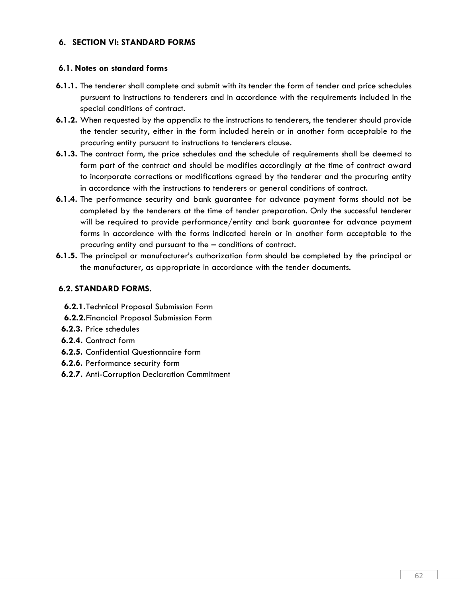### **6. SECTION VI: STANDARD FORMS**

#### **6.1. Notes on standard forms**

- **6.1.1.** The tenderer shall complete and submit with its tender the form of tender and price schedules pursuant to instructions to tenderers and in accordance with the requirements included in the special conditions of contract.
- **6.1.2.** When requested by the appendix to the instructions to tenderers, the tenderer should provide the tender security, either in the form included herein or in another form acceptable to the procuring entity pursuant to instructions to tenderers clause.
- **6.1.3.** The contract form, the price schedules and the schedule of requirements shall be deemed to form part of the contract and should be modifies accordingly at the time of contract award to incorporate corrections or modifications agreed by the tenderer and the procuring entity in accordance with the instructions to tenderers or general conditions of contract.
- **6.1.4.** The performance security and bank guarantee for advance payment forms should not be completed by the tenderers at the time of tender preparation. Only the successful tenderer will be required to provide performance/entity and bank guarantee for advance payment forms in accordance with the forms indicated herein or in another form acceptable to the procuring entity and pursuant to the – conditions of contract.
- **6.1.5.** The principal or manufacturer's authorization form should be completed by the principal or the manufacturer, as appropriate in accordance with the tender documents.

### **6.2. STANDARD FORMS.**

- **6.2.1.**Technical Proposal Submission Form
- **6.2.2.**Financial Proposal Submission Form
- **6.2.3.** Price schedules
- **6.2.4.** Contract form
- **6.2.5.** Confidential Questionnaire form
- **6.2.6.** Performance security form
- **6.2.7.** Anti-Corruption Declaration Commitment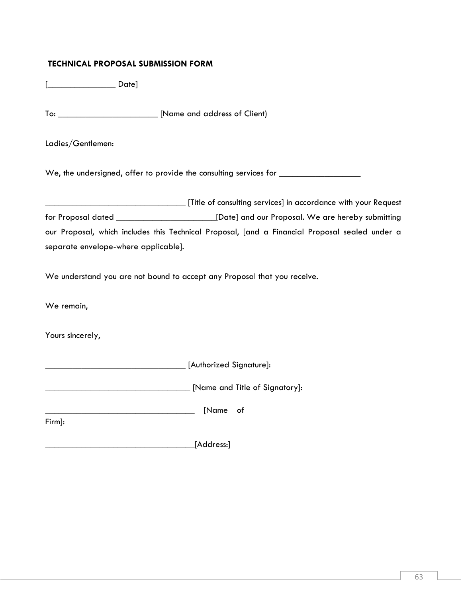## **TECHNICAL PROPOSAL SUBMISSION FORM**

[\_\_\_\_\_\_\_\_\_\_\_\_\_\_\_ Date]

To: \_\_\_\_\_\_\_\_\_\_\_\_\_\_\_\_\_\_\_\_\_\_ [Name and address of Client)

Ladies/Gentlemen:

We, the undersigned, offer to provide the consulting services for \_\_\_\_\_\_\_\_\_\_\_\_\_\_

\_\_\_\_\_\_\_\_\_\_\_\_\_\_\_\_\_\_\_\_\_\_\_\_\_\_\_\_\_\_\_ [Title of consulting services] in accordance with your Request for Proposal dated \_\_\_\_\_\_\_\_\_\_\_\_\_\_\_\_\_\_\_\_\_\_[Date] and our Proposal. We are hereby submitting our Proposal, which includes this Technical Proposal, [and a Financial Proposal sealed under a separate envelope-where applicable].

We understand you are not bound to accept any Proposal that you receive.

We remain,

Yours sincerely,

\_\_\_\_\_\_\_\_\_\_\_\_\_\_\_\_\_\_\_\_\_\_\_\_\_\_\_\_\_\_\_ [Authorized Signature]:

\_\_\_\_\_\_\_\_\_\_\_\_\_\_\_\_\_\_\_\_\_\_\_\_\_\_\_\_\_\_\_\_ [Name and Title of Signatory]:

\_\_\_\_\_\_\_\_\_\_\_\_\_\_\_\_\_\_\_\_\_\_\_\_\_\_\_\_\_\_\_\_\_ [Name of

Firm]:

\_\_\_\_\_\_\_\_\_\_\_\_\_\_\_\_\_\_\_\_\_\_\_\_\_\_\_\_\_\_\_\_\_[Address:]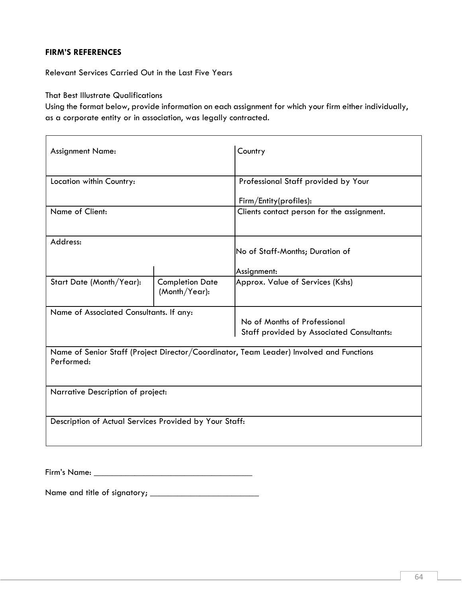### **FIRM'S REFERENCES**

Relevant Services Carried Out in the Last Five Years

That Best Illustrate Qualifications

Using the format below, provide information on each assignment for which your firm either individually, as a corporate entity or in association, was legally contracted.

| <b>Assignment Name:</b>                                                                               |                                         | Country                                                                          |  |  |  |  |  |
|-------------------------------------------------------------------------------------------------------|-----------------------------------------|----------------------------------------------------------------------------------|--|--|--|--|--|
| Location within Country:                                                                              |                                         | Professional Staff provided by Your                                              |  |  |  |  |  |
|                                                                                                       |                                         | Firm/Entity(profiles):                                                           |  |  |  |  |  |
| Name of Client:                                                                                       |                                         | Clients contact person for the assignment.                                       |  |  |  |  |  |
| Address:                                                                                              |                                         | No of Staff-Months; Duration of                                                  |  |  |  |  |  |
|                                                                                                       |                                         | Assignment:                                                                      |  |  |  |  |  |
| Start Date (Month/Year):                                                                              | <b>Completion Date</b><br>(Month/Year): | Approx. Value of Services (Kshs)                                                 |  |  |  |  |  |
| Name of Associated Consultants. If any:                                                               |                                         | No of Months of Professional<br><b>Staff provided by Associated Consultants:</b> |  |  |  |  |  |
| Name of Senior Staff (Project Director/Coordinator, Team Leader) Involved and Functions<br>Performed: |                                         |                                                                                  |  |  |  |  |  |
| Narrative Description of project:                                                                     |                                         |                                                                                  |  |  |  |  |  |
| Description of Actual Services Provided by Your Staff:                                                |                                         |                                                                                  |  |  |  |  |  |

Firm's Name: \_\_\_\_\_\_\_\_\_\_\_\_\_\_\_\_\_\_\_\_\_\_\_\_\_\_\_\_\_\_\_\_\_\_\_

Name and title of signatory; \_\_\_\_\_\_\_\_\_\_\_\_\_\_\_\_\_\_\_\_\_\_\_\_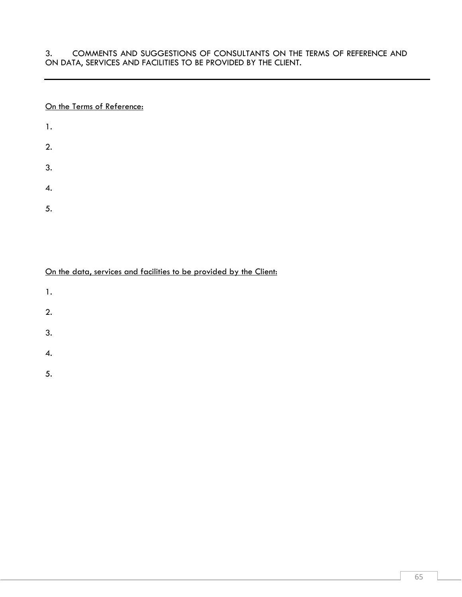3. COMMENTS AND SUGGESTIONS OF CONSULTANTS ON THE TERMS OF REFERENCE AND ON DATA, SERVICES AND FACILITIES TO BE PROVIDED BY THE CLIENT.

#### On the Terms of Reference:

| $\mathbf{1}$ . |  |  |  |
|----------------|--|--|--|
| 2.             |  |  |  |
| 3.             |  |  |  |
| 4.             |  |  |  |
| 5.             |  |  |  |

On the data, services and facilities to be provided by the Client:

- 1.
- 2.
- 3.
- 
- 4.
- 5.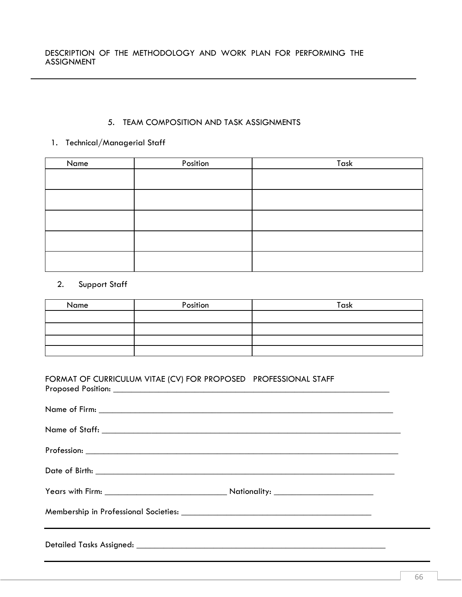## 5. TEAM COMPOSITION AND TASK ASSIGNMENTS

## 1. Technical/Managerial Staff

| Name | Position | Task |
|------|----------|------|
|      |          |      |
|      |          |      |
|      |          |      |
|      |          |      |
|      |          |      |

## 2. Support Staff

| Name | Position | Task |
|------|----------|------|
|      |          |      |
|      |          |      |
|      |          |      |
|      |          |      |

## FORMAT OF CURRICULUM VITAE (CV) FOR PROPOSED PROFESSIONAL STAFF Proposed Position: \_\_\_\_\_\_\_\_\_\_\_\_\_\_\_\_\_\_\_\_\_\_\_\_\_\_\_\_\_\_\_\_\_\_\_\_\_\_\_\_\_\_\_\_\_\_\_\_\_\_\_\_\_\_\_\_\_\_\_\_\_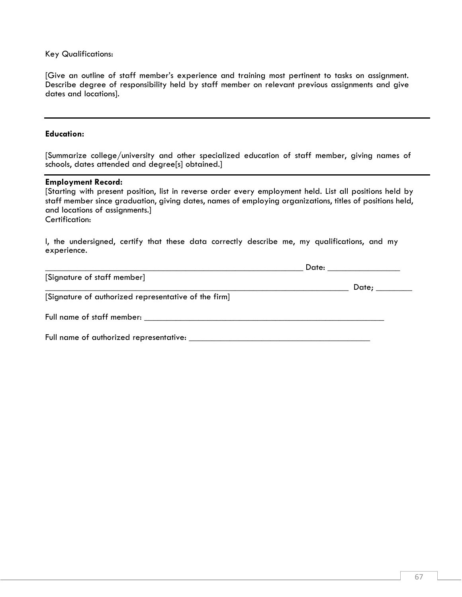Key Qualifications:

[Give an outline of staff member's experience and training most pertinent to tasks on assignment. Describe degree of responsibility held by staff member on relevant previous assignments and give dates and locations].

#### **Education:**

[Summarize college/university and other specialized education of staff member, giving names of schools, dates attended and degree[s] obtained.]

#### **Employment Record:**

[Starting with present position, list in reverse order every employment held. List all positions held by staff member since graduation, giving dates, names of employing organizations, titles of positions held, and locations of assignments.] Certification:

I, the undersigned, certify that these data correctly describe me, my qualifications, and my experience.

|                                                      | Date: ________________ |
|------------------------------------------------------|------------------------|
| [Signature of staff member]                          | Date; ________         |
| [Signature of authorized representative of the firm] |                        |
|                                                      |                        |
|                                                      |                        |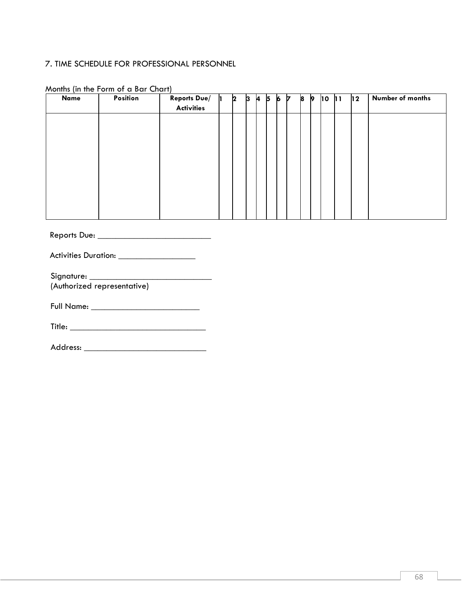### 7. TIME SCHEDULE FOR PROFESSIONAL PERSONNEL

| Name | Position | <b>Reports Due/</b><br><b>Activities</b> | 2 | B | <b>A</b> | 5 | 6 | 17 | 8 | <b>p</b> | 10 | 11 | $ 12\rangle$ | Number of months |
|------|----------|------------------------------------------|---|---|----------|---|---|----|---|----------|----|----|--------------|------------------|
|      |          |                                          |   |   |          |   |   |    |   |          |    |    |              |                  |
|      |          |                                          |   |   |          |   |   |    |   |          |    |    |              |                  |
|      |          |                                          |   |   |          |   |   |    |   |          |    |    |              |                  |
|      |          |                                          |   |   |          |   |   |    |   |          |    |    |              |                  |
|      |          |                                          |   |   |          |   |   |    |   |          |    |    |              |                  |
|      |          |                                          |   |   |          |   |   |    |   |          |    |    |              |                  |

## Months (in the Form of a Bar Chart)

Reports Due: \_\_\_\_\_\_\_\_\_\_\_\_\_\_\_\_\_\_\_\_\_\_\_\_\_

Activities Duration: \_\_\_\_\_\_\_\_\_\_\_\_\_\_\_\_\_\_\_\_

Signature: \_\_\_\_\_\_\_\_\_\_\_\_\_\_\_\_\_\_\_\_\_\_\_\_\_\_\_ (Authorized representative)

Full Name: \_\_\_\_\_\_\_\_\_\_\_\_\_\_\_\_\_\_\_\_\_\_\_\_

Title: \_\_\_\_\_\_\_\_\_\_\_\_\_\_\_\_\_\_\_\_\_\_\_\_\_\_\_\_\_\_

| Address: |
|----------|
|          |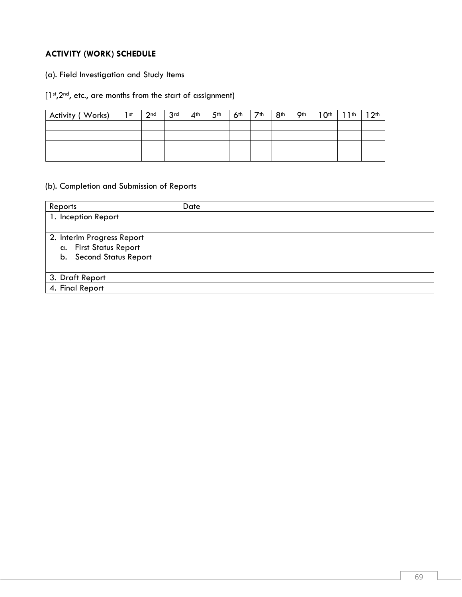# **ACTIVITY (WORK) SCHEDULE**

(a). Field Investigation and Study Items

# [1st,2<sup>nd</sup>, etc., are months from the start of assignment)

| Activity (Works) | $\vert$ 1 st | 2 <sub>nd</sub> | $\overline{3}$ rd | $4^{\text{th}}$ 5 <sup>th</sup> | 6 <sup>th</sup> | $1$ $7th$ | 8 <sup>th</sup> | $-9th$ | $10th$ 11 <sup>th</sup> | 12 <sup>th</sup> |
|------------------|--------------|-----------------|-------------------|---------------------------------|-----------------|-----------|-----------------|--------|-------------------------|------------------|
|                  |              |                 |                   |                                 |                 |           |                 |        |                         |                  |
|                  |              |                 |                   |                                 |                 |           |                 |        |                         |                  |
|                  |              |                 |                   |                                 |                 |           |                 |        |                         |                  |
|                  |              |                 |                   |                                 |                 |           |                 |        |                         |                  |

## (b). Completion and Submission of Reports

| Reports                    | Date |
|----------------------------|------|
| 1. Inception Report        |      |
|                            |      |
| 2. Interim Progress Report |      |
| a. First Status Report     |      |
| b. Second Status Report    |      |
|                            |      |
| 3. Draft Report            |      |
| 4. Final Report            |      |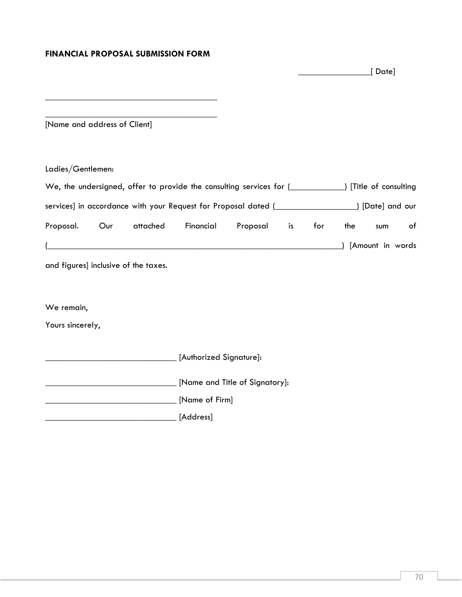### **FINANCIAL PROPOSAL SUBMISSION FORM**

 \_\_\_\_\_\_\_\_\_\_\_\_\_\_\_\_[ Date] \_\_\_\_\_\_\_\_\_\_\_\_\_\_\_\_\_\_\_\_\_\_\_\_\_\_\_\_\_\_\_\_\_\_\_\_\_\_  $\frac{1}{2}$  , and the set of the set of the set of the set of the set of the set of the set of the set of the set of the set of the set of the set of the set of the set of the set of the set of the set of the set of the set [Name and address of Client] Ladies/Gentlemen: We, the undersigned, offer to provide the consulting services for  $($ services] in accordance with your Request for Proposal dated (\_\_\_\_\_\_\_\_\_\_\_\_\_\_\_\_\_\_) [Date] and our Proposal. Our attached Financial Proposal is for the sum of (\_\_\_\_\_\_\_\_\_\_\_\_\_\_\_\_\_\_\_\_\_\_\_\_\_\_\_\_\_\_\_\_\_\_\_\_\_\_\_\_\_\_\_\_\_\_\_\_\_\_\_\_\_\_\_\_\_\_\_\_\_\_\_\_\_) [Amount in words and figures] inclusive of the taxes. We remain, Yours sincerely, \_\_\_\_\_\_\_\_\_\_\_\_\_\_\_\_\_\_\_\_\_\_\_\_\_\_\_\_\_ [Authorized Signature]: \_\_\_\_\_\_\_\_\_\_\_\_\_\_\_\_\_\_\_\_\_\_\_\_\_\_\_\_\_ [Name and Title of Signatory]: \_\_\_\_\_\_\_\_\_\_\_\_\_\_\_\_\_\_\_\_\_\_\_\_\_\_\_\_\_ [Name of Firm]

\_\_\_\_\_\_\_\_\_\_\_\_\_\_\_\_\_\_\_\_\_\_\_\_\_\_\_\_\_ [Address]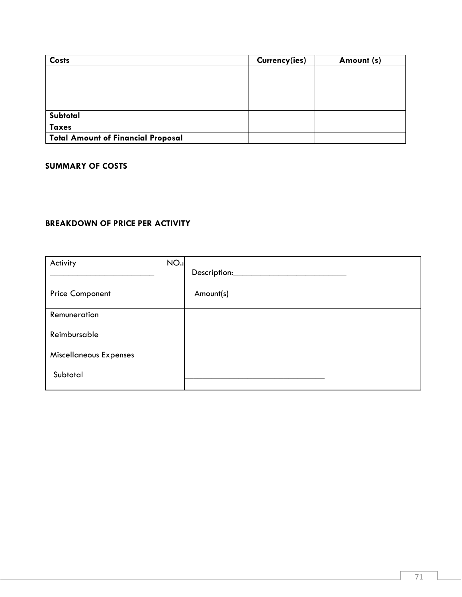| <b>Costs</b>                              | Currency(ies) | Amount (s) |
|-------------------------------------------|---------------|------------|
|                                           |               |            |
|                                           |               |            |
|                                           |               |            |
|                                           |               |            |
| Subtotal                                  |               |            |
| <b>Taxes</b>                              |               |            |
| <b>Total Amount of Financial Proposal</b> |               |            |

### **SUMMARY OF COSTS**

# **BREAKDOWN OF PRICE PER ACTIVITY**

| <b>NO.:</b><br>Activity       | Description: |
|-------------------------------|--------------|
| <b>Price Component</b>        | Amount(s)    |
| Remuneration                  |              |
| Reimbursable                  |              |
| <b>Miscellaneous Expenses</b> |              |
| Subtotal                      |              |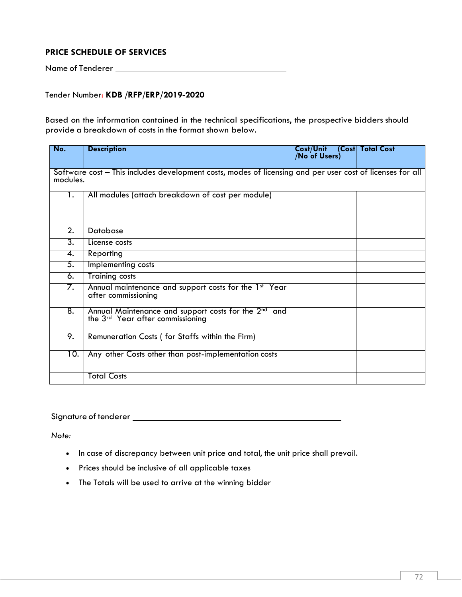## **PRICE SCHEDULE OF SERVICES**

Name of Tenderer

### Tender Number: **KDB /RFP/ERP/2019-2020**

Based on the information contained in the technical specifications, the prospective bidders should provide a breakdown of costs in the format shown below.

| No.                                                                                                                   | <b>Description</b>                                                                                               | Cost/Unit<br><b>No of Users)</b> | (Cost Total Cost |  |
|-----------------------------------------------------------------------------------------------------------------------|------------------------------------------------------------------------------------------------------------------|----------------------------------|------------------|--|
| Software cost – This includes development costs, modes of licensing and per user cost of licenses for all<br>modules. |                                                                                                                  |                                  |                  |  |
| 1.                                                                                                                    | All modules (attach breakdown of cost per module)                                                                |                                  |                  |  |
| 2.                                                                                                                    | Database                                                                                                         |                                  |                  |  |
| 3.                                                                                                                    | License costs                                                                                                    |                                  |                  |  |
| 4.                                                                                                                    | Reporting                                                                                                        |                                  |                  |  |
| 5.                                                                                                                    | Implementing costs                                                                                               |                                  |                  |  |
| 6.                                                                                                                    | <b>Training costs</b>                                                                                            |                                  |                  |  |
| 7.                                                                                                                    | Annual maintenance and support costs for the 1st Year<br>after commissioning                                     |                                  |                  |  |
| 8.                                                                                                                    | Annual Maintenance and support costs for the 2 <sup>nd</sup> and<br>the 3 <sup>rd</sup> Year after commissioning |                                  |                  |  |
| 9.                                                                                                                    | Remuneration Costs (for Staffs within the Firm)                                                                  |                                  |                  |  |
| 10.                                                                                                                   | Any other Costs other than post-implementation costs                                                             |                                  |                  |  |
|                                                                                                                       | <b>Total Costs</b>                                                                                               |                                  |                  |  |

#### Signature oftenderer

*Note:*

- In case of discrepancy between unit price and total, the unit price shall prevail.
- Prices should be inclusive of all applicable taxes
- The Totals will be used to arrive at the winning bidder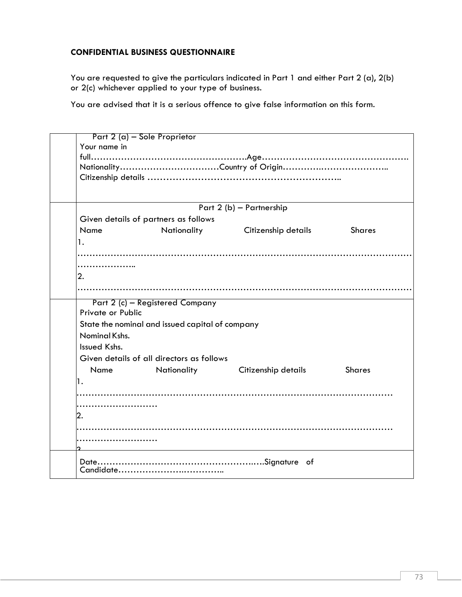## **CONFIDENTIAL BUSINESS QUESTIONNAIRE**

You are requested to give the particulars indicated in Part 1 and either Part 2 (a), 2(b) or 2(c) whichever applied to your type of business.

You are advised that it is a serious offence to give false information on this form.

|                   | Part 2 (a) - Sole Proprietor                    |                                 |               |
|-------------------|-------------------------------------------------|---------------------------------|---------------|
| Your name in      |                                                 |                                 |               |
|                   |                                                 |                                 |               |
|                   |                                                 |                                 |               |
|                   |                                                 |                                 |               |
|                   |                                                 |                                 |               |
|                   |                                                 | Part 2 (b) - Partnership        |               |
|                   | Given details of partners as follows            |                                 |               |
| Name              |                                                 |                                 |               |
|                   |                                                 | Nationality Citizenship details | <b>Shares</b> |
| 1.                |                                                 |                                 |               |
|                   |                                                 |                                 |               |
| .                 |                                                 |                                 |               |
| 2.                |                                                 |                                 |               |
|                   |                                                 |                                 |               |
|                   | Part 2 (c) - Registered Company                 |                                 |               |
| Private or Public |                                                 |                                 |               |
|                   | State the nominal and issued capital of company |                                 |               |
| Nominal Kshs.     |                                                 |                                 |               |
| Issued Kshs.      |                                                 |                                 |               |
|                   | Given details of all directors as follows       |                                 |               |
| <b>Name</b>       |                                                 | Nationality Citizenship details | <b>Shares</b> |
|                   |                                                 |                                 |               |
| 1.                |                                                 |                                 |               |
|                   |                                                 |                                 |               |
|                   |                                                 |                                 |               |
| 2.                |                                                 |                                 |               |
|                   |                                                 |                                 |               |
|                   |                                                 |                                 |               |
|                   |                                                 |                                 |               |
|                   |                                                 |                                 |               |
|                   |                                                 |                                 |               |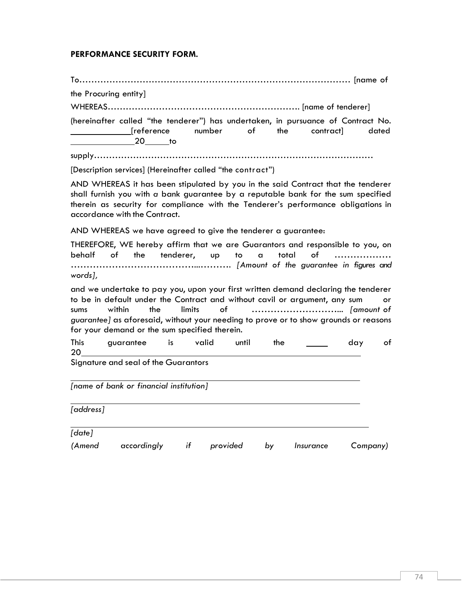## **PERFORMANCE SECURITY FORM.**

To……………………………………………………………………………… [name of

the Procuring entity]

WHEREAS………………………………………………………. [name of tenderer]

(hereinafter called "the tenderer") has undertaken, in pursuance of Contract No. [reference number of the contract] dated 20 to

supply…………………………………………………………………………………

[Description services] (Hereinafter called "the contract")

AND WHEREAS it has been stipulated by you in the said Contract that the tenderer shall furnish you with *a* bank guarantee by a reputable bank for the sum specified therein as security for compliance with the Tenderer's performance obligations in accordance with the Contract.

AND WHEREAS we have agreed to give the tenderer a guarantee:

THEREFORE, WE hereby affirm that we are Guarantors and responsible to you, on behalf of the tenderer, up to a total of ……………… …………………………………...………. *[Amount of the guarantee in figures and words],*

and we undertake to pay you, upon your first written demand declaring the tenderer to be in default under the Contract and without cavil or argument, any sum or sums within the limits of ………………………... *[amount of guarantee]* as aforesaid, without your needing to prove or to show grounds or reasons for your demand or the sum specified therein.

| This | quarantee                            | İS | valid | until | the | dav | οt |
|------|--------------------------------------|----|-------|-------|-----|-----|----|
| 20   |                                      |    |       |       |     |     |    |
|      | Signature and seal of the Guarantors |    |       |       |     |     |    |

*[name of bank or financial institution]*

*[address] [date] (Amend accordingly if provided by Insurance Company)*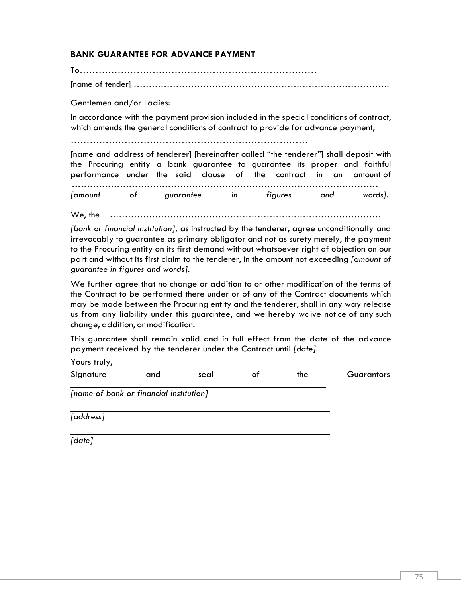# **BANK GUARANTEE FOR ADVANCE PAYMENT**

To………………………………………………………………… [name of tender] ………………………………………………………………………….

Gentlemen and/or Ladies:

In accordance with the payment provision included in the special conditions of contract, which amends the general conditions of contract to provide for advance payment,

…………………………………………………………………

[name and address of tenderer] [hereinafter called "the tenderer"] shall deposit with the Procuring entity a bank guarantee to guarantee its proper and faithful performance under the said clause of the contract in an amount of …………………………………………………………………………………………

*[amount of guarantee in figures and words].*

We, the ………………………………………………………………………………

*[bank or financial institution],* as instructed by the tenderer, agree unconditionally and irrevocably to guarantee as primary obligator and not as surety merely, the payment to the Procuring entity on its first demand without whatsoever right of objection on our part and without its first claim to the tenderer, in the amount not exceeding *[amount of guarantee in figures and words].*

We further agree that no change or addition to or other modification of the terms of the Contract to be performed there under or of any of the Contract documents which may be made between the Procuring entity and the tenderer, shall in any way release us from any liability under this guarantee, and we hereby waive notice of any such change, addition, or modification.

This guarantee shall remain valid and in full effect from the date of the advance payment received by the tenderer under the Contract until *[date].*

Yours truly,

Signature and seal of the Guarantors

*[name of bank or financial institution]*

*[address]*

*[date]*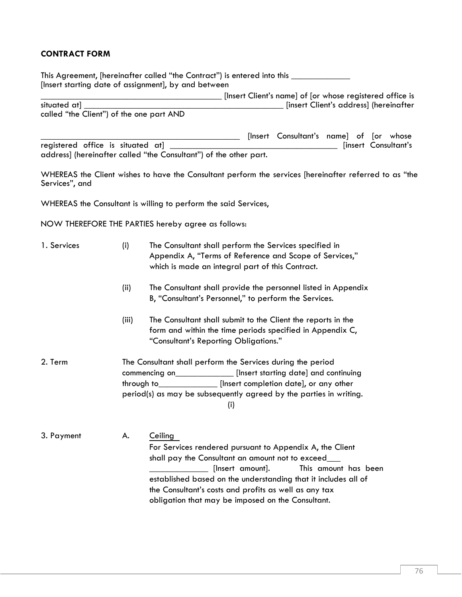## **CONTRACT FORM**

This Agreement, [hereinafter called "the Contract") is entered into this \_\_\_\_\_\_\_\_\_\_\_\_\_ [Insert starting date of assignment], by and between

[Insert Client's name] of [or whose registered office is situated at] \_\_\_\_\_\_\_\_\_\_\_\_\_\_\_\_\_\_\_\_\_\_\_\_\_\_\_\_\_\_\_\_\_\_\_\_\_\_\_\_\_\_\_\_ [insert Client's address] (hereinafter called "the Client") of the one part AND

[Insert Consultant's name] of [or whose registered office is situated at] \_\_\_\_\_\_\_\_\_\_\_\_\_\_\_\_\_\_\_\_\_\_\_\_\_\_\_\_\_\_\_\_\_\_\_\_\_ [insert Consultant's address] (hereinafter called "the Consultant") of the other part.

WHEREAS the Client wishes to have the Consultant perform the services [hereinafter referred to as "the Services", and

WHEREAS the Consultant is willing to perform the said Services,

NOW THEREFORE THE PARTIES hereby agree as follows:

1. Services (i) The Consultant shall perform the Services specified in Appendix A, "Terms of Reference and Scope of Services," which is made an integral part of this Contract. (ii) The Consultant shall provide the personnel listed in Appendix B, "Consultant's Personnel," to perform the Services. (iii) The Consultant shall submit to the Client the reports in the form and within the time periods specified in Appendix C, "Consultant's Reporting Obligations." 2. Term The Consultant shall perform the Services during the period commencing on\_\_\_\_\_\_\_\_\_\_\_\_\_ [Insert starting date] and continuing through to **the insert completion date**], or any other period(s) as may be subsequently agreed by the parties in writing. (i) 3. Payment A. Ceiling For Services rendered pursuant to Appendix A, the Client shall pay the Consultant an amount not to exceed\_\_\_ \_\_\_\_\_\_\_\_\_\_\_\_\_ [Insert amount]. This amount has been established based on the understanding that it includes all of the Consultant's costs and profits as well as any tax obligation that may be imposed on the Consultant.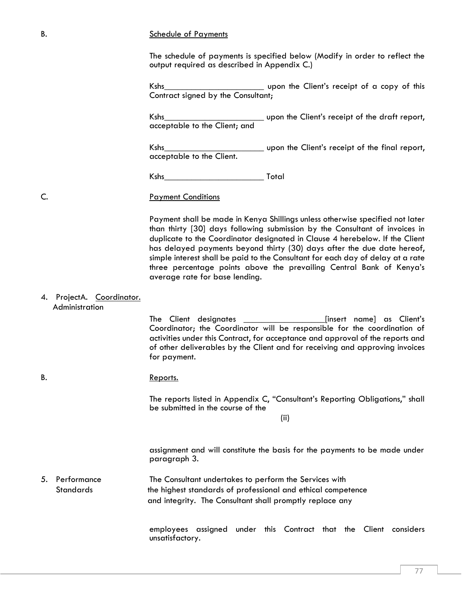#### B. Schedule of Payments

The schedule of payments is specified below (Modify in order to reflect the output required as described in Appendix C.)

Kshs\_\_\_\_\_\_\_\_\_\_\_\_\_\_\_\_\_\_\_\_\_\_ upon the Client's receipt of a copy of this Contract signed by the Consultant;

Kshs\_\_\_\_\_\_\_\_\_\_\_\_\_\_\_\_\_\_\_\_\_\_ upon the Client's receipt of the draft report, acceptable to the Client; and

Kshs **Kanadia Example 2.1 Kshs** upon the Client's receipt of the final report, acceptable to the Client.

Kshs\_\_\_\_\_\_\_\_\_\_\_\_\_\_\_\_\_\_\_\_\_\_ Total

#### C. Payment Conditions

Payment shall be made in Kenya Shillings unless otherwise specified not later than thirty [30] days following submission by the Consultant of invoices in duplicate to the Coordinator designated in Clause 4 herebelow. If the Client has delayed payments beyond thirty (30) days after the due date hereof, simple interest shall be paid to the Consultant for each day of delay at a rate three percentage points above the prevailing Central Bank of Kenya's average rate for base lending.

#### 4. ProjectA. Coordinator. Administration

The Client designates \_\_\_\_\_\_\_\_\_\_\_\_\_\_\_\_\_\_[insert name] as Client's Coordinator; the Coordinator will be responsible for the coordination of activities under this Contract, for acceptance and approval of the reports and of other deliverables by the Client and for receiving and approving invoices for payment.

# B. Reports.

The reports listed in Appendix C, "Consultant's Reporting Obligations," shall be submitted in the course of the

(ii)

assignment and will constitute the basis for the payments to be made under paragraph 3.

5. Performance The Consultant undertakes to perform the Services with Standards the highest standards of professional and ethical competence and integrity. The Consultant shall promptly replace any

> employees assigned under this Contract that the Client considers unsatisfactory.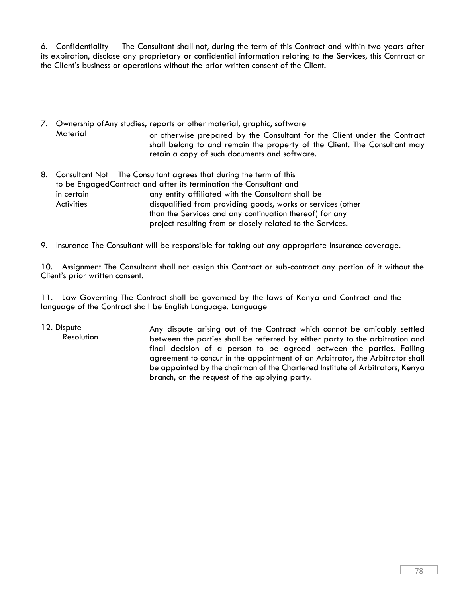6. Confidentiality The Consultant shall not, during the term of this Contract and within two years after its expiration, disclose any proprietary or confidential information relating to the Services, this Contract or the Client's business or operations without the prior written consent of the Client.

- 7. Ownership ofAny studies, reports or other material, graphic, software Material or otherwise prepared by the Consultant for the Client under the Contract shall belong to and remain the property of the Client. The Consultant may retain a copy of such documents and software.
- 8. Consultant Not The Consultant agrees that during the term of this to be EngagedContract and after its termination the Consultant and in certain **Activities** any entity affiliated with the Consultant shall be disqualified from providing goods, works or services (other than the Services and any continuation thereof) for any project resulting from or closely related to the Services.
- 9. Insurance The Consultant will be responsible for taking out any appropriate insurance coverage.

10. Assignment The Consultant shall not assign this Contract or sub-contract any portion of it without the Client's prior written consent.

11. Law Governing The Contract shall be governed by the laws of Kenya and Contract and the language of the Contract shall be English Language. Language

12. Dispute Resolution Any dispute arising out of the Contract which cannot be amicably settled between the parties shall be referred by either party to the arbitration and final decision of a person to be agreed between the parties. Failing agreement to concur in the appointment of an Arbitrator, the Arbitrator shall be appointed by the chairman of the Chartered Institute of Arbitrators, Kenya branch, on the request of the applying party.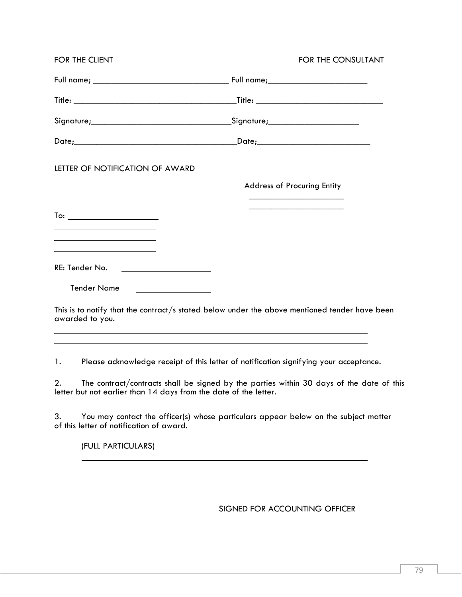| FOR THE CLIENT                                                                                               | FOR THE CONSULTANT                                                                                                                                                                |  |  |  |
|--------------------------------------------------------------------------------------------------------------|-----------------------------------------------------------------------------------------------------------------------------------------------------------------------------------|--|--|--|
|                                                                                                              |                                                                                                                                                                                   |  |  |  |
|                                                                                                              |                                                                                                                                                                                   |  |  |  |
|                                                                                                              |                                                                                                                                                                                   |  |  |  |
|                                                                                                              |                                                                                                                                                                                   |  |  |  |
| LETTER OF NOTIFICATION OF AWARD                                                                              |                                                                                                                                                                                   |  |  |  |
|                                                                                                              | <b>Address of Procuring Entity</b>                                                                                                                                                |  |  |  |
| To: __________________________<br>the control of the control of the control of the control of the control of |                                                                                                                                                                                   |  |  |  |
| the control of the control of the control of the control of the control of<br>RE: Tender No.                 |                                                                                                                                                                                   |  |  |  |
| <b>Tender Name</b><br><u> The Communication of the Communication</u>                                         |                                                                                                                                                                                   |  |  |  |
| awarded to you.                                                                                              | This is to notify that the contract/s stated below under the above mentioned tender have been<br>,我们也不会有什么。""我们的人,我们也不会有什么?""我们的人,我们也不会有什么?""我们的人,我们也不会有什么?""我们的人,我们也不会有什么?""我们的人 |  |  |  |
| 1.                                                                                                           | ,我们也不能在这里的时候,我们也不能在这里的时候,我们也不能会在这里的时候,我们也不能会在这里的时候,我们也不能会在这里的时候,我们也不能会在这里的时候,我们也不<br>Please acknowledge receipt of this letter of notification signifying your acceptance.        |  |  |  |
| 2.<br>letter but not earlier than 14 days from the date of the letter.                                       | The contract/contracts shall be signed by the parties within 30 days of the date of this                                                                                          |  |  |  |
| 3.<br>of this letter of notification of award.                                                               | You may contact the officer(s) whose particulars appear below on the subject matter                                                                                               |  |  |  |
| (FULL PARTICULARS)                                                                                           |                                                                                                                                                                                   |  |  |  |

SIGNED FOR ACCOUNTING OFFICER